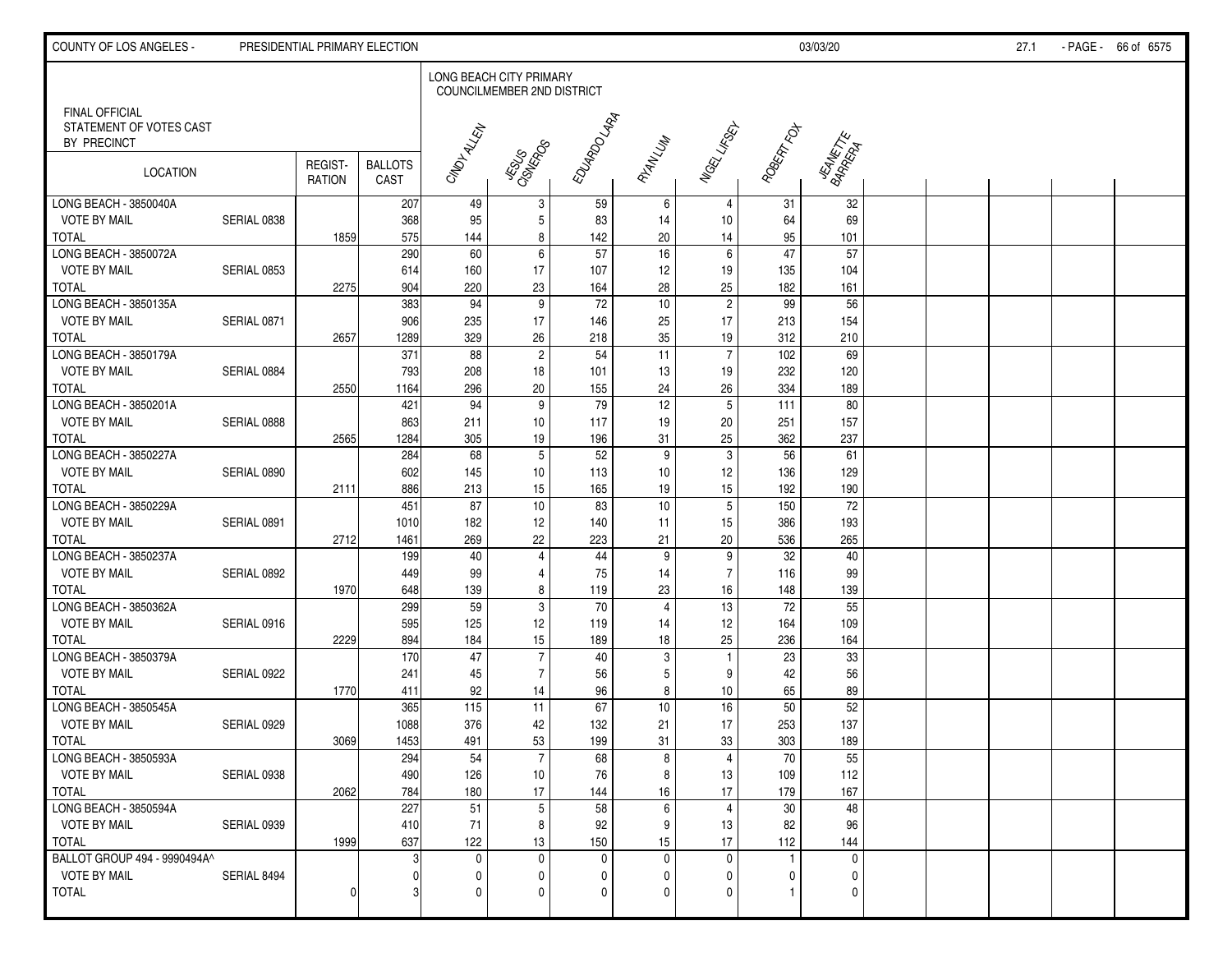| COUNTY OF LOS ANGELES -                                         |             | PRESIDENTIAL PRIMARY ELECTION |                        |                         |                            |                        |                 |                      |                        | 03/03/20             |  | 27.1 | - PAGE - 66 of 6575 |
|-----------------------------------------------------------------|-------------|-------------------------------|------------------------|-------------------------|----------------------------|------------------------|-----------------|----------------------|------------------------|----------------------|--|------|---------------------|
|                                                                 |             |                               |                        | LONG BEACH CITY PRIMARY | COUNCILMEMBER 2ND DISTRICT |                        |                 |                      |                        |                      |  |      |                     |
| <b>FINAL OFFICIAL</b><br>STATEMENT OF VOTES CAST<br>BY PRECINCT |             |                               |                        | CINDITALLEN             |                            | EDUARDO LARA           |                 | <b>Magy Lines</b>    | ROBERT FOT             |                      |  |      |                     |
| LOCATION                                                        |             | REGIST-<br><b>RATION</b>      | <b>BALLOTS</b><br>CAST |                         | JESYSS<br>CISHERPOS        |                        | RIANLUM         |                      |                        | JEANETTE<br>BARRETTE |  |      |                     |
| LONG BEACH - 3850040A                                           |             |                               | 207                    | 49                      | 3                          | 59                     | 6               | 4                    | 31                     | 32                   |  |      |                     |
| <b>VOTE BY MAIL</b>                                             | SERIAL 0838 |                               | 368                    | 95                      | $\mathbf 5$                | 83                     | 14              | 10                   | 64                     | 69                   |  |      |                     |
| <b>TOTAL</b>                                                    |             | 1859                          | 575                    | 144                     | 8                          | 142                    | 20              | 14                   | 95                     | 101                  |  |      |                     |
| LONG BEACH - 3850072A                                           |             |                               | 290                    | 60                      | $\,6\,$                    | 57                     | 16              | $6\phantom{1}$       | 47                     | 57                   |  |      |                     |
| <b>VOTE BY MAIL</b>                                             | SERIAL 0853 |                               | 614                    | 160                     | 17                         | 107                    | 12 <sub>2</sub> | 19                   | 135                    | 104                  |  |      |                     |
| <b>TOTAL</b><br>LONG BEACH - 3850135A                           |             | 2275                          | 904<br>383             | 220<br>94               | 23<br>$\boldsymbol{9}$     | 164<br>$\overline{72}$ | 28<br>10        | 25<br>$\overline{2}$ | 182<br>$\overline{99}$ | 161<br>56            |  |      |                     |
| <b>VOTE BY MAIL</b>                                             | SERIAL 0871 |                               | 906                    |                         | 17                         |                        |                 | 17                   | 213                    | 154                  |  |      |                     |
| <b>TOTAL</b>                                                    |             | 2657                          | 1289                   | 235<br>329              | 26                         | 146<br>218             | 25<br>35        | 19                   | 312                    | 210                  |  |      |                     |
| LONG BEACH - 3850179A                                           |             |                               | 371                    | 88                      | $\boldsymbol{2}$           | 54                     | 11              | $\overline{7}$       | 102                    | 69                   |  |      |                     |
| <b>VOTE BY MAIL</b>                                             | SERIAL 0884 |                               | 793                    | 208                     | 18                         | 101                    | 13              | 19                   | 232                    | 120                  |  |      |                     |
| <b>TOTAL</b>                                                    |             | 2550                          | 1164                   | 296                     | 20                         | 155                    | 24              | 26                   | 334                    | 189                  |  |      |                     |
| LONG BEACH - 3850201A                                           |             |                               | 421                    | 94                      | $\boldsymbol{9}$           | 79                     | 12              | 5                    | 111                    | 80                   |  |      |                     |
| <b>VOTE BY MAIL</b>                                             | SERIAL 0888 |                               | 863                    | 211                     | 10                         | 117                    | 19              | 20                   | 251                    | 157                  |  |      |                     |
| <b>TOTAL</b>                                                    |             | 2565                          | 1284                   | 305                     | 19                         | 196                    | 31              | 25                   | 362                    | 237                  |  |      |                     |
| LONG BEACH - 3850227A                                           |             |                               | 284                    | 68                      | $5\phantom{.0}$            | 52                     | 9               | 3                    | 56                     | 61                   |  |      |                     |
| <b>VOTE BY MAIL</b>                                             | SERIAL 0890 |                               | 602                    | 145                     | 10                         | 113                    | 10 <sup>°</sup> | 12                   | 136                    | 129                  |  |      |                     |
| <b>TOTAL</b>                                                    |             | 2111                          | 886                    | 213                     | 15                         | 165                    | 19              | 15                   | 192                    | 190                  |  |      |                     |
| LONG BEACH - 3850229A                                           |             |                               | 451                    | 87                      | $10$                       | 83                     | 10              | 5                    | 150                    | $\overline{72}$      |  |      |                     |
| <b>VOTE BY MAIL</b>                                             | SERIAL 0891 |                               | 1010                   | 182                     | 12                         | 140                    | 11              | 15                   | 386                    | 193                  |  |      |                     |
| <b>TOTAL</b>                                                    |             | 2712                          | 1461                   | 269                     | 22                         | 223                    | 21              | 20                   | 536                    | 265                  |  |      |                     |
| LONG BEACH - 3850237A                                           |             |                               | 199                    | 40                      | $\overline{4}$             | 44                     | 9               | 9                    | $\overline{32}$        | 40                   |  |      |                     |
| <b>VOTE BY MAIL</b>                                             | SERIAL 0892 |                               | 449                    | 99                      | $\overline{4}$             | 75                     | 14              | $\overline{7}$       | 116                    | 99                   |  |      |                     |
| <b>TOTAL</b>                                                    |             | 1970                          | 648                    | 139                     | 8                          | 119                    | 23              | 16                   | 148                    | 139                  |  |      |                     |
| LONG BEACH - 3850362A                                           |             |                               | 299                    | 59                      | $\sqrt{3}$                 | 70                     | $\overline{4}$  | 13                   | 72                     | 55                   |  |      |                     |
| <b>VOTE BY MAIL</b>                                             | SERIAL 0916 |                               | 595                    | 125                     | 12                         | 119                    | 14              | 12                   | 164                    | 109                  |  |      |                     |
| <b>TOTAL</b>                                                    |             | 2229                          | 894                    | 184                     | 15                         | 189                    | 18              | 25                   | 236                    | 164                  |  |      |                     |
| LONG BEACH - 3850379A                                           |             |                               | 170                    | 47                      | $\overline{7}$             | 40                     | 3               |                      | 23                     | 33                   |  |      |                     |
| <b>VOTE BY MAIL</b>                                             | SERIAL 0922 |                               | 241                    | 45                      | $\overline{7}$             | 56                     | 5               | 9                    | 42                     | 56                   |  |      |                     |
| <b>TOTAL</b>                                                    |             | 1770                          | 411                    | 92                      | 14                         | 96                     | 8               | 10                   | 65                     | 89                   |  |      |                     |
| LONG BEACH - 3850545A                                           |             |                               | 365                    | 115                     | 11                         | 67                     | 10 <sup>°</sup> | 16                   | 50                     | 52                   |  |      |                     |
| <b>VOTE BY MAIL</b>                                             | SERIAL 0929 |                               | 1088                   | 376                     | 42                         | 132                    | 21              | 17                   | 253                    | 137                  |  |      |                     |
| <b>TOTAL</b>                                                    |             | 3069                          | 1453                   | 491                     | 53                         | 199                    | 31              | 33                   | 303                    | 189                  |  |      |                     |
| LONG BEACH - 3850593A                                           |             |                               | 294                    | 54                      | $\overline{7}$             | 68                     | 8               | 4                    | 70                     | 55                   |  |      |                     |
| <b>VOTE BY MAIL</b>                                             | SERIAL 0938 |                               | 490                    | 126                     | 10                         | 76                     | 8               | 13                   | 109                    | 112                  |  |      |                     |
| <b>TOTAL</b>                                                    |             | 2062                          | 784                    | 180                     | 17                         | 144                    | 16              | 17                   | 179                    | 167                  |  |      |                     |
| LONG BEACH - 3850594A                                           |             |                               | 227                    | 51                      | $\sqrt{5}$                 | $\overline{58}$        | 6               | 4                    | $\overline{30}$        | 48                   |  |      |                     |
| <b>VOTE BY MAIL</b>                                             | SERIAL 0939 |                               | 410                    | 71                      | 8                          | 92                     | 9               | 13                   | 82                     | 96                   |  |      |                     |
| <b>TOTAL</b>                                                    |             | 1999                          | 637                    | 122                     | 13                         | 150                    | 15              | 17                   | 112                    | 144                  |  |      |                     |
| BALLOT GROUP 494 - 9990494A^                                    |             |                               |                        | $\mathbf 0$             | $\pmb{0}$                  | $\mathbf 0$            | $\mathbf{0}$    | $\mathbf 0$          | 1                      | $\Omega$             |  |      |                     |
| <b>VOTE BY MAIL</b>                                             | SERIAL 8494 |                               |                        | 0                       | 0                          | 0                      | <sup>0</sup>    | 0                    | 0                      | $\Omega$             |  |      |                     |
| <b>TOTAL</b>                                                    |             | C                             |                        | 0                       | 0                          | $\mathbf 0$            | 0               | $\mathbf{0}$         | 1                      | $\Omega$             |  |      |                     |
|                                                                 |             |                               |                        |                         |                            |                        |                 |                      |                        |                      |  |      |                     |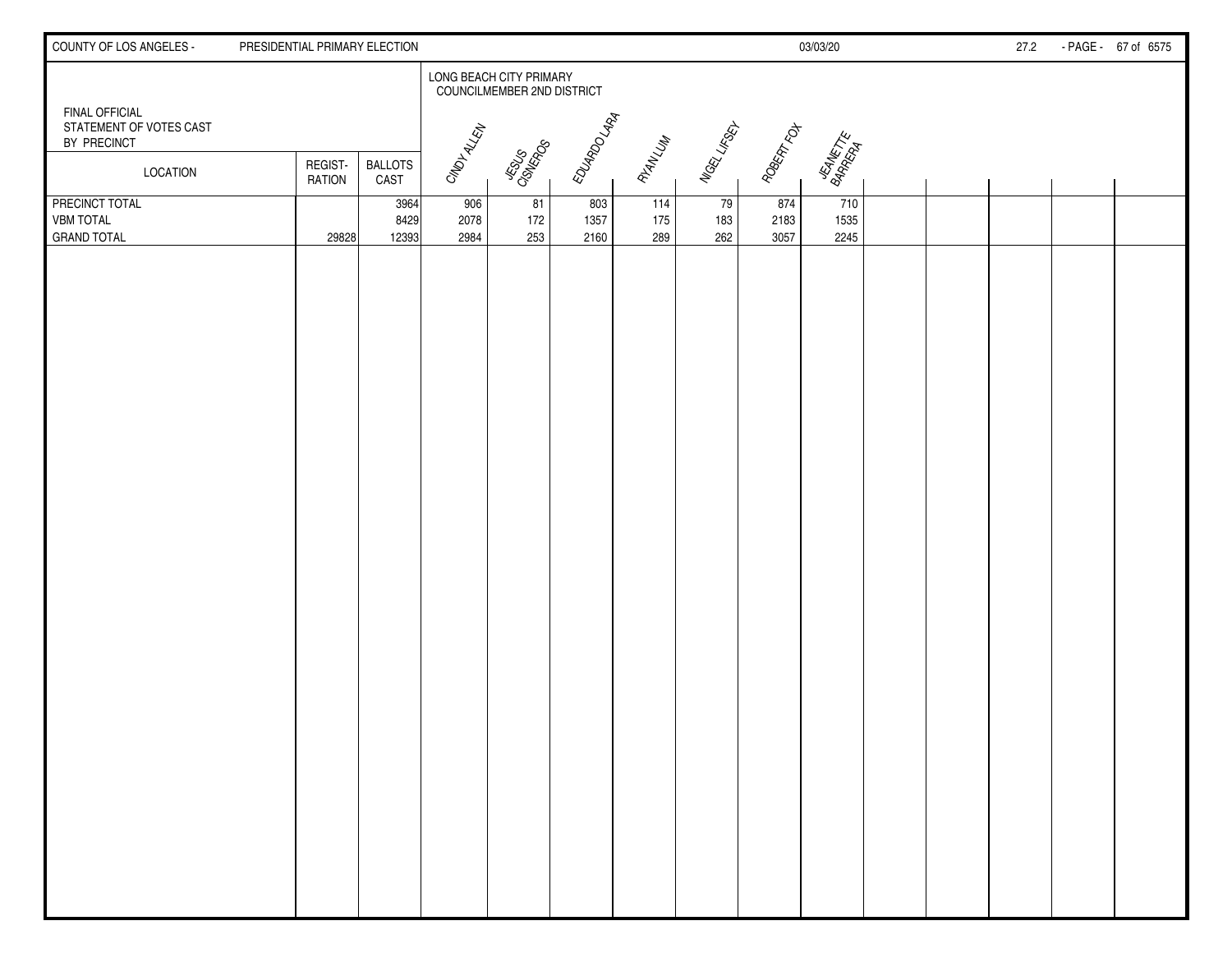| COUNTY OF LOS ANGELES -                                         | PRESIDENTIAL PRIMARY ELECTION |                        |                     |                                                       |                     |                   |                  |                     | 03/03/20             |  | 27.2 | - PAGE - 67 of 6575 |
|-----------------------------------------------------------------|-------------------------------|------------------------|---------------------|-------------------------------------------------------|---------------------|-------------------|------------------|---------------------|----------------------|--|------|---------------------|
|                                                                 |                               |                        |                     | LONG BEACH CITY PRIMARY<br>COUNCILMEMBER 2ND DISTRICT |                     |                   |                  |                     |                      |  |      |                     |
| <b>FINAL OFFICIAL</b><br>STATEMENT OF VOTES CAST<br>BY PRECINCT |                               |                        | CMDIALEN            |                                                       | EDUARDO LARA        |                   | Nagel Lifeey.    | ROBERT FOT          |                      |  |      |                     |
| LOCATION                                                        | REGIST-<br><b>RATION</b>      | <b>BALLOTS</b><br>CAST |                     | LISLIS<br>CISILISS                                    |                     | RYAN LUM          |                  |                     | JEANETTE<br>BARRETTE |  |      |                     |
| PRECINCT TOTAL<br><b>VBM TOTAL</b><br><b>GRAND TOTAL</b>        | 29828                         | 3964<br>8429<br>12393  | 906<br>2078<br>2984 | 81<br>172<br>253                                      | 803<br>1357<br>2160 | 114<br>175<br>289 | 79<br>183<br>262 | 874<br>2183<br>3057 | 710<br>1535<br>2245  |  |      |                     |
|                                                                 |                               |                        |                     |                                                       |                     |                   |                  |                     |                      |  |      |                     |
|                                                                 |                               |                        |                     |                                                       |                     |                   |                  |                     |                      |  |      |                     |
|                                                                 |                               |                        |                     |                                                       |                     |                   |                  |                     |                      |  |      |                     |
|                                                                 |                               |                        |                     |                                                       |                     |                   |                  |                     |                      |  |      |                     |
|                                                                 |                               |                        |                     |                                                       |                     |                   |                  |                     |                      |  |      |                     |
|                                                                 |                               |                        |                     |                                                       |                     |                   |                  |                     |                      |  |      |                     |
|                                                                 |                               |                        |                     |                                                       |                     |                   |                  |                     |                      |  |      |                     |
|                                                                 |                               |                        |                     |                                                       |                     |                   |                  |                     |                      |  |      |                     |
|                                                                 |                               |                        |                     |                                                       |                     |                   |                  |                     |                      |  |      |                     |
|                                                                 |                               |                        |                     |                                                       |                     |                   |                  |                     |                      |  |      |                     |
|                                                                 |                               |                        |                     |                                                       |                     |                   |                  |                     |                      |  |      |                     |
|                                                                 |                               |                        |                     |                                                       |                     |                   |                  |                     |                      |  |      |                     |
|                                                                 |                               |                        |                     |                                                       |                     |                   |                  |                     |                      |  |      |                     |
|                                                                 |                               |                        |                     |                                                       |                     |                   |                  |                     |                      |  |      |                     |
|                                                                 |                               |                        |                     |                                                       |                     |                   |                  |                     |                      |  |      |                     |
|                                                                 |                               |                        |                     |                                                       |                     |                   |                  |                     |                      |  |      |                     |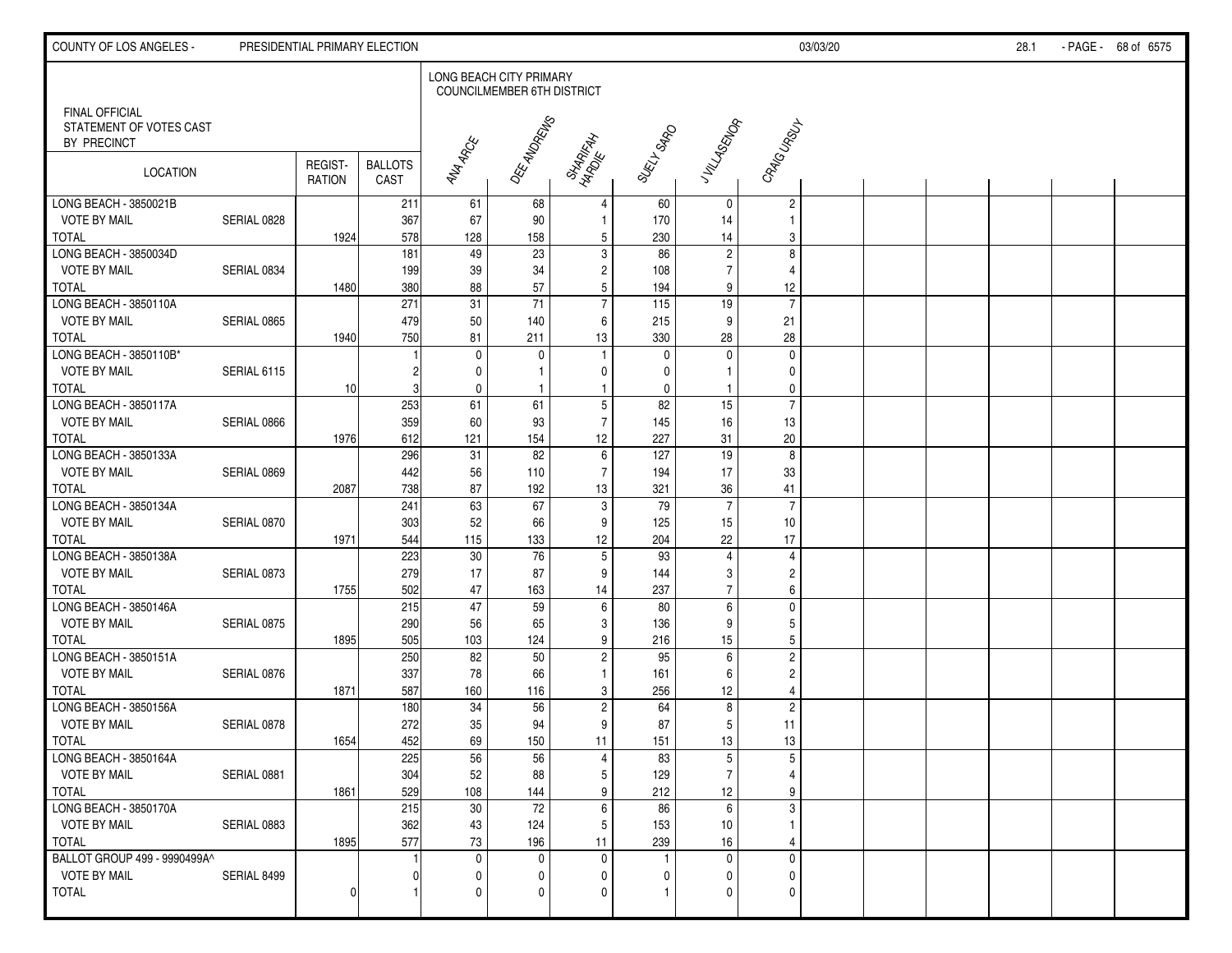| COUNTY OF LOS ANGELES -                                  |             | PRESIDENTIAL PRIMARY ELECTION |                        |                        |                                                              |                       |              |                      |                         | 03/03/20 |  | 28.1 | - PAGE - 68 of 6575 |
|----------------------------------------------------------|-------------|-------------------------------|------------------------|------------------------|--------------------------------------------------------------|-----------------------|--------------|----------------------|-------------------------|----------|--|------|---------------------|
|                                                          |             |                               |                        |                        | LONG BEACH CITY PRIMARY<br><b>COUNCILMEMBER 6TH DISTRICT</b> |                       |              |                      |                         |          |  |      |                     |
| FINAL OFFICIAL<br>STATEMENT OF VOTES CAST<br>BY PRECINCT |             |                               |                        |                        | OEE-ANDREWS                                                  |                       |              | J VILLASENOR         | CRAIGURELL              |          |  |      |                     |
| <b>LOCATION</b>                                          |             | REGIST-<br><b>RATION</b>      | <b>BALLOTS</b><br>CAST | <b>ANA ARCE</b>        |                                                              | SHARIFAH<br>HARDIE AH | SURI LSARD   |                      |                         |          |  |      |                     |
| LONG BEACH - 3850021B                                    |             |                               | 211                    | 61                     | 68                                                           | $\overline{4}$        | 60           | $\mathbf 0$          | $\overline{c}$          |          |  |      |                     |
| <b>VOTE BY MAIL</b>                                      | SERIAL 0828 |                               | 367                    | 67                     | 90                                                           | $\mathbf{1}$          | 170          | 14                   | $\mathbf{1}$            |          |  |      |                     |
| <b>TOTAL</b><br>LONG BEACH - 3850034D                    |             | 1924                          | 578<br>181             | 128<br>49              | 158<br>23                                                    | 5<br>3                | 230<br>86    | 14<br>$\overline{2}$ | 3<br>8                  |          |  |      |                     |
| <b>VOTE BY MAIL</b>                                      | SERIAL 0834 |                               | 199                    | 39                     | 34                                                           | $\overline{c}$        | 108          | $\overline{7}$       | 4                       |          |  |      |                     |
| <b>TOTAL</b>                                             |             | 1480                          | 380                    | 88                     | 57                                                           | 5                     | 194          | 9                    | 12                      |          |  |      |                     |
| LONG BEACH - 3850110A                                    |             |                               | 271                    | 31                     | $\overline{71}$                                              | $\overline{7}$        | 115          | $\overline{19}$      | $\overline{7}$          |          |  |      |                     |
| <b>VOTE BY MAIL</b>                                      | SERIAL 0865 |                               | 479                    | 50                     | 140                                                          | 6                     | 215          | 9                    | 21                      |          |  |      |                     |
| <b>TOTAL</b>                                             |             | 1940                          | 750                    | 81                     | 211                                                          | 13                    | 330          | 28                   | 28                      |          |  |      |                     |
| LONG BEACH - 3850110B*                                   |             |                               |                        | 0                      | $\mathbf 0$                                                  | -1                    | $\mathbf{0}$ | 0                    | 0                       |          |  |      |                     |
| <b>VOTE BY MAIL</b>                                      | SERIAL 6115 |                               |                        | 0                      | $\mathbf{1}$                                                 | $\mathbf{0}$          | 0            |                      | 0                       |          |  |      |                     |
| <b>TOTAL</b>                                             |             | 10 <sup>1</sup>               |                        | 0                      | $\mathbf{1}$                                                 |                       | 0            |                      | 0                       |          |  |      |                     |
| LONG BEACH - 3850117A                                    |             |                               | 253                    | 61                     | 61                                                           | $\sqrt{5}$            | 82           | 15                   | $\overline{7}$          |          |  |      |                     |
| <b>VOTE BY MAIL</b>                                      | SERIAL 0866 |                               | 359                    | 60                     | 93                                                           | $\overline{7}$        | 145          | 16                   | 13                      |          |  |      |                     |
| <b>TOTAL</b>                                             |             | 1976                          | 612                    | 121                    | 154                                                          | 12                    | 227          | 31                   | 20                      |          |  |      |                     |
| LONG BEACH - 3850133A                                    |             |                               | 296                    | 31                     | 82                                                           | $\,6\,$               | 127          | 19                   | 8                       |          |  |      |                     |
| <b>VOTE BY MAIL</b>                                      | SERIAL 0869 |                               | 442                    | 56                     | 110                                                          | $\overline{7}$        | 194          | 17                   | 33                      |          |  |      |                     |
| <b>TOTAL</b>                                             |             | 2087                          | 738                    | 87                     | 192                                                          | 13                    | 321          | 36                   | 41                      |          |  |      |                     |
| LONG BEACH - 3850134A                                    |             |                               | 241                    | 63                     | 67                                                           | $\sqrt{3}$            | 79           | $\overline{7}$       | $\overline{7}$          |          |  |      |                     |
| <b>VOTE BY MAIL</b>                                      | SERIAL 0870 |                               | 303                    | 52                     | 66                                                           | 9                     | 125          | 15                   | 10                      |          |  |      |                     |
| <b>TOTAL</b>                                             |             | 1971                          | 544                    | 115                    | 133                                                          | 12                    | 204          | 22                   | 17                      |          |  |      |                     |
| LONG BEACH - 3850138A                                    |             |                               | 223                    | 30                     | 76                                                           | $\overline{5}$        | 93           | 4                    | 4                       |          |  |      |                     |
| <b>VOTE BY MAIL</b>                                      | SERIAL 0873 |                               | 279                    | 17                     | 87                                                           | 9                     | 144          | 3                    | $\overline{\mathbf{c}}$ |          |  |      |                     |
| <b>TOTAL</b>                                             |             | 1755                          | 502                    | 47                     | 163                                                          | 14                    | 237          | $\overline{7}$       | 6                       |          |  |      |                     |
| LONG BEACH - 3850146A                                    |             |                               | 215                    | 47                     | 59                                                           | $6\phantom{1}6$       | 80           | 6                    | 0                       |          |  |      |                     |
| <b>VOTE BY MAIL</b>                                      | SERIAL 0875 |                               | 290                    | 56                     | 65                                                           | 3                     | 136          | 9                    | 5                       |          |  |      |                     |
| <b>TOTAL</b>                                             |             | 1895                          | 505                    | 103                    | 124                                                          | 9                     | 216          | 15                   | 5                       |          |  |      |                     |
| LONG BEACH - 3850151A                                    |             |                               | 250                    | $\overline{82}$        | 50                                                           | $\overline{c}$        | 95           | 6                    | $\overline{2}$          |          |  |      |                     |
| <b>VOTE BY MAIL</b>                                      | SERIAL 0876 |                               | 337                    | 78                     | 66                                                           | -1                    | 161          | 6                    | $\overline{c}$          |          |  |      |                     |
| <b>TOTAL</b>                                             |             | 1871                          | 587                    | 160                    | 116                                                          | 3                     | 256          | 12                   | $\overline{4}$          |          |  |      |                     |
| LONG BEACH - 3850156A                                    |             |                               | 180                    | $\overline{34}$        | 56                                                           | $\overline{c}$        | 64           | 8                    | $\overline{c}$          |          |  |      |                     |
| <b>VOTE BY MAIL</b>                                      | SERIAL 0878 |                               | 272                    | 35                     | 94                                                           | 9                     | 87           | 5                    | 11                      |          |  |      |                     |
| <b>TOTAL</b>                                             |             | 1654                          | 452                    | 69                     | 150                                                          | 11                    | 151          | 13                   | $13$                    |          |  |      |                     |
| LONG BEACH - 3850164A                                    |             |                               | 225                    | 56                     | 56                                                           | $\overline{4}$        | 83           | 5                    | 5                       |          |  |      |                     |
| <b>VOTE BY MAIL</b>                                      | SERIAL 0881 |                               | 304                    | 52                     | 88                                                           | 5                     | 129          | $\overline{7}$       | 4                       |          |  |      |                     |
| <b>TOTAL</b>                                             |             | 1861                          | 529                    | 108<br>$\overline{30}$ | 144<br>72                                                    | 9                     | 212          | 12<br>6              | 9<br>$\overline{3}$     |          |  |      |                     |
| LONG BEACH - 3850170A<br><b>VOTE BY MAIL</b>             |             |                               | 215<br>362             | 43                     | 124                                                          | $\,6\,$<br>5          | 86           | 10 <sup>1</sup>      | $\mathbf{1}$            |          |  |      |                     |
| <b>TOTAL</b>                                             | SERIAL 0883 | 1895                          | 577                    | 73                     | 196                                                          | 11                    | 153<br>239   | 16                   | 4                       |          |  |      |                     |
| BALLOT GROUP 499 - 9990499A^                             |             |                               |                        | $\mathbf 0$            | $\mathbf{0}$                                                 | $\mathbf{0}$          | 1            | $\mathbf 0$          | 0                       |          |  |      |                     |
| <b>VOTE BY MAIL</b>                                      | SERIAL 8499 |                               |                        | 0                      | $\Omega$                                                     | $\Omega$              | 0            | $\mathbf{0}$         | 0                       |          |  |      |                     |
| <b>TOTAL</b>                                             |             | <sup>0</sup>                  |                        | 0                      | $\Omega$                                                     | $\sqrt{ }$            |              | $\Omega$             | 0                       |          |  |      |                     |
|                                                          |             |                               |                        |                        |                                                              |                       |              |                      |                         |          |  |      |                     |
|                                                          |             |                               |                        |                        |                                                              |                       |              |                      |                         |          |  |      |                     |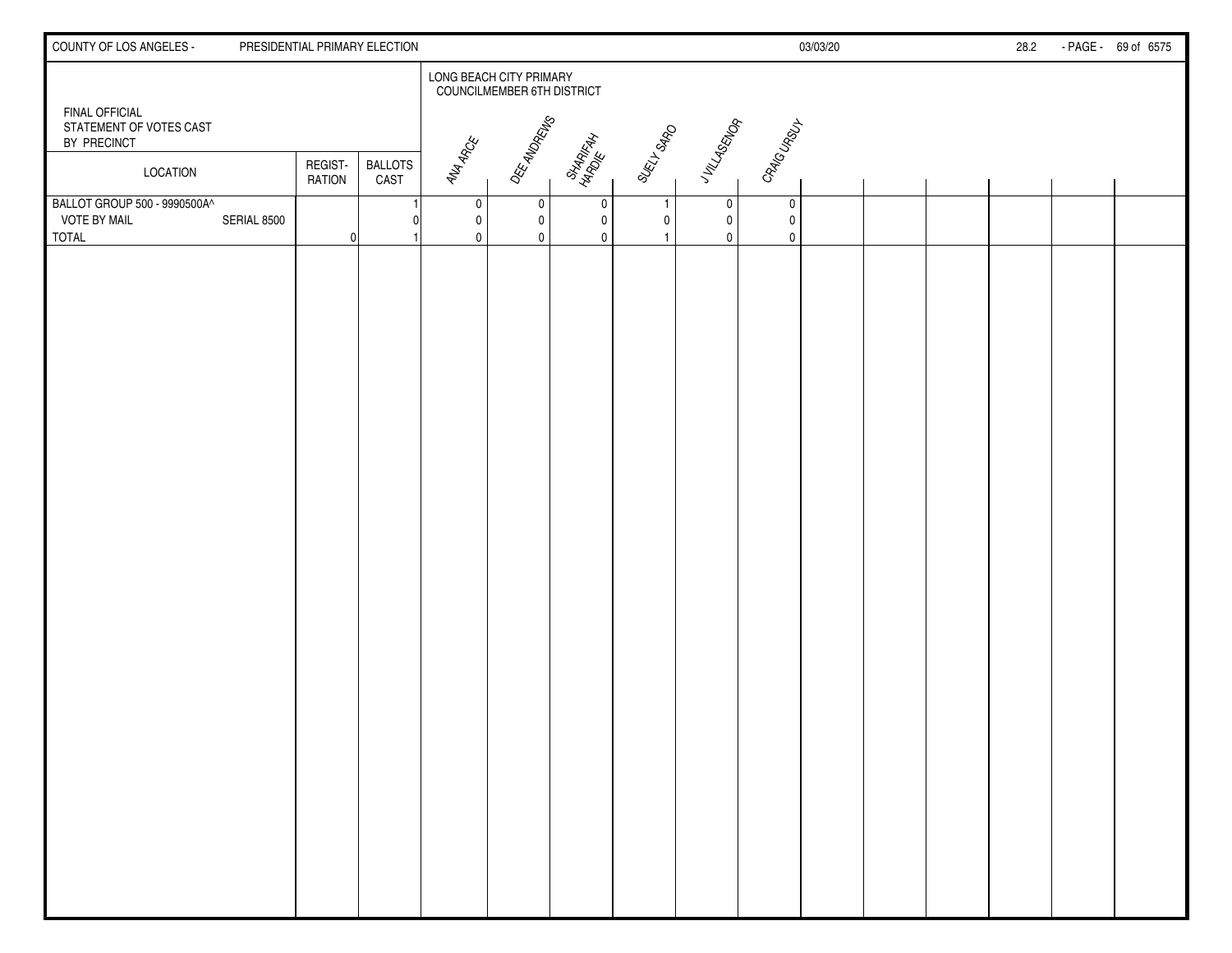| COUNTY OF LOS ANGELES -                                             |             |                          | PRESIDENTIAL PRIMARY ELECTION |                       |                                                       |                       |              |                       |                               | 03/03/20 |  | 28.2 | - PAGE - 69 of 6575 |
|---------------------------------------------------------------------|-------------|--------------------------|-------------------------------|-----------------------|-------------------------------------------------------|-----------------------|--------------|-----------------------|-------------------------------|----------|--|------|---------------------|
|                                                                     |             |                          |                               |                       | LONG BEACH CITY PRIMARY<br>COUNCILMEMBER 6TH DISTRICT |                       |              |                       |                               |          |  |      |                     |
| <b>FINAL OFFICIAL</b><br>STATEMENT OF VOTES CAST<br>BY PRECINCT     |             |                          |                               |                       | OEE-ANDREWS                                           |                       |              | JVILLASENOR           | CRAIGURELL                    |          |  |      |                     |
| LOCATION                                                            |             | REGIST-<br><b>RATION</b> | <b>BALLOTS</b><br>CAST        | <b>ANA ARCE</b>       |                                                       | SHARIFAH<br>HARDIE AH | SURI LSARD   |                       |                               |          |  |      |                     |
| BALLOT GROUP 500 - 9990500A^<br><b>VOTE BY MAIL</b><br><b>TOTAL</b> | SERIAL 8500 | $\Omega$                 |                               | 0<br>0<br>$\mathbf 0$ | 0<br>$\mathbf 0$<br>$\mathbf{0}$                      | 0<br>$\mathbf 0$<br>0 | $\mathbf{0}$ | 0<br>$\mathbf 0$<br>0 | 0<br>$\pmb{0}$<br>$\mathbf 0$ |          |  |      |                     |
|                                                                     |             |                          |                               |                       |                                                       |                       |              |                       |                               |          |  |      |                     |
|                                                                     |             |                          |                               |                       |                                                       |                       |              |                       |                               |          |  |      |                     |
|                                                                     |             |                          |                               |                       |                                                       |                       |              |                       |                               |          |  |      |                     |
|                                                                     |             |                          |                               |                       |                                                       |                       |              |                       |                               |          |  |      |                     |
|                                                                     |             |                          |                               |                       |                                                       |                       |              |                       |                               |          |  |      |                     |
|                                                                     |             |                          |                               |                       |                                                       |                       |              |                       |                               |          |  |      |                     |
|                                                                     |             |                          |                               |                       |                                                       |                       |              |                       |                               |          |  |      |                     |
|                                                                     |             |                          |                               |                       |                                                       |                       |              |                       |                               |          |  |      |                     |
|                                                                     |             |                          |                               |                       |                                                       |                       |              |                       |                               |          |  |      |                     |
|                                                                     |             |                          |                               |                       |                                                       |                       |              |                       |                               |          |  |      |                     |
|                                                                     |             |                          |                               |                       |                                                       |                       |              |                       |                               |          |  |      |                     |
|                                                                     |             |                          |                               |                       |                                                       |                       |              |                       |                               |          |  |      |                     |
|                                                                     |             |                          |                               |                       |                                                       |                       |              |                       |                               |          |  |      |                     |
|                                                                     |             |                          |                               |                       |                                                       |                       |              |                       |                               |          |  |      |                     |
|                                                                     |             |                          |                               |                       |                                                       |                       |              |                       |                               |          |  |      |                     |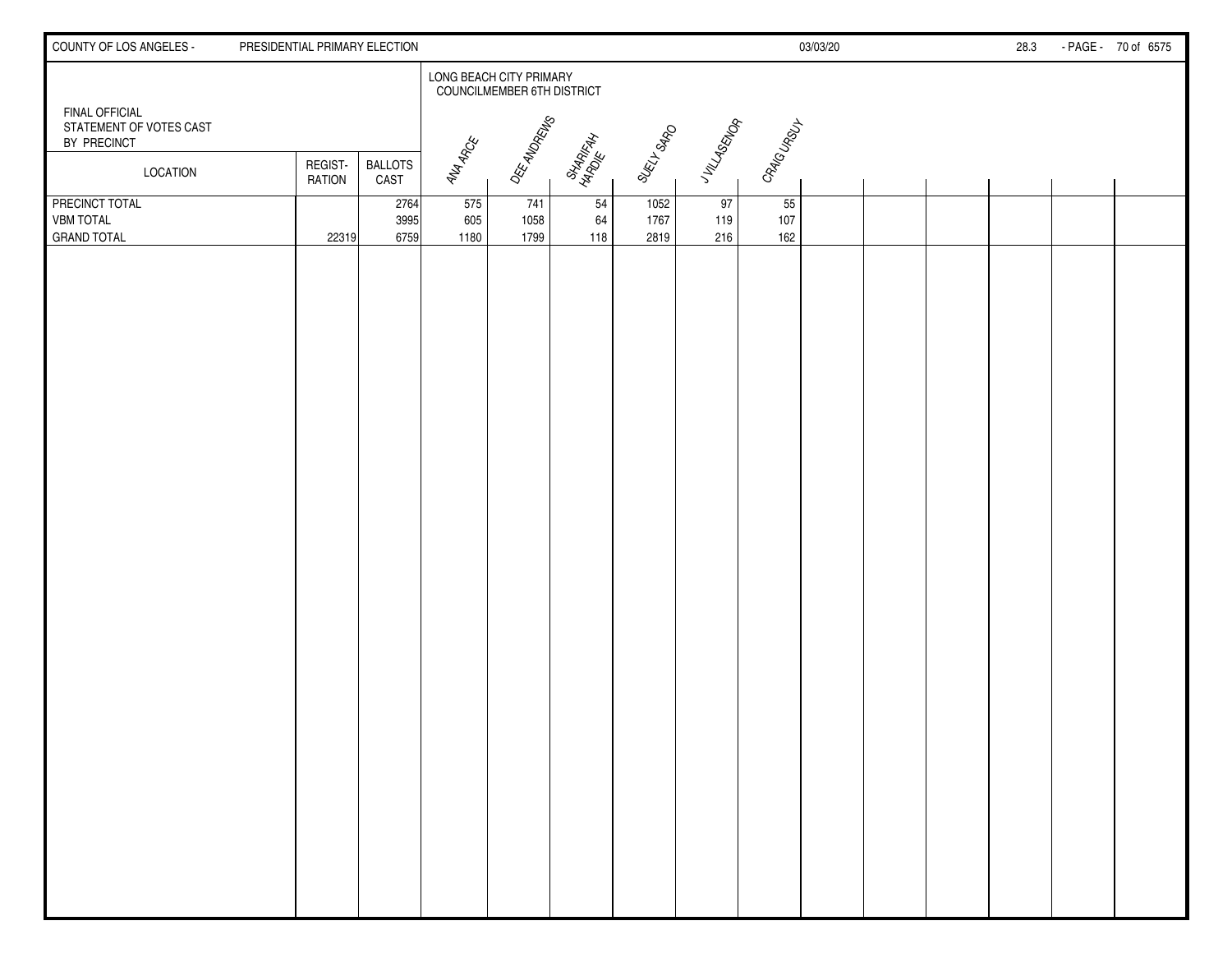| COUNTY OF LOS ANGELES -                                         | PRESIDENTIAL PRIMARY ELECTION |                        |                    |                                                              |                       |                      |                  |                  | 03/03/20 |  | 28.3 | - PAGE - 70 of 6575 |
|-----------------------------------------------------------------|-------------------------------|------------------------|--------------------|--------------------------------------------------------------|-----------------------|----------------------|------------------|------------------|----------|--|------|---------------------|
|                                                                 |                               |                        |                    | LONG BEACH CITY PRIMARY<br><b>COUNCILMEMBER 6TH DISTRICT</b> |                       |                      |                  |                  |          |  |      |                     |
| <b>FINAL OFFICIAL</b><br>STATEMENT OF VOTES CAST<br>BY PRECINCT |                               |                        |                    | DEE ANDREWS                                                  |                       | SURI LSARD           | JV149ENOR        | CRAIGURSLY       |          |  |      |                     |
| LOCATION                                                        | REGIST-<br>RATION             | <b>BALLOTS</b><br>CAST | <b>ANA ARCE</b>    |                                                              | SHARIFAN<br>HARDIE AN |                      |                  |                  |          |  |      |                     |
| PRECINCT TOTAL<br><b>VBM TOTAL</b><br><b>GRAND TOTAL</b>        | 22319                         | 2764<br>3995<br>6759   | 575<br>605<br>1180 | 741<br>1058<br>1799                                          | 54<br>64<br>118       | 1052<br>1767<br>2819 | 97<br>119<br>216 | 55<br>107<br>162 |          |  |      |                     |
|                                                                 |                               |                        |                    |                                                              |                       |                      |                  |                  |          |  |      |                     |
|                                                                 |                               |                        |                    |                                                              |                       |                      |                  |                  |          |  |      |                     |
|                                                                 |                               |                        |                    |                                                              |                       |                      |                  |                  |          |  |      |                     |
|                                                                 |                               |                        |                    |                                                              |                       |                      |                  |                  |          |  |      |                     |
|                                                                 |                               |                        |                    |                                                              |                       |                      |                  |                  |          |  |      |                     |
|                                                                 |                               |                        |                    |                                                              |                       |                      |                  |                  |          |  |      |                     |
|                                                                 |                               |                        |                    |                                                              |                       |                      |                  |                  |          |  |      |                     |
|                                                                 |                               |                        |                    |                                                              |                       |                      |                  |                  |          |  |      |                     |
|                                                                 |                               |                        |                    |                                                              |                       |                      |                  |                  |          |  |      |                     |
|                                                                 |                               |                        |                    |                                                              |                       |                      |                  |                  |          |  |      |                     |
|                                                                 |                               |                        |                    |                                                              |                       |                      |                  |                  |          |  |      |                     |
|                                                                 |                               |                        |                    |                                                              |                       |                      |                  |                  |          |  |      |                     |
|                                                                 |                               |                        |                    |                                                              |                       |                      |                  |                  |          |  |      |                     |
|                                                                 |                               |                        |                    |                                                              |                       |                      |                  |                  |          |  |      |                     |
|                                                                 |                               |                        |                    |                                                              |                       |                      |                  |                  |          |  |      |                     |
|                                                                 |                               |                        |                    |                                                              |                       |                      |                  |                  |          |  |      |                     |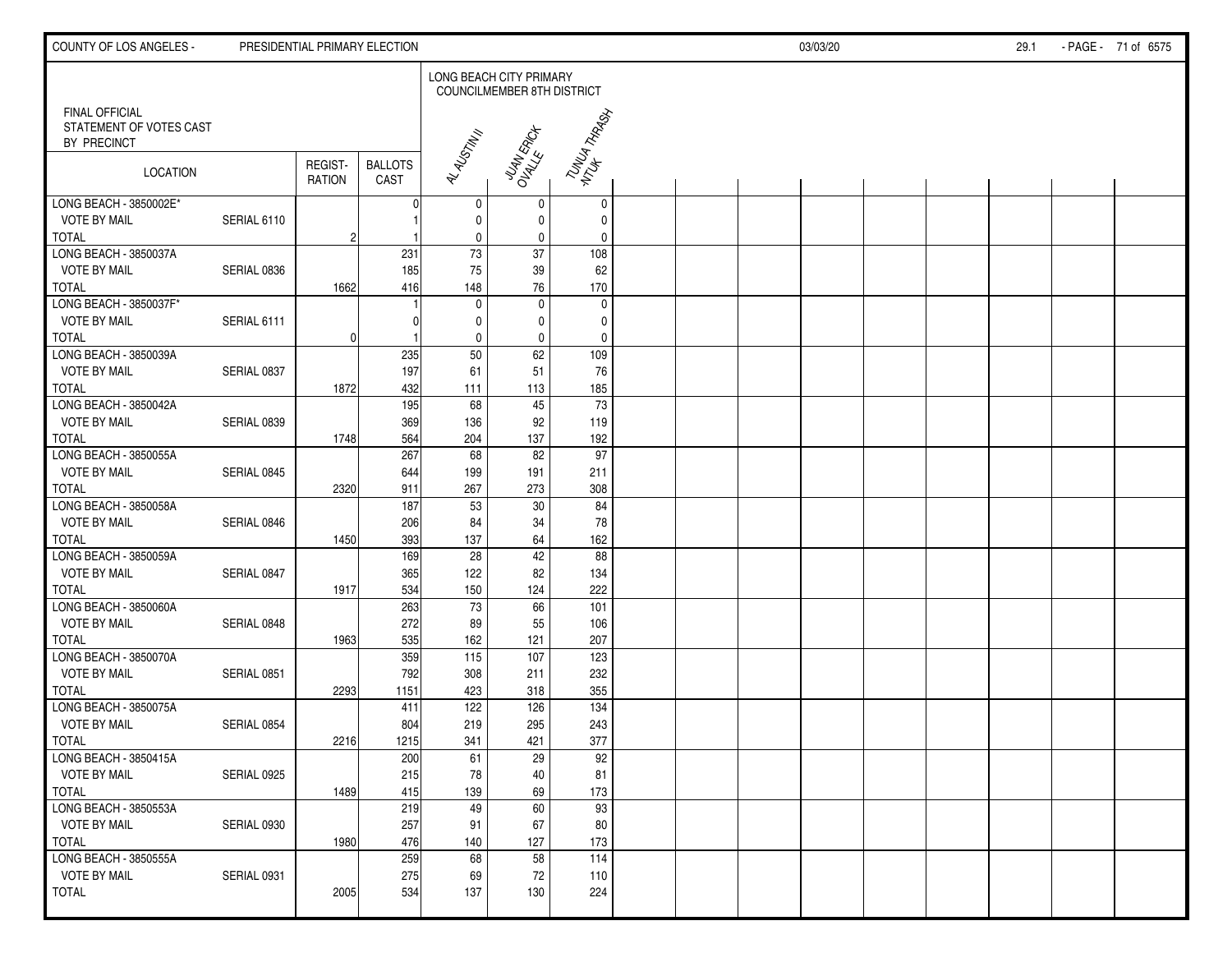| COUNTY OF LOS ANGELES -                                         |             | PRESIDENTIAL PRIMARY ELECTION |                        |                         |                            |              |  | 03/03/20 |  | 29.1 | - PAGE - 71 of 6575 |
|-----------------------------------------------------------------|-------------|-------------------------------|------------------------|-------------------------|----------------------------|--------------|--|----------|--|------|---------------------|
|                                                                 |             |                               |                        | LONG BEACH CITY PRIMARY | COUNCILMEMBER 8TH DISTRICT |              |  |          |  |      |                     |
| <b>FINAL OFFICIAL</b><br>STATEMENT OF VOTES CAST<br>BY PRECINCT |             |                               |                        | AL ALSTM II             | JUAN ERICK                 | TUNUA THARAN |  |          |  |      |                     |
| LOCATION                                                        |             | REGIST-<br><b>RATION</b>      | <b>BALLOTS</b><br>CAST |                         |                            |              |  |          |  |      |                     |
| LONG BEACH - 3850002E*                                          |             |                               |                        | 0                       | 0                          | 0            |  |          |  |      |                     |
| <b>VOTE BY MAIL</b>                                             | SERIAL 6110 |                               |                        | 0                       | 0                          | $\mathbf 0$  |  |          |  |      |                     |
| <b>TOTAL</b>                                                    |             | $\overline{c}$                |                        | $\pmb{0}$               | 0                          | 0            |  |          |  |      |                     |
| LONG BEACH - 3850037A                                           |             |                               | 231                    | 73                      | 37                         | 108          |  |          |  |      |                     |
| <b>VOTE BY MAIL</b>                                             | SERIAL 0836 |                               | 185                    | 75                      | $39\,$                     | 62           |  |          |  |      |                     |
| <b>TOTAL</b>                                                    |             | 1662                          | 416                    | 148                     | 76                         | 170          |  |          |  |      |                     |
| LONG BEACH - 3850037F*                                          |             |                               |                        | $\mathbf 0$             | $\pmb{0}$                  | $\mathbf 0$  |  |          |  |      |                     |
| <b>VOTE BY MAIL</b>                                             | SERIAL 6111 |                               |                        | 0                       | 0                          | $\mathbf 0$  |  |          |  |      |                     |
| <b>TOTAL</b>                                                    |             | $\Omega$                      |                        | $\mathbf 0$             | 0                          | $\mathbf 0$  |  |          |  |      |                     |
| LONG BEACH - 3850039A                                           |             |                               | 235                    | 50                      | 62                         | 109          |  |          |  |      |                     |
| <b>VOTE BY MAIL</b>                                             | SERIAL 0837 |                               | 197                    | 61                      | 51                         | 76           |  |          |  |      |                     |
| <b>TOTAL</b>                                                    |             | 1872                          | 432                    | 111                     | 113                        | 185          |  |          |  |      |                     |
| LONG BEACH - 3850042A                                           |             |                               | 195                    | 68                      | 45                         | 73           |  |          |  |      |                     |
| <b>VOTE BY MAIL</b>                                             | SERIAL 0839 |                               | 369                    | 136                     | 92                         | 119          |  |          |  |      |                     |
| <b>TOTAL</b>                                                    |             | 1748                          | 564                    | 204                     | 137                        | 192          |  |          |  |      |                     |
| LONG BEACH - 3850055A                                           |             |                               | 267                    | 68                      | $\overline{82}$            | 97           |  |          |  |      |                     |
| <b>VOTE BY MAIL</b>                                             | SERIAL 0845 |                               | 644                    | 199                     | 191                        | 211          |  |          |  |      |                     |
| <b>TOTAL</b>                                                    |             | 2320                          | 911                    | 267                     | 273                        | 308          |  |          |  |      |                     |
| LONG BEACH - 3850058A                                           |             |                               | 187                    | 53                      | 30                         | 84           |  |          |  |      |                     |
| <b>VOTE BY MAIL</b>                                             | SERIAL 0846 |                               | 206                    | 84                      | 34                         | 78           |  |          |  |      |                     |
| <b>TOTAL</b>                                                    |             | 1450                          | 393                    | 137                     | 64                         | 162          |  |          |  |      |                     |
| LONG BEACH - 3850059A                                           |             |                               | 169                    | 28                      | 42                         | 88           |  |          |  |      |                     |
| <b>VOTE BY MAIL</b>                                             | SERIAL 0847 |                               | 365                    | 122                     | 82                         | 134          |  |          |  |      |                     |
| <b>TOTAL</b>                                                    |             | 1917                          | 534                    | 150                     | 124                        | 222          |  |          |  |      |                     |
| LONG BEACH - 3850060A                                           |             |                               | 263                    | 73                      | 66                         | 101          |  |          |  |      |                     |
| <b>VOTE BY MAIL</b>                                             | SERIAL 0848 |                               | 272                    | 89                      | 55                         | 106          |  |          |  |      |                     |
| <b>TOTAL</b>                                                    |             | 1963                          | 535                    | 162                     | 121                        | 207          |  |          |  |      |                     |
| LONG BEACH - 3850070A                                           |             |                               | 359                    | 115                     | 107                        | 123          |  |          |  |      |                     |
| <b>VOTE BY MAIL</b>                                             | SERIAL 0851 |                               | 792                    | 308                     | 211                        | 232          |  |          |  |      |                     |
| <b>TOTAL</b>                                                    |             | 2293                          | 1151                   | 423                     | 318                        | 355          |  |          |  |      |                     |
| LONG BEACH - 3850075A                                           |             |                               | 411                    | 122                     | 126                        | 134          |  |          |  |      |                     |
| <b>VOTE BY MAIL</b>                                             | SERIAL 0854 |                               | 804                    | 219                     | 295                        | 243          |  |          |  |      |                     |
| <b>TOTAL</b>                                                    |             | 2216                          | 1215                   | 341                     | 421                        | 377          |  |          |  |      |                     |
| LONG BEACH - 3850415A                                           |             |                               | 200                    | 61                      | 29                         | 92           |  |          |  |      |                     |
| <b>VOTE BY MAIL</b>                                             | SERIAL 0925 |                               | 215                    | 78                      | 40                         | 81           |  |          |  |      |                     |
| <b>TOTAL</b>                                                    |             | 1489                          | 415                    | 139                     | 69                         | 173          |  |          |  |      |                     |
| LONG BEACH - 3850553A                                           |             |                               | 219                    | 49                      | 60                         | 93           |  |          |  |      |                     |
| <b>VOTE BY MAIL</b>                                             | SERIAL 0930 |                               | 257                    | 91                      | 67                         | 80           |  |          |  |      |                     |
| <b>TOTAL</b>                                                    |             | 1980                          | 476                    | 140                     | 127                        | 173          |  |          |  |      |                     |
| LONG BEACH - 3850555A                                           |             |                               | 259                    | 68                      | 58                         | 114          |  |          |  |      |                     |
| <b>VOTE BY MAIL</b>                                             | SERIAL 0931 |                               | 275                    | 69                      | 72                         | 110          |  |          |  |      |                     |
| <b>TOTAL</b>                                                    |             | 2005                          | 534                    | 137                     | 130                        | 224          |  |          |  |      |                     |
|                                                                 |             |                               |                        |                         |                            |              |  |          |  |      |                     |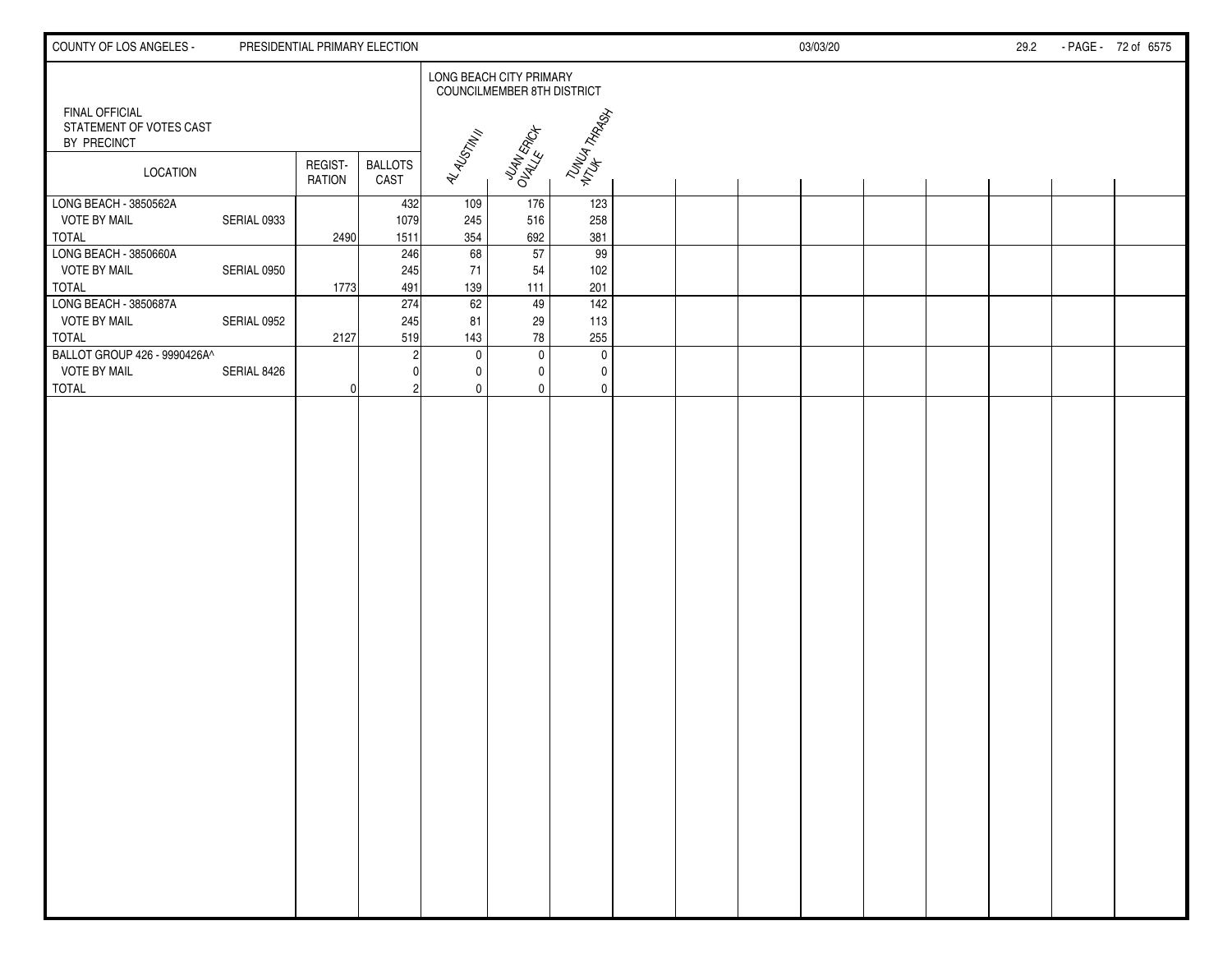| COUNTY OF LOS ANGELES -                                  |             | PRESIDENTIAL PRIMARY ELECTION |                        |              |                                                                     |                           |  | 03/03/20 |  | 29.2 | - PAGE - 72 of 6575 |
|----------------------------------------------------------|-------------|-------------------------------|------------------------|--------------|---------------------------------------------------------------------|---------------------------|--|----------|--|------|---------------------|
|                                                          |             |                               |                        |              | <b>LONG BEACH CITY PRIMARY</b><br><b>COUNCILMEMBER 8TH DISTRICT</b> |                           |  |          |  |      |                     |
| FINAL OFFICIAL<br>STATEMENT OF VOTES CAST<br>BY PRECINCT |             |                               |                        |              |                                                                     | TUNUA THAGH<br>MTUH THAGH |  |          |  |      |                     |
| <b>LOCATION</b>                                          |             | REGIST-<br>RATION             | <b>BALLOTS</b><br>CAST | AL ALGTIN II | JUAN ERICA                                                          |                           |  |          |  |      |                     |
| LONG BEACH - 3850562A                                    |             |                               | 432                    | 109          | 176                                                                 | 123                       |  |          |  |      |                     |
| <b>VOTE BY MAIL</b>                                      | SERIAL 0933 |                               | 1079                   | 245          | 516                                                                 | 258                       |  |          |  |      |                     |
| <b>TOTAL</b><br>LONG BEACH - 3850660A                    |             | 2490                          | 1511<br>246            | 354<br>68    | 692<br>57                                                           | 381<br>99                 |  |          |  |      |                     |
| <b>VOTE BY MAIL</b>                                      | SERIAL 0950 |                               | 245                    | 71           | 54                                                                  | 102                       |  |          |  |      |                     |
| <b>TOTAL</b>                                             |             | 1773                          | 491                    | 139          | 111                                                                 | 201                       |  |          |  |      |                     |
| LONG BEACH - 3850687A                                    |             |                               | 274                    | 62           | 49                                                                  | 142                       |  |          |  |      |                     |
| <b>VOTE BY MAIL</b>                                      | SERIAL 0952 |                               | 245                    | 81           | 29                                                                  | 113                       |  |          |  |      |                     |
| <b>TOTAL</b>                                             |             | 2127                          | 519                    | 143          | 78                                                                  | 255                       |  |          |  |      |                     |
| BALLOT GROUP 426 - 9990426A^                             |             |                               |                        | $\mathbf 0$  | $\mathbf{0}$                                                        | $\mathbf 0$               |  |          |  |      |                     |
| <b>VOTE BY MAIL</b>                                      | SERIAL 8426 |                               |                        | 0            | 0                                                                   | 0                         |  |          |  |      |                     |
| <b>TOTAL</b>                                             |             | 0                             |                        | 0            | $\mathbf{0}$                                                        | $\mathbf 0$               |  |          |  |      |                     |
|                                                          |             |                               |                        |              |                                                                     |                           |  |          |  |      |                     |
|                                                          |             |                               |                        |              |                                                                     |                           |  |          |  |      |                     |
|                                                          |             |                               |                        |              |                                                                     |                           |  |          |  |      |                     |
|                                                          |             |                               |                        |              |                                                                     |                           |  |          |  |      |                     |
|                                                          |             |                               |                        |              |                                                                     |                           |  |          |  |      |                     |
|                                                          |             |                               |                        |              |                                                                     |                           |  |          |  |      |                     |
|                                                          |             |                               |                        |              |                                                                     |                           |  |          |  |      |                     |
|                                                          |             |                               |                        |              |                                                                     |                           |  |          |  |      |                     |
|                                                          |             |                               |                        |              |                                                                     |                           |  |          |  |      |                     |
|                                                          |             |                               |                        |              |                                                                     |                           |  |          |  |      |                     |
|                                                          |             |                               |                        |              |                                                                     |                           |  |          |  |      |                     |
|                                                          |             |                               |                        |              |                                                                     |                           |  |          |  |      |                     |
|                                                          |             |                               |                        |              |                                                                     |                           |  |          |  |      |                     |
|                                                          |             |                               |                        |              |                                                                     |                           |  |          |  |      |                     |
|                                                          |             |                               |                        |              |                                                                     |                           |  |          |  |      |                     |
|                                                          |             |                               |                        |              |                                                                     |                           |  |          |  |      |                     |
|                                                          |             |                               |                        |              |                                                                     |                           |  |          |  |      |                     |
|                                                          |             |                               |                        |              |                                                                     |                           |  |          |  |      |                     |
|                                                          |             |                               |                        |              |                                                                     |                           |  |          |  |      |                     |
|                                                          |             |                               |                        |              |                                                                     |                           |  |          |  |      |                     |
|                                                          |             |                               |                        |              |                                                                     |                           |  |          |  |      |                     |
|                                                          |             |                               |                        |              |                                                                     |                           |  |          |  |      |                     |
|                                                          |             |                               |                        |              |                                                                     |                           |  |          |  |      |                     |
|                                                          |             |                               |                        |              |                                                                     |                           |  |          |  |      |                     |
|                                                          |             |                               |                        |              |                                                                     |                           |  |          |  |      |                     |
|                                                          |             |                               |                        |              |                                                                     |                           |  |          |  |      |                     |
|                                                          |             |                               |                        |              |                                                                     |                           |  |          |  |      |                     |
|                                                          |             |                               |                        |              |                                                                     |                           |  |          |  |      |                     |
|                                                          |             |                               |                        |              |                                                                     |                           |  |          |  |      |                     |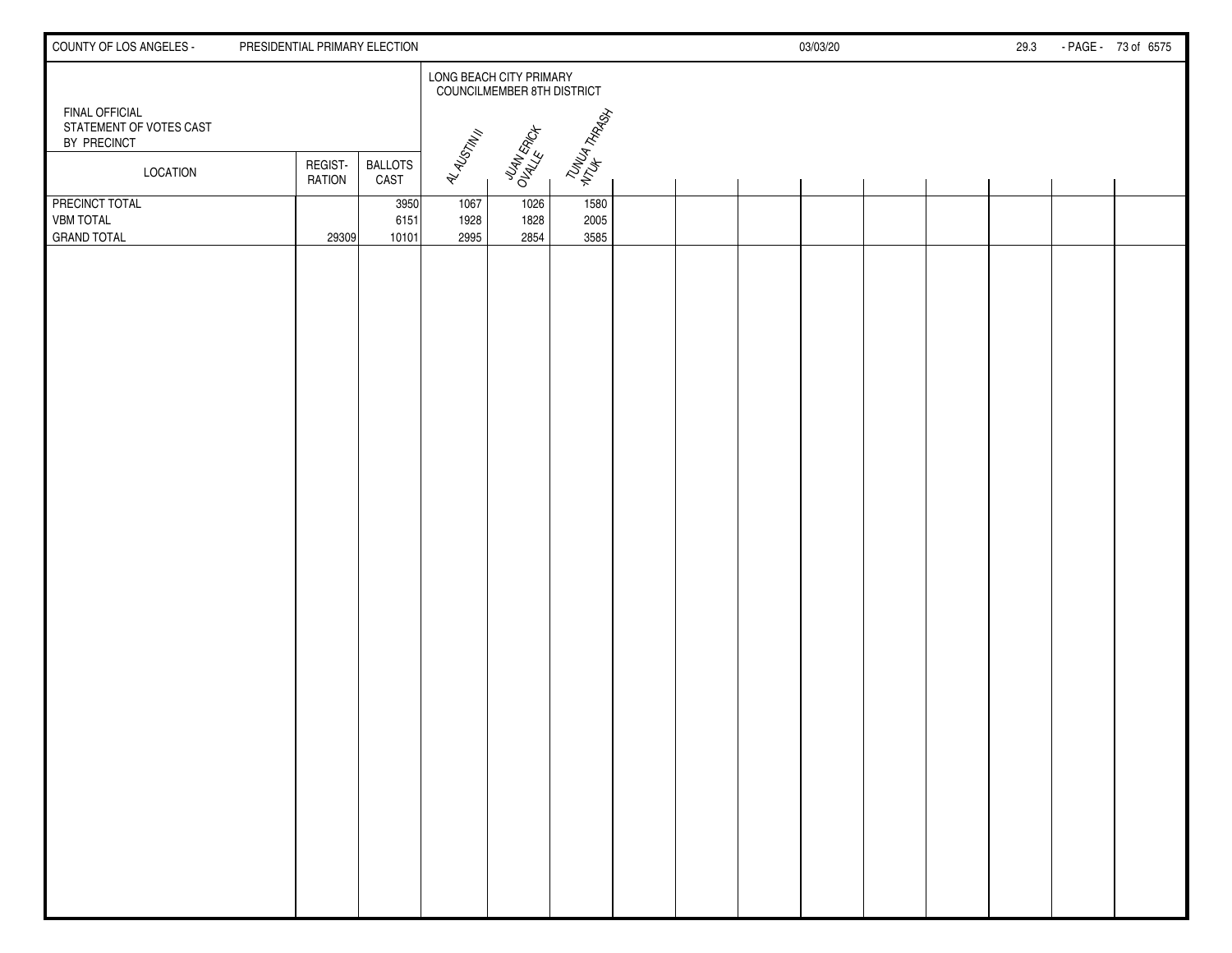| COUNTY OF LOS ANGELES -                                  | PRESIDENTIAL PRIMARY ELECTION |                        |                      |                                                       |                      |  | 03/03/20 |  | 29.3 | - PAGE - 73 of 6575 |
|----------------------------------------------------------|-------------------------------|------------------------|----------------------|-------------------------------------------------------|----------------------|--|----------|--|------|---------------------|
|                                                          |                               |                        |                      | LONG BEACH CITY PRIMARY<br>COUNCILMEMBER 8TH DISTRICT |                      |  |          |  |      |                     |
| FINAL OFFICIAL<br>STATEMENT OF VOTES CAST<br>BY PRECINCT |                               |                        |                      |                                                       | TUNUA TARASH         |  |          |  |      |                     |
| <b>LOCATION</b>                                          | REGIST-<br><b>RATION</b>      | <b>BALLOTS</b><br>CAST | AL ALISTM !!         | JUAN ERICA                                            |                      |  |          |  |      |                     |
| PRECINCT TOTAL<br><b>VBM TOTAL</b><br><b>GRAND TOTAL</b> | 29309                         | 3950<br>6151<br>10101  | 1067<br>1928<br>2995 | 1026<br>1828<br>2854                                  | 1580<br>2005<br>3585 |  |          |  |      |                     |
|                                                          |                               |                        |                      |                                                       |                      |  |          |  |      |                     |
|                                                          |                               |                        |                      |                                                       |                      |  |          |  |      |                     |
|                                                          |                               |                        |                      |                                                       |                      |  |          |  |      |                     |
|                                                          |                               |                        |                      |                                                       |                      |  |          |  |      |                     |
|                                                          |                               |                        |                      |                                                       |                      |  |          |  |      |                     |
|                                                          |                               |                        |                      |                                                       |                      |  |          |  |      |                     |
|                                                          |                               |                        |                      |                                                       |                      |  |          |  |      |                     |
|                                                          |                               |                        |                      |                                                       |                      |  |          |  |      |                     |
|                                                          |                               |                        |                      |                                                       |                      |  |          |  |      |                     |
|                                                          |                               |                        |                      |                                                       |                      |  |          |  |      |                     |
|                                                          |                               |                        |                      |                                                       |                      |  |          |  |      |                     |
|                                                          |                               |                        |                      |                                                       |                      |  |          |  |      |                     |
|                                                          |                               |                        |                      |                                                       |                      |  |          |  |      |                     |
|                                                          |                               |                        |                      |                                                       |                      |  |          |  |      |                     |
|                                                          |                               |                        |                      |                                                       |                      |  |          |  |      |                     |
|                                                          |                               |                        |                      |                                                       |                      |  |          |  |      |                     |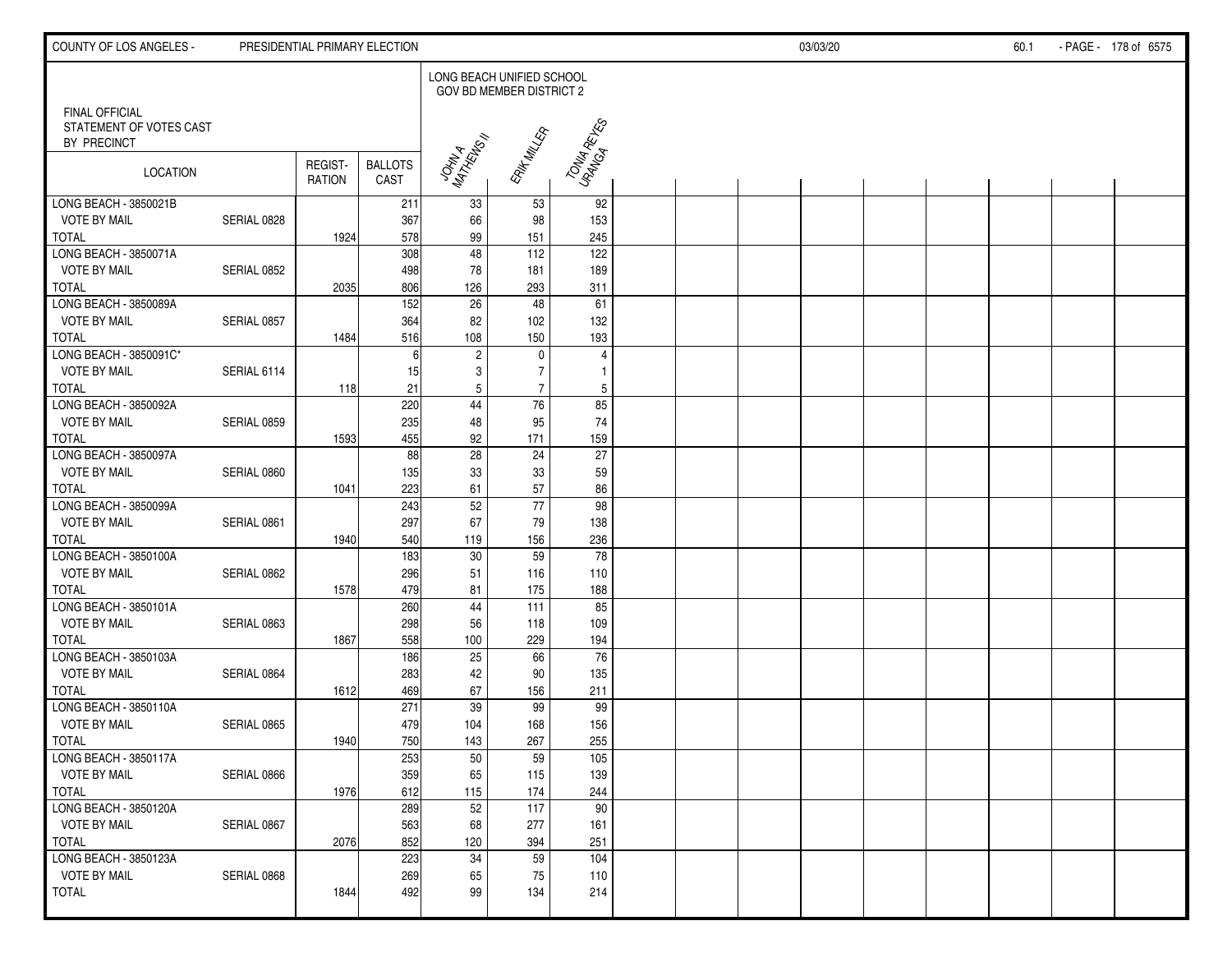| LONG BEACH UNIFIED SCHOOL<br>GOV BD MEMBER DISTRICT 2<br><b>FINAL OFFICIAL</b><br>TONIA RETIES<br>STATEMENT OF VOTES CAST<br>ERIK MILLER<br>JOHN A<br>MATHEWS !!<br>BY PRECINCT<br>REGIST-<br><b>BALLOTS</b><br>LOCATION<br>CAST<br><b>RATION</b><br>33<br>53<br>92<br>211<br><b>VOTE BY MAIL</b><br>367<br>153<br>SERIAL 0828<br>66<br>98<br>578<br><b>TOTAL</b><br>99<br>151<br>245<br>1924<br>48<br>LONG BEACH - 3850071A<br>308<br>112<br>122<br><b>VOTE BY MAIL</b><br>78<br>498<br>181<br>189<br>SERIAL 0852<br>806<br>126<br>293<br>311<br><b>TOTAL</b><br>2035<br>152<br>26<br>48<br>LONG BEACH - 3850089A<br>61<br><b>VOTE BY MAIL</b><br>SERIAL 0857<br>364<br>82<br>102<br>132<br>108<br><b>TOTAL</b><br>516<br>150<br>193<br>1484<br>LONG BEACH - 3850091C*<br>$\sqrt{2}$<br>0<br>4<br>6<br>$\overline{7}$<br>3<br><b>VOTE BY MAIL</b><br>SERIAL 6114<br>15<br>$\mathbf{1}$<br>$\overline{7}$<br>21<br>5<br><b>TOTAL</b><br>118<br>5<br>LONG BEACH - 3850092A<br>44<br>76<br>220<br>85<br><b>VOTE BY MAIL</b><br>74<br>SERIAL 0859<br>235<br>48<br>95<br>455<br>92<br>171<br><b>TOTAL</b><br>1593<br>159<br>$\overline{28}$<br>88<br>$\overline{24}$<br>27<br>LONG BEACH - 3850097A<br><b>VOTE BY MAIL</b><br>135<br>33<br>$33\,$<br>59<br>SERIAL 0860<br><b>TOTAL</b><br>223<br>61<br>57<br>86<br>1041<br>$\overline{77}$<br>LONG BEACH - 3850099A<br>52<br>243<br>98<br><b>VOTE BY MAIL</b><br>297<br>SERIAL 0861<br>67<br>79<br>138<br>540<br>119<br>156<br>236<br>TOTAL<br>1940<br>LONG BEACH - 3850100A<br>183<br>59<br>$\overline{78}$<br>30<br><b>VOTE BY MAIL</b><br>SERIAL 0862<br>296<br>51<br>116<br>110<br>479<br><b>TOTAL</b><br>81<br>175<br>188<br>1578<br>260<br>44<br>85<br>LONG BEACH - 3850101A<br>111<br><b>VOTE BY MAIL</b><br>298<br>SERIAL 0863<br>56<br>118<br>109<br>558<br>100<br>229<br>194<br><b>TOTAL</b><br>1867<br>LONG BEACH - 3850103A<br>186<br>25<br>66<br>$76\,$<br><b>VOTE BY MAIL</b><br>283<br>42<br>90<br>135<br>SERIAL 0864<br>67<br><b>TOTAL</b><br>1612<br>469<br>156<br>211<br>LONG BEACH - 3850110A<br>271<br>39<br>99<br>99<br><b>VOTE BY MAIL</b><br>479<br>156<br>SERIAL 0865<br>104<br>168<br>1940<br>750<br>143<br>267<br>255<br>253<br>50<br>LONG BEACH - 3850117A<br>59<br>105<br>359<br><b>VOTE BY MAIL</b><br>SERIAL 0866<br>65<br>115<br>139<br>612<br><b>TOTAL</b><br>1976<br>115<br>174<br>244<br>LONG BEACH - 3850120A<br>289<br>52<br>117<br>90<br><b>VOTE BY MAIL</b><br>SERIAL 0867<br>563<br>68<br>277<br>161<br>852<br><b>TOTAL</b><br>120<br>394<br>251<br>2076<br>223<br>34<br>59<br>LONG BEACH - 3850123A<br>104<br><b>VOTE BY MAIL</b><br>269<br>SERIAL 0868<br>65<br>75<br>110<br><b>TOTAL</b><br>492<br>99<br>134<br>214<br>1844 | COUNTY OF LOS ANGELES - | PRESIDENTIAL PRIMARY ELECTION |  |  |  | 03/03/20 |  | 60.1 | - PAGE - 178 of 6575 |
|-------------------------------------------------------------------------------------------------------------------------------------------------------------------------------------------------------------------------------------------------------------------------------------------------------------------------------------------------------------------------------------------------------------------------------------------------------------------------------------------------------------------------------------------------------------------------------------------------------------------------------------------------------------------------------------------------------------------------------------------------------------------------------------------------------------------------------------------------------------------------------------------------------------------------------------------------------------------------------------------------------------------------------------------------------------------------------------------------------------------------------------------------------------------------------------------------------------------------------------------------------------------------------------------------------------------------------------------------------------------------------------------------------------------------------------------------------------------------------------------------------------------------------------------------------------------------------------------------------------------------------------------------------------------------------------------------------------------------------------------------------------------------------------------------------------------------------------------------------------------------------------------------------------------------------------------------------------------------------------------------------------------------------------------------------------------------------------------------------------------------------------------------------------------------------------------------------------------------------------------------------------------------------------------------------------------------------------------------------------------------------------------------------------------------------------------------------------------------------------------------------------------------------------------------------------------------------------------------------------------------------------------------------------------------------------------------------------------|-------------------------|-------------------------------|--|--|--|----------|--|------|----------------------|
|                                                                                                                                                                                                                                                                                                                                                                                                                                                                                                                                                                                                                                                                                                                                                                                                                                                                                                                                                                                                                                                                                                                                                                                                                                                                                                                                                                                                                                                                                                                                                                                                                                                                                                                                                                                                                                                                                                                                                                                                                                                                                                                                                                                                                                                                                                                                                                                                                                                                                                                                                                                                                                                                                                                   |                         |                               |  |  |  |          |  |      |                      |
|                                                                                                                                                                                                                                                                                                                                                                                                                                                                                                                                                                                                                                                                                                                                                                                                                                                                                                                                                                                                                                                                                                                                                                                                                                                                                                                                                                                                                                                                                                                                                                                                                                                                                                                                                                                                                                                                                                                                                                                                                                                                                                                                                                                                                                                                                                                                                                                                                                                                                                                                                                                                                                                                                                                   |                         |                               |  |  |  |          |  |      |                      |
|                                                                                                                                                                                                                                                                                                                                                                                                                                                                                                                                                                                                                                                                                                                                                                                                                                                                                                                                                                                                                                                                                                                                                                                                                                                                                                                                                                                                                                                                                                                                                                                                                                                                                                                                                                                                                                                                                                                                                                                                                                                                                                                                                                                                                                                                                                                                                                                                                                                                                                                                                                                                                                                                                                                   |                         |                               |  |  |  |          |  |      |                      |
|                                                                                                                                                                                                                                                                                                                                                                                                                                                                                                                                                                                                                                                                                                                                                                                                                                                                                                                                                                                                                                                                                                                                                                                                                                                                                                                                                                                                                                                                                                                                                                                                                                                                                                                                                                                                                                                                                                                                                                                                                                                                                                                                                                                                                                                                                                                                                                                                                                                                                                                                                                                                                                                                                                                   | LONG BEACH - 3850021B   |                               |  |  |  |          |  |      |                      |
|                                                                                                                                                                                                                                                                                                                                                                                                                                                                                                                                                                                                                                                                                                                                                                                                                                                                                                                                                                                                                                                                                                                                                                                                                                                                                                                                                                                                                                                                                                                                                                                                                                                                                                                                                                                                                                                                                                                                                                                                                                                                                                                                                                                                                                                                                                                                                                                                                                                                                                                                                                                                                                                                                                                   |                         |                               |  |  |  |          |  |      |                      |
|                                                                                                                                                                                                                                                                                                                                                                                                                                                                                                                                                                                                                                                                                                                                                                                                                                                                                                                                                                                                                                                                                                                                                                                                                                                                                                                                                                                                                                                                                                                                                                                                                                                                                                                                                                                                                                                                                                                                                                                                                                                                                                                                                                                                                                                                                                                                                                                                                                                                                                                                                                                                                                                                                                                   |                         |                               |  |  |  |          |  |      |                      |
|                                                                                                                                                                                                                                                                                                                                                                                                                                                                                                                                                                                                                                                                                                                                                                                                                                                                                                                                                                                                                                                                                                                                                                                                                                                                                                                                                                                                                                                                                                                                                                                                                                                                                                                                                                                                                                                                                                                                                                                                                                                                                                                                                                                                                                                                                                                                                                                                                                                                                                                                                                                                                                                                                                                   |                         |                               |  |  |  |          |  |      |                      |
|                                                                                                                                                                                                                                                                                                                                                                                                                                                                                                                                                                                                                                                                                                                                                                                                                                                                                                                                                                                                                                                                                                                                                                                                                                                                                                                                                                                                                                                                                                                                                                                                                                                                                                                                                                                                                                                                                                                                                                                                                                                                                                                                                                                                                                                                                                                                                                                                                                                                                                                                                                                                                                                                                                                   |                         |                               |  |  |  |          |  |      |                      |
|                                                                                                                                                                                                                                                                                                                                                                                                                                                                                                                                                                                                                                                                                                                                                                                                                                                                                                                                                                                                                                                                                                                                                                                                                                                                                                                                                                                                                                                                                                                                                                                                                                                                                                                                                                                                                                                                                                                                                                                                                                                                                                                                                                                                                                                                                                                                                                                                                                                                                                                                                                                                                                                                                                                   |                         |                               |  |  |  |          |  |      |                      |
|                                                                                                                                                                                                                                                                                                                                                                                                                                                                                                                                                                                                                                                                                                                                                                                                                                                                                                                                                                                                                                                                                                                                                                                                                                                                                                                                                                                                                                                                                                                                                                                                                                                                                                                                                                                                                                                                                                                                                                                                                                                                                                                                                                                                                                                                                                                                                                                                                                                                                                                                                                                                                                                                                                                   |                         |                               |  |  |  |          |  |      |                      |
|                                                                                                                                                                                                                                                                                                                                                                                                                                                                                                                                                                                                                                                                                                                                                                                                                                                                                                                                                                                                                                                                                                                                                                                                                                                                                                                                                                                                                                                                                                                                                                                                                                                                                                                                                                                                                                                                                                                                                                                                                                                                                                                                                                                                                                                                                                                                                                                                                                                                                                                                                                                                                                                                                                                   |                         |                               |  |  |  |          |  |      |                      |
|                                                                                                                                                                                                                                                                                                                                                                                                                                                                                                                                                                                                                                                                                                                                                                                                                                                                                                                                                                                                                                                                                                                                                                                                                                                                                                                                                                                                                                                                                                                                                                                                                                                                                                                                                                                                                                                                                                                                                                                                                                                                                                                                                                                                                                                                                                                                                                                                                                                                                                                                                                                                                                                                                                                   |                         |                               |  |  |  |          |  |      |                      |
|                                                                                                                                                                                                                                                                                                                                                                                                                                                                                                                                                                                                                                                                                                                                                                                                                                                                                                                                                                                                                                                                                                                                                                                                                                                                                                                                                                                                                                                                                                                                                                                                                                                                                                                                                                                                                                                                                                                                                                                                                                                                                                                                                                                                                                                                                                                                                                                                                                                                                                                                                                                                                                                                                                                   |                         |                               |  |  |  |          |  |      |                      |
|                                                                                                                                                                                                                                                                                                                                                                                                                                                                                                                                                                                                                                                                                                                                                                                                                                                                                                                                                                                                                                                                                                                                                                                                                                                                                                                                                                                                                                                                                                                                                                                                                                                                                                                                                                                                                                                                                                                                                                                                                                                                                                                                                                                                                                                                                                                                                                                                                                                                                                                                                                                                                                                                                                                   |                         |                               |  |  |  |          |  |      |                      |
|                                                                                                                                                                                                                                                                                                                                                                                                                                                                                                                                                                                                                                                                                                                                                                                                                                                                                                                                                                                                                                                                                                                                                                                                                                                                                                                                                                                                                                                                                                                                                                                                                                                                                                                                                                                                                                                                                                                                                                                                                                                                                                                                                                                                                                                                                                                                                                                                                                                                                                                                                                                                                                                                                                                   |                         |                               |  |  |  |          |  |      |                      |
|                                                                                                                                                                                                                                                                                                                                                                                                                                                                                                                                                                                                                                                                                                                                                                                                                                                                                                                                                                                                                                                                                                                                                                                                                                                                                                                                                                                                                                                                                                                                                                                                                                                                                                                                                                                                                                                                                                                                                                                                                                                                                                                                                                                                                                                                                                                                                                                                                                                                                                                                                                                                                                                                                                                   |                         |                               |  |  |  |          |  |      |                      |
|                                                                                                                                                                                                                                                                                                                                                                                                                                                                                                                                                                                                                                                                                                                                                                                                                                                                                                                                                                                                                                                                                                                                                                                                                                                                                                                                                                                                                                                                                                                                                                                                                                                                                                                                                                                                                                                                                                                                                                                                                                                                                                                                                                                                                                                                                                                                                                                                                                                                                                                                                                                                                                                                                                                   |                         |                               |  |  |  |          |  |      |                      |
|                                                                                                                                                                                                                                                                                                                                                                                                                                                                                                                                                                                                                                                                                                                                                                                                                                                                                                                                                                                                                                                                                                                                                                                                                                                                                                                                                                                                                                                                                                                                                                                                                                                                                                                                                                                                                                                                                                                                                                                                                                                                                                                                                                                                                                                                                                                                                                                                                                                                                                                                                                                                                                                                                                                   |                         |                               |  |  |  |          |  |      |                      |
|                                                                                                                                                                                                                                                                                                                                                                                                                                                                                                                                                                                                                                                                                                                                                                                                                                                                                                                                                                                                                                                                                                                                                                                                                                                                                                                                                                                                                                                                                                                                                                                                                                                                                                                                                                                                                                                                                                                                                                                                                                                                                                                                                                                                                                                                                                                                                                                                                                                                                                                                                                                                                                                                                                                   |                         |                               |  |  |  |          |  |      |                      |
|                                                                                                                                                                                                                                                                                                                                                                                                                                                                                                                                                                                                                                                                                                                                                                                                                                                                                                                                                                                                                                                                                                                                                                                                                                                                                                                                                                                                                                                                                                                                                                                                                                                                                                                                                                                                                                                                                                                                                                                                                                                                                                                                                                                                                                                                                                                                                                                                                                                                                                                                                                                                                                                                                                                   |                         |                               |  |  |  |          |  |      |                      |
|                                                                                                                                                                                                                                                                                                                                                                                                                                                                                                                                                                                                                                                                                                                                                                                                                                                                                                                                                                                                                                                                                                                                                                                                                                                                                                                                                                                                                                                                                                                                                                                                                                                                                                                                                                                                                                                                                                                                                                                                                                                                                                                                                                                                                                                                                                                                                                                                                                                                                                                                                                                                                                                                                                                   |                         |                               |  |  |  |          |  |      |                      |
|                                                                                                                                                                                                                                                                                                                                                                                                                                                                                                                                                                                                                                                                                                                                                                                                                                                                                                                                                                                                                                                                                                                                                                                                                                                                                                                                                                                                                                                                                                                                                                                                                                                                                                                                                                                                                                                                                                                                                                                                                                                                                                                                                                                                                                                                                                                                                                                                                                                                                                                                                                                                                                                                                                                   |                         |                               |  |  |  |          |  |      |                      |
|                                                                                                                                                                                                                                                                                                                                                                                                                                                                                                                                                                                                                                                                                                                                                                                                                                                                                                                                                                                                                                                                                                                                                                                                                                                                                                                                                                                                                                                                                                                                                                                                                                                                                                                                                                                                                                                                                                                                                                                                                                                                                                                                                                                                                                                                                                                                                                                                                                                                                                                                                                                                                                                                                                                   |                         |                               |  |  |  |          |  |      |                      |
|                                                                                                                                                                                                                                                                                                                                                                                                                                                                                                                                                                                                                                                                                                                                                                                                                                                                                                                                                                                                                                                                                                                                                                                                                                                                                                                                                                                                                                                                                                                                                                                                                                                                                                                                                                                                                                                                                                                                                                                                                                                                                                                                                                                                                                                                                                                                                                                                                                                                                                                                                                                                                                                                                                                   |                         |                               |  |  |  |          |  |      |                      |
|                                                                                                                                                                                                                                                                                                                                                                                                                                                                                                                                                                                                                                                                                                                                                                                                                                                                                                                                                                                                                                                                                                                                                                                                                                                                                                                                                                                                                                                                                                                                                                                                                                                                                                                                                                                                                                                                                                                                                                                                                                                                                                                                                                                                                                                                                                                                                                                                                                                                                                                                                                                                                                                                                                                   |                         |                               |  |  |  |          |  |      |                      |
|                                                                                                                                                                                                                                                                                                                                                                                                                                                                                                                                                                                                                                                                                                                                                                                                                                                                                                                                                                                                                                                                                                                                                                                                                                                                                                                                                                                                                                                                                                                                                                                                                                                                                                                                                                                                                                                                                                                                                                                                                                                                                                                                                                                                                                                                                                                                                                                                                                                                                                                                                                                                                                                                                                                   |                         |                               |  |  |  |          |  |      |                      |
|                                                                                                                                                                                                                                                                                                                                                                                                                                                                                                                                                                                                                                                                                                                                                                                                                                                                                                                                                                                                                                                                                                                                                                                                                                                                                                                                                                                                                                                                                                                                                                                                                                                                                                                                                                                                                                                                                                                                                                                                                                                                                                                                                                                                                                                                                                                                                                                                                                                                                                                                                                                                                                                                                                                   |                         |                               |  |  |  |          |  |      |                      |
|                                                                                                                                                                                                                                                                                                                                                                                                                                                                                                                                                                                                                                                                                                                                                                                                                                                                                                                                                                                                                                                                                                                                                                                                                                                                                                                                                                                                                                                                                                                                                                                                                                                                                                                                                                                                                                                                                                                                                                                                                                                                                                                                                                                                                                                                                                                                                                                                                                                                                                                                                                                                                                                                                                                   |                         |                               |  |  |  |          |  |      |                      |
|                                                                                                                                                                                                                                                                                                                                                                                                                                                                                                                                                                                                                                                                                                                                                                                                                                                                                                                                                                                                                                                                                                                                                                                                                                                                                                                                                                                                                                                                                                                                                                                                                                                                                                                                                                                                                                                                                                                                                                                                                                                                                                                                                                                                                                                                                                                                                                                                                                                                                                                                                                                                                                                                                                                   |                         |                               |  |  |  |          |  |      |                      |
|                                                                                                                                                                                                                                                                                                                                                                                                                                                                                                                                                                                                                                                                                                                                                                                                                                                                                                                                                                                                                                                                                                                                                                                                                                                                                                                                                                                                                                                                                                                                                                                                                                                                                                                                                                                                                                                                                                                                                                                                                                                                                                                                                                                                                                                                                                                                                                                                                                                                                                                                                                                                                                                                                                                   |                         |                               |  |  |  |          |  |      |                      |
|                                                                                                                                                                                                                                                                                                                                                                                                                                                                                                                                                                                                                                                                                                                                                                                                                                                                                                                                                                                                                                                                                                                                                                                                                                                                                                                                                                                                                                                                                                                                                                                                                                                                                                                                                                                                                                                                                                                                                                                                                                                                                                                                                                                                                                                                                                                                                                                                                                                                                                                                                                                                                                                                                                                   |                         |                               |  |  |  |          |  |      |                      |
|                                                                                                                                                                                                                                                                                                                                                                                                                                                                                                                                                                                                                                                                                                                                                                                                                                                                                                                                                                                                                                                                                                                                                                                                                                                                                                                                                                                                                                                                                                                                                                                                                                                                                                                                                                                                                                                                                                                                                                                                                                                                                                                                                                                                                                                                                                                                                                                                                                                                                                                                                                                                                                                                                                                   |                         |                               |  |  |  |          |  |      |                      |
|                                                                                                                                                                                                                                                                                                                                                                                                                                                                                                                                                                                                                                                                                                                                                                                                                                                                                                                                                                                                                                                                                                                                                                                                                                                                                                                                                                                                                                                                                                                                                                                                                                                                                                                                                                                                                                                                                                                                                                                                                                                                                                                                                                                                                                                                                                                                                                                                                                                                                                                                                                                                                                                                                                                   | <b>TOTAL</b>            |                               |  |  |  |          |  |      |                      |
|                                                                                                                                                                                                                                                                                                                                                                                                                                                                                                                                                                                                                                                                                                                                                                                                                                                                                                                                                                                                                                                                                                                                                                                                                                                                                                                                                                                                                                                                                                                                                                                                                                                                                                                                                                                                                                                                                                                                                                                                                                                                                                                                                                                                                                                                                                                                                                                                                                                                                                                                                                                                                                                                                                                   |                         |                               |  |  |  |          |  |      |                      |
|                                                                                                                                                                                                                                                                                                                                                                                                                                                                                                                                                                                                                                                                                                                                                                                                                                                                                                                                                                                                                                                                                                                                                                                                                                                                                                                                                                                                                                                                                                                                                                                                                                                                                                                                                                                                                                                                                                                                                                                                                                                                                                                                                                                                                                                                                                                                                                                                                                                                                                                                                                                                                                                                                                                   |                         |                               |  |  |  |          |  |      |                      |
|                                                                                                                                                                                                                                                                                                                                                                                                                                                                                                                                                                                                                                                                                                                                                                                                                                                                                                                                                                                                                                                                                                                                                                                                                                                                                                                                                                                                                                                                                                                                                                                                                                                                                                                                                                                                                                                                                                                                                                                                                                                                                                                                                                                                                                                                                                                                                                                                                                                                                                                                                                                                                                                                                                                   |                         |                               |  |  |  |          |  |      |                      |
|                                                                                                                                                                                                                                                                                                                                                                                                                                                                                                                                                                                                                                                                                                                                                                                                                                                                                                                                                                                                                                                                                                                                                                                                                                                                                                                                                                                                                                                                                                                                                                                                                                                                                                                                                                                                                                                                                                                                                                                                                                                                                                                                                                                                                                                                                                                                                                                                                                                                                                                                                                                                                                                                                                                   |                         |                               |  |  |  |          |  |      |                      |
|                                                                                                                                                                                                                                                                                                                                                                                                                                                                                                                                                                                                                                                                                                                                                                                                                                                                                                                                                                                                                                                                                                                                                                                                                                                                                                                                                                                                                                                                                                                                                                                                                                                                                                                                                                                                                                                                                                                                                                                                                                                                                                                                                                                                                                                                                                                                                                                                                                                                                                                                                                                                                                                                                                                   |                         |                               |  |  |  |          |  |      |                      |
|                                                                                                                                                                                                                                                                                                                                                                                                                                                                                                                                                                                                                                                                                                                                                                                                                                                                                                                                                                                                                                                                                                                                                                                                                                                                                                                                                                                                                                                                                                                                                                                                                                                                                                                                                                                                                                                                                                                                                                                                                                                                                                                                                                                                                                                                                                                                                                                                                                                                                                                                                                                                                                                                                                                   |                         |                               |  |  |  |          |  |      |                      |
|                                                                                                                                                                                                                                                                                                                                                                                                                                                                                                                                                                                                                                                                                                                                                                                                                                                                                                                                                                                                                                                                                                                                                                                                                                                                                                                                                                                                                                                                                                                                                                                                                                                                                                                                                                                                                                                                                                                                                                                                                                                                                                                                                                                                                                                                                                                                                                                                                                                                                                                                                                                                                                                                                                                   |                         |                               |  |  |  |          |  |      |                      |
|                                                                                                                                                                                                                                                                                                                                                                                                                                                                                                                                                                                                                                                                                                                                                                                                                                                                                                                                                                                                                                                                                                                                                                                                                                                                                                                                                                                                                                                                                                                                                                                                                                                                                                                                                                                                                                                                                                                                                                                                                                                                                                                                                                                                                                                                                                                                                                                                                                                                                                                                                                                                                                                                                                                   |                         |                               |  |  |  |          |  |      |                      |
|                                                                                                                                                                                                                                                                                                                                                                                                                                                                                                                                                                                                                                                                                                                                                                                                                                                                                                                                                                                                                                                                                                                                                                                                                                                                                                                                                                                                                                                                                                                                                                                                                                                                                                                                                                                                                                                                                                                                                                                                                                                                                                                                                                                                                                                                                                                                                                                                                                                                                                                                                                                                                                                                                                                   |                         |                               |  |  |  |          |  |      |                      |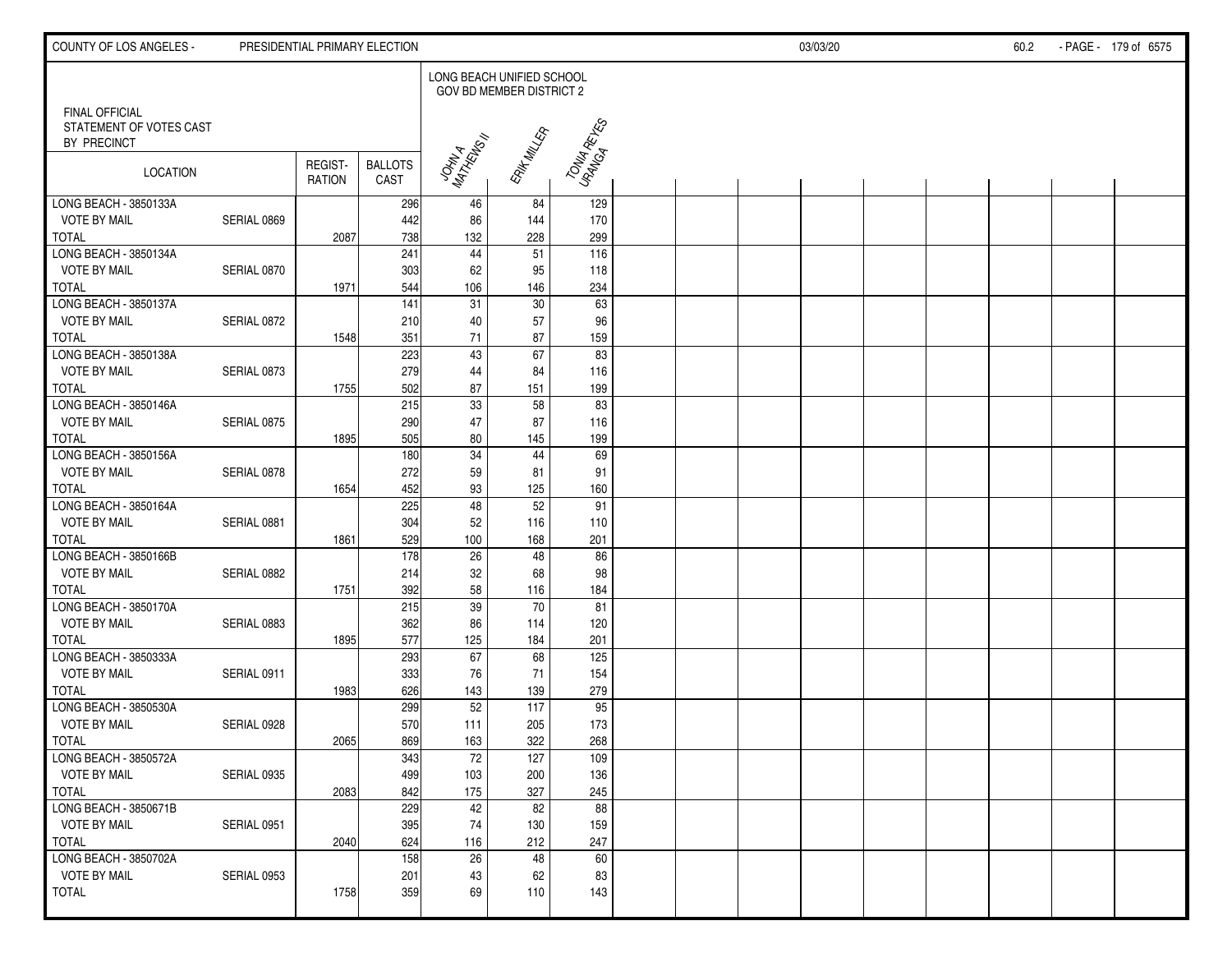| COUNTY OF LOS ANGELES -                                         |             | PRESIDENTIAL PRIMARY ELECTION |                        |                           |                          |              |  | 03/03/20 |  | 60.2 | - PAGE - 179 of 6575 |
|-----------------------------------------------------------------|-------------|-------------------------------|------------------------|---------------------------|--------------------------|--------------|--|----------|--|------|----------------------|
|                                                                 |             |                               |                        | LONG BEACH UNIFIED SCHOOL | GOV BD MEMBER DISTRICT 2 |              |  |          |  |      |                      |
| <b>FINAL OFFICIAL</b><br>STATEMENT OF VOTES CAST<br>BY PRECINCT |             |                               |                        |                           | <b>RAYT MALLER</b>       | TONIA RETIES |  |          |  |      |                      |
| LOCATION                                                        |             | REGIST-<br><b>RATION</b>      | <b>BALLOTS</b><br>CAST | JOHN A<br>MATHEWS !!      |                          |              |  |          |  |      |                      |
| LONG BEACH - 3850133A                                           |             |                               | 296                    | 46                        | 84                       | 129          |  |          |  |      |                      |
| <b>VOTE BY MAIL</b>                                             | SERIAL 0869 |                               | 442                    | 86                        | 144                      | 170          |  |          |  |      |                      |
| <b>TOTAL</b><br>LONG BEACH - 3850134A                           |             | 2087                          | 738<br>241             | 132<br>44                 | 228<br>51                | 299<br>116   |  |          |  |      |                      |
| <b>VOTE BY MAIL</b>                                             | SERIAL 0870 |                               | 303                    | 62                        | 95                       | 118          |  |          |  |      |                      |
| <b>TOTAL</b>                                                    |             | 1971                          | 544                    | 106                       | 146                      | 234          |  |          |  |      |                      |
| LONG BEACH - 3850137A                                           |             |                               | $\overline{141}$       | 31                        | $\overline{30}$          | 63           |  |          |  |      |                      |
| <b>VOTE BY MAIL</b>                                             | SERIAL 0872 |                               | 210                    | 40                        | 57                       | 96           |  |          |  |      |                      |
| <b>TOTAL</b>                                                    |             | 1548                          | 351                    | 71                        | 87                       | 159          |  |          |  |      |                      |
| LONG BEACH - 3850138A                                           |             |                               | 223                    | 43                        | 67                       | 83           |  |          |  |      |                      |
| <b>VOTE BY MAIL</b>                                             | SERIAL 0873 |                               | 279                    | 44                        | 84                       | 116          |  |          |  |      |                      |
| <b>TOTAL</b>                                                    |             | 1755                          | 502                    | 87                        | 151                      | 199          |  |          |  |      |                      |
| LONG BEACH - 3850146A                                           |             |                               | 215                    | 33                        | 58                       | 83           |  |          |  |      |                      |
| <b>VOTE BY MAIL</b>                                             | SERIAL 0875 |                               | 290                    | 47                        | 87                       | 116          |  |          |  |      |                      |
| <b>TOTAL</b>                                                    |             | 1895                          | 505                    | 80                        | 145                      | 199          |  |          |  |      |                      |
| LONG BEACH - 3850156A                                           |             |                               | 180                    | $\overline{34}$           | 44                       | 69           |  |          |  |      |                      |
| <b>VOTE BY MAIL</b>                                             | SERIAL 0878 |                               | 272                    | 59                        | 81                       | 91           |  |          |  |      |                      |
| <b>TOTAL</b>                                                    |             | 1654                          | 452                    | 93                        | 125                      | 160          |  |          |  |      |                      |
| LONG BEACH - 3850164A                                           |             |                               | 225                    | 48                        | 52                       | 91           |  |          |  |      |                      |
| <b>VOTE BY MAIL</b><br><b>TOTAL</b>                             | SERIAL 0881 | 1861                          | 304<br>529             | 52<br>100                 | 116<br>168               | 110          |  |          |  |      |                      |
| LONG BEACH - 3850166B                                           |             |                               | 178                    | $\overline{26}$           | 48                       | 201<br>86    |  |          |  |      |                      |
| <b>VOTE BY MAIL</b>                                             | SERIAL 0882 |                               | 214                    | 32                        | 68                       | 98           |  |          |  |      |                      |
| <b>TOTAL</b>                                                    |             | 1751                          | 392                    | 58                        | 116                      | 184          |  |          |  |      |                      |
| LONG BEACH - 3850170A                                           |             |                               | 215                    | 39                        | 70                       | 81           |  |          |  |      |                      |
| <b>VOTE BY MAIL</b>                                             | SERIAL 0883 |                               | 362                    | 86                        | 114                      | 120          |  |          |  |      |                      |
| <b>TOTAL</b>                                                    |             | 1895                          | 577                    | 125                       | 184                      | 201          |  |          |  |      |                      |
| LONG BEACH - 3850333A                                           |             |                               | 293                    | 67                        | 68                       | 125          |  |          |  |      |                      |
| <b>VOTE BY MAIL</b>                                             | SERIAL 0911 |                               | 333                    | 76                        | 71                       | 154          |  |          |  |      |                      |
| <b>TOTAL</b>                                                    |             | 1983                          | 626                    | 143                       | 139                      | 279          |  |          |  |      |                      |
| LONG BEACH - 3850530A                                           |             |                               | 299                    | 52                        | 117                      | 95           |  |          |  |      |                      |
| <b>VOTE BY MAIL</b>                                             | SERIAL 0928 |                               | 570                    | 111                       | 205                      | 173          |  |          |  |      |                      |
| <b>TOTAL</b>                                                    |             | 2065                          | 869                    | 163                       | 322                      | 268          |  |          |  |      |                      |
| LONG BEACH - 3850572A                                           |             |                               | 343                    | $72\,$                    | 127                      | 109          |  |          |  |      |                      |
| <b>VOTE BY MAIL</b>                                             | SERIAL 0935 |                               | 499                    | 103                       | 200                      | 136          |  |          |  |      |                      |
| <b>TOTAL</b><br>LONG BEACH - 3850671B                           |             | 2083                          | 842<br>229             | 175<br>42                 | 327<br>82                | 245<br>88    |  |          |  |      |                      |
| <b>VOTE BY MAIL</b>                                             | SERIAL 0951 |                               | 395                    | 74                        | 130                      | 159          |  |          |  |      |                      |
| <b>TOTAL</b>                                                    |             | 2040                          | 624                    | 116                       | 212                      | 247          |  |          |  |      |                      |
| LONG BEACH - 3850702A                                           |             |                               | 158                    | 26                        | 48                       | 60           |  |          |  |      |                      |
| <b>VOTE BY MAIL</b>                                             | SERIAL 0953 |                               | 201                    | 43                        | 62                       | 83           |  |          |  |      |                      |
| <b>TOTAL</b>                                                    |             | 1758                          | 359                    | 69                        | 110                      | 143          |  |          |  |      |                      |
|                                                                 |             |                               |                        |                           |                          |              |  |          |  |      |                      |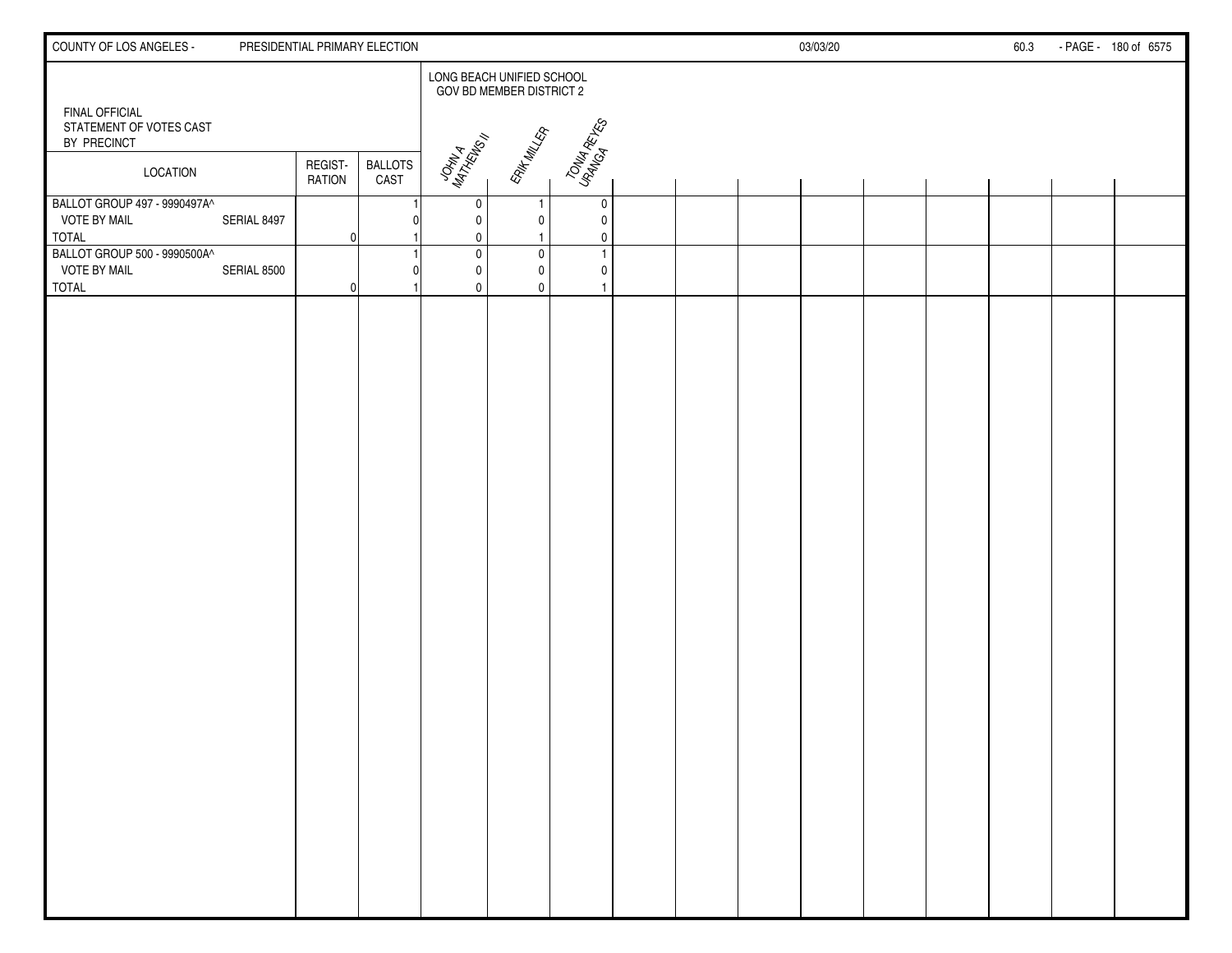| COUNTY OF LOS ANGELES -                                             |             |                          | PRESIDENTIAL PRIMARY ELECTION |                  |                                                              |                               |  | 03/03/20 |  | 60.3 | - PAGE - 180 of 6575 |
|---------------------------------------------------------------------|-------------|--------------------------|-------------------------------|------------------|--------------------------------------------------------------|-------------------------------|--|----------|--|------|----------------------|
|                                                                     |             |                          |                               |                  | LONG BEACH UNIFIED SCHOOL<br><b>GOV BD MEMBER DISTRICT 2</b> |                               |  |          |  |      |                      |
| FINAL OFFICIAL<br>STATEMENT OF VOTES CAST<br>BY PRECINCT            |             |                          |                               | JOHN A<br>MATHUA | <b>ERIT MILLER</b>                                           | TONIA RETES                   |  |          |  |      |                      |
| <b>LOCATION</b>                                                     |             | REGIST-<br><b>RATION</b> | <b>BALLOTS</b><br>CAST        |                  |                                                              |                               |  |          |  |      |                      |
| BALLOT GROUP 497 - 9990497A^<br><b>VOTE BY MAIL</b><br><b>TOTAL</b> | SERIAL 8497 | 0                        |                               | 0<br>0<br>0      | -1<br>0                                                      | 0<br>$\mathbf 0$<br>0         |  |          |  |      |                      |
| BALLOT GROUP 500 - 9990500A^<br><b>VOTE BY MAIL</b><br><b>TOTAL</b> | SERIAL 8500 | $\Omega$                 |                               | 0<br>0<br>0      | $\pmb{0}$<br>$\mathbf{0}$<br>$\mathbf{0}$                    | $\overline{1}$<br>$\mathbf 0$ |  |          |  |      |                      |
|                                                                     |             |                          |                               |                  |                                                              |                               |  |          |  |      |                      |
|                                                                     |             |                          |                               |                  |                                                              |                               |  |          |  |      |                      |
|                                                                     |             |                          |                               |                  |                                                              |                               |  |          |  |      |                      |
|                                                                     |             |                          |                               |                  |                                                              |                               |  |          |  |      |                      |
|                                                                     |             |                          |                               |                  |                                                              |                               |  |          |  |      |                      |
|                                                                     |             |                          |                               |                  |                                                              |                               |  |          |  |      |                      |
|                                                                     |             |                          |                               |                  |                                                              |                               |  |          |  |      |                      |
|                                                                     |             |                          |                               |                  |                                                              |                               |  |          |  |      |                      |
|                                                                     |             |                          |                               |                  |                                                              |                               |  |          |  |      |                      |
|                                                                     |             |                          |                               |                  |                                                              |                               |  |          |  |      |                      |
|                                                                     |             |                          |                               |                  |                                                              |                               |  |          |  |      |                      |
|                                                                     |             |                          |                               |                  |                                                              |                               |  |          |  |      |                      |
|                                                                     |             |                          |                               |                  |                                                              |                               |  |          |  |      |                      |
|                                                                     |             |                          |                               |                  |                                                              |                               |  |          |  |      |                      |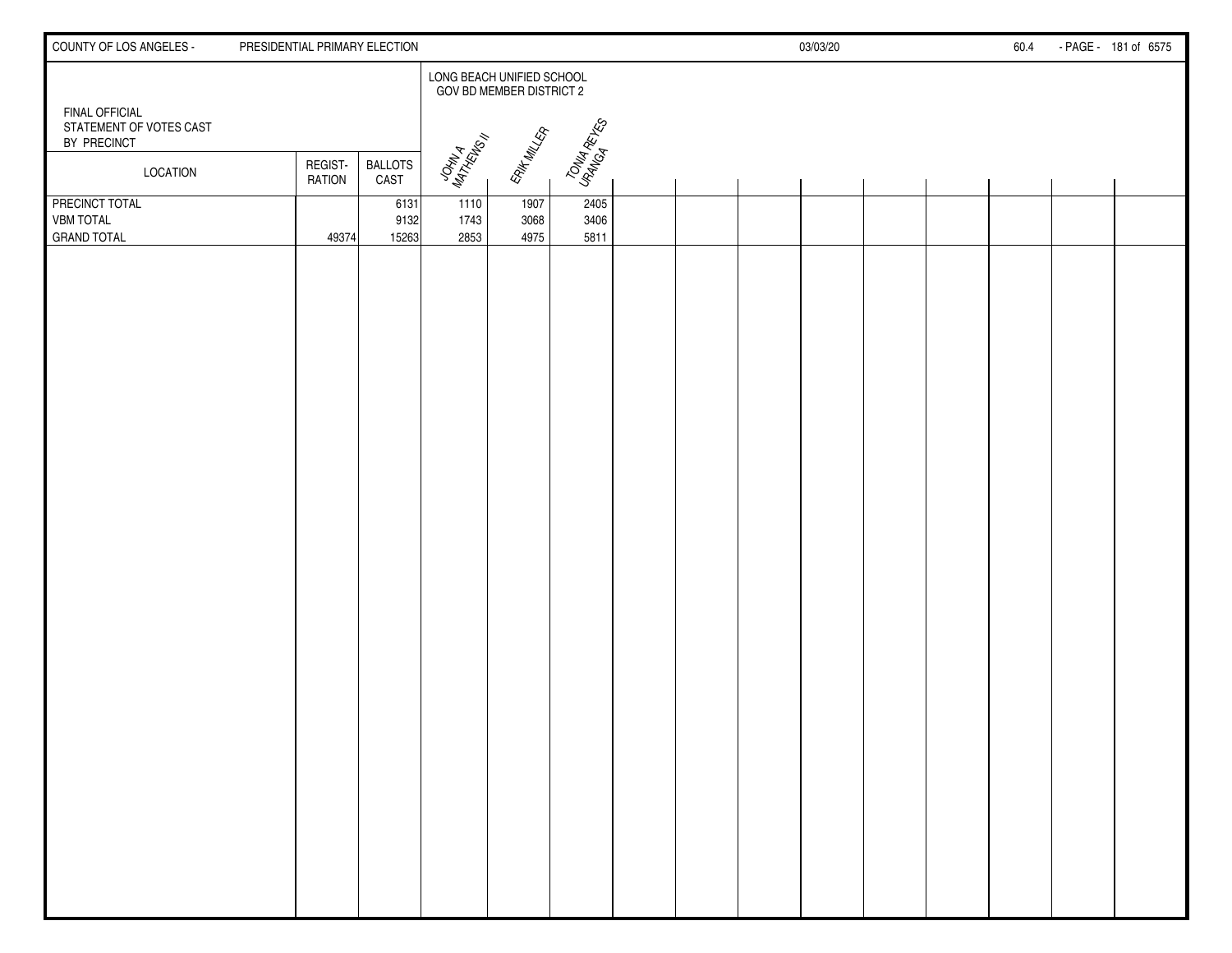| COUNTY OF LOS ANGELES -                                  | PRESIDENTIAL PRIMARY ELECTION |                        |                           |                          |                      |  | 03/03/20 |  | 60.4 | - PAGE - 181 of 6575 |
|----------------------------------------------------------|-------------------------------|------------------------|---------------------------|--------------------------|----------------------|--|----------|--|------|----------------------|
|                                                          |                               |                        | LONG BEACH UNIFIED SCHOOL | GOV BD MEMBER DISTRICT 2 |                      |  |          |  |      |                      |
| FINAL OFFICIAL<br>STATEMENT OF VOTES CAST<br>BY PRECINCT |                               |                        |                           |                          |                      |  |          |  |      |                      |
| <b>LOCATION</b>                                          | REGIST-<br><b>RATION</b>      | <b>BALLOTS</b><br>CAST | JOHN A<br>MATHEWS!        | <b>RAYF MALLER</b>       | TONU RETES           |  |          |  |      |                      |
| PRECINCT TOTAL<br><b>VBM TOTAL</b><br><b>GRAND TOTAL</b> | 49374                         | 6131<br>9132<br>15263  | 1110<br>1743<br>2853      | 1907<br>3068<br>4975     | 2405<br>3406<br>5811 |  |          |  |      |                      |
|                                                          |                               |                        |                           |                          |                      |  |          |  |      |                      |
|                                                          |                               |                        |                           |                          |                      |  |          |  |      |                      |
|                                                          |                               |                        |                           |                          |                      |  |          |  |      |                      |
|                                                          |                               |                        |                           |                          |                      |  |          |  |      |                      |
|                                                          |                               |                        |                           |                          |                      |  |          |  |      |                      |
|                                                          |                               |                        |                           |                          |                      |  |          |  |      |                      |
|                                                          |                               |                        |                           |                          |                      |  |          |  |      |                      |
|                                                          |                               |                        |                           |                          |                      |  |          |  |      |                      |
|                                                          |                               |                        |                           |                          |                      |  |          |  |      |                      |
|                                                          |                               |                        |                           |                          |                      |  |          |  |      |                      |
|                                                          |                               |                        |                           |                          |                      |  |          |  |      |                      |
|                                                          |                               |                        |                           |                          |                      |  |          |  |      |                      |
|                                                          |                               |                        |                           |                          |                      |  |          |  |      |                      |
|                                                          |                               |                        |                           |                          |                      |  |          |  |      |                      |
|                                                          |                               |                        |                           |                          |                      |  |          |  |      |                      |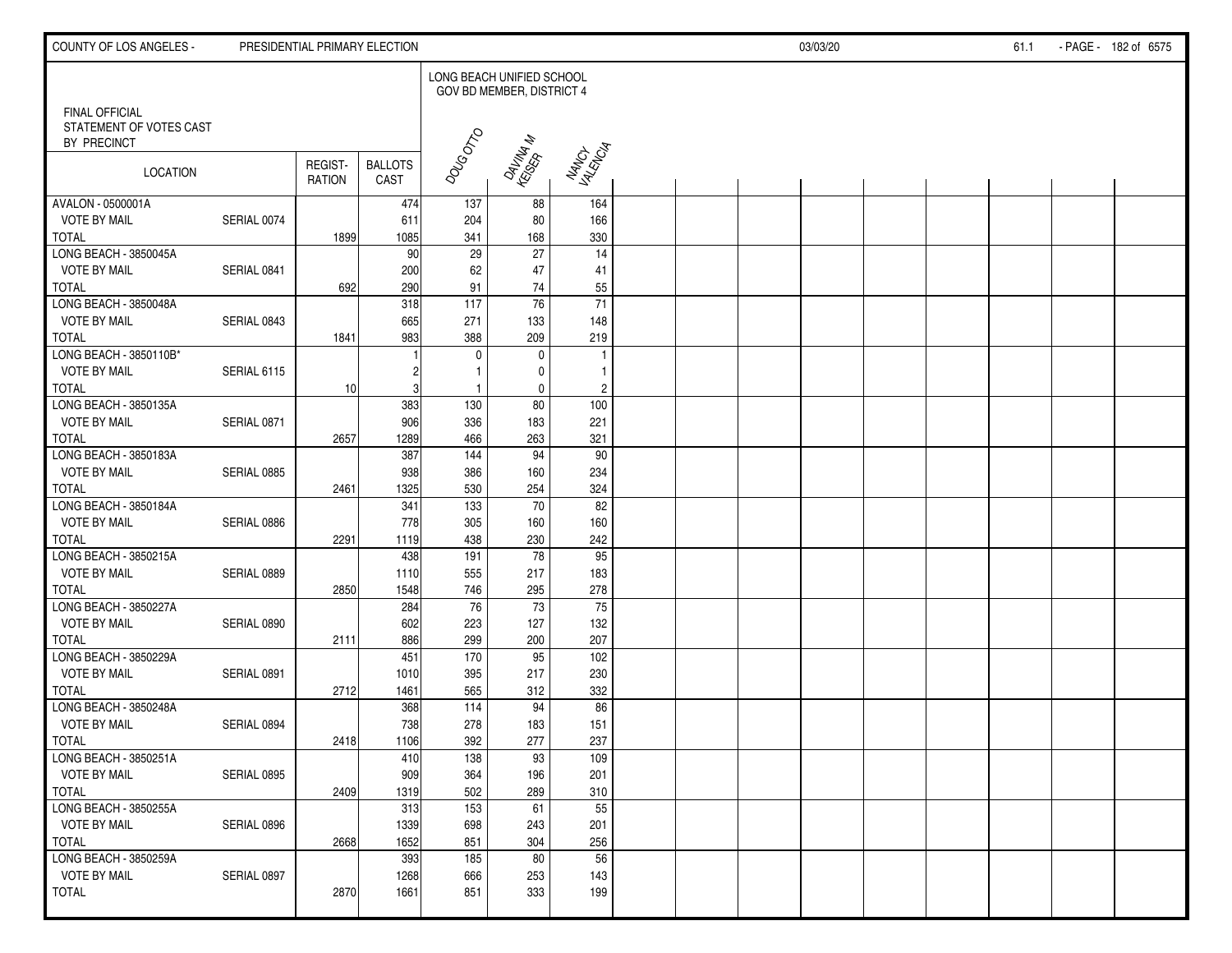| COUNTY OF LOS ANGELES -                                         |             | PRESIDENTIAL PRIMARY ELECTION |                        |                           |                           |                       |  | 03/03/20 |  | 61.1 | - PAGE - 182 of 6575 |
|-----------------------------------------------------------------|-------------|-------------------------------|------------------------|---------------------------|---------------------------|-----------------------|--|----------|--|------|----------------------|
|                                                                 |             |                               |                        | LONG BEACH UNIFIED SCHOOL | GOV BD MEMBER, DISTRICT 4 |                       |  |          |  |      |                      |
| <b>FINAL OFFICIAL</b><br>STATEMENT OF VOTES CAST<br>BY PRECINCT |             |                               |                        |                           |                           |                       |  |          |  |      |                      |
| LOCATION                                                        |             | REGIST-<br><b>RATION</b>      | <b>BALLOTS</b><br>CAST | DOUGDTO                   | DAVINAN<br>KEISEPAN       | NANCH<br>YANGIA       |  |          |  |      |                      |
| AVALON - 0500001A                                               |             |                               | 474                    | 137                       | 88                        | 164                   |  |          |  |      |                      |
| <b>VOTE BY MAIL</b>                                             | SERIAL 0074 |                               | 611                    | 204                       | 80                        | 166                   |  |          |  |      |                      |
| <b>TOTAL</b>                                                    |             | 1899                          | 1085                   | 341                       | 168                       | 330                   |  |          |  |      |                      |
| LONG BEACH - 3850045A                                           |             |                               | 90                     | 29                        | $\overline{27}$           | 14                    |  |          |  |      |                      |
| <b>VOTE BY MAIL</b><br><b>TOTAL</b>                             | SERIAL 0841 |                               | 200<br>290             | 62                        | 47<br>74                  | 41                    |  |          |  |      |                      |
| LONG BEACH - 3850048A                                           |             | 692                           | 318                    | 91<br>$\frac{117}{117}$   | $\overline{76}$           | 55<br>$\overline{71}$ |  |          |  |      |                      |
| <b>VOTE BY MAIL</b>                                             | SERIAL 0843 |                               | 665                    | 271                       | 133                       | 148                   |  |          |  |      |                      |
| <b>TOTAL</b>                                                    |             | 1841                          | 983                    | 388                       | 209                       | 219                   |  |          |  |      |                      |
| LONG BEACH - 3850110B*                                          |             |                               |                        | $\mathbf 0$               | $\mathbf 0$               | $\overline{1}$        |  |          |  |      |                      |
| <b>VOTE BY MAIL</b>                                             | SERIAL 6115 |                               |                        | $\mathbf{1}$              | 0                         | $\overline{1}$        |  |          |  |      |                      |
| <b>TOTAL</b>                                                    |             | 10                            | 3                      | $\mathbf{1}$              | $\pmb{0}$                 | $\overline{c}$        |  |          |  |      |                      |
| LONG BEACH - 3850135A                                           |             |                               | 383                    | 130                       | $80\,$                    | 100                   |  |          |  |      |                      |
| <b>VOTE BY MAIL</b>                                             | SERIAL 0871 |                               | 906                    | 336                       | 183                       | 221                   |  |          |  |      |                      |
| <b>TOTAL</b>                                                    |             | 2657                          | 1289                   | 466                       | 263                       | 321                   |  |          |  |      |                      |
| LONG BEACH - 3850183A                                           |             |                               | 387                    | 144                       | 94                        | 90                    |  |          |  |      |                      |
| <b>VOTE BY MAIL</b>                                             | SERIAL 0885 |                               | 938                    | 386                       | 160                       | 234                   |  |          |  |      |                      |
| <b>TOTAL</b>                                                    |             | 2461                          | 1325                   | 530                       | 254                       | 324                   |  |          |  |      |                      |
| LONG BEACH - 3850184A                                           |             |                               | 341                    | 133                       | 70                        | 82                    |  |          |  |      |                      |
| <b>VOTE BY MAIL</b>                                             | SERIAL 0886 |                               | 778                    | 305                       | 160                       | 160                   |  |          |  |      |                      |
| <b>TOTAL</b>                                                    |             | 2291                          | 1119                   | 438                       | 230                       | 242                   |  |          |  |      |                      |
| LONG BEACH - 3850215A                                           |             |                               | 438                    | 191                       | $\overline{78}$           | 95                    |  |          |  |      |                      |
| <b>VOTE BY MAIL</b>                                             | SERIAL 0889 |                               | 1110                   | 555                       | 217                       | 183                   |  |          |  |      |                      |
| <b>TOTAL</b>                                                    |             | 2850                          | 1548                   | 746                       | 295                       | 278                   |  |          |  |      |                      |
| LONG BEACH - 3850227A<br><b>VOTE BY MAIL</b>                    |             |                               | 284                    | 76                        | 73                        | 75                    |  |          |  |      |                      |
| <b>TOTAL</b>                                                    | SERIAL 0890 | 2111                          | 602<br>886             | 223<br>299                | 127<br>200                | 132<br>207            |  |          |  |      |                      |
| LONG BEACH - 3850229A                                           |             |                               | 451                    | 170                       | 95                        | 102                   |  |          |  |      |                      |
| <b>VOTE BY MAIL</b>                                             | SERIAL 0891 |                               | 1010                   | 395                       | 217                       | 230                   |  |          |  |      |                      |
| <b>TOTAL</b>                                                    |             | 2712                          | 1461                   | 565                       | 312                       | 332                   |  |          |  |      |                      |
| LONG BEACH - 3850248A                                           |             |                               | 368                    | 114                       | 94                        | 86                    |  |          |  |      |                      |
| <b>VOTE BY MAIL</b>                                             | SERIAL 0894 |                               | 738                    | 278                       | 183                       | 151                   |  |          |  |      |                      |
| TOTAL                                                           |             | 2418                          | 1106                   | 392                       | 277                       | 237                   |  |          |  |      |                      |
| LONG BEACH - 3850251A                                           |             |                               | 410                    | 138                       | 93                        | 109                   |  |          |  |      |                      |
| <b>VOTE BY MAIL</b>                                             | SERIAL 0895 |                               | 909                    | 364                       | 196                       | 201                   |  |          |  |      |                      |
| TOTAL                                                           |             | 2409                          | 1319                   | 502                       | 289                       | 310                   |  |          |  |      |                      |
| LONG BEACH - 3850255A                                           |             |                               | 313                    | $\overline{153}$          | 61                        | 55                    |  |          |  |      |                      |
| <b>VOTE BY MAIL</b>                                             | SERIAL 0896 |                               | 1339                   | 698                       | 243                       | 201                   |  |          |  |      |                      |
| <b>TOTAL</b>                                                    |             | 2668                          | 1652                   | 851                       | 304                       | 256                   |  |          |  |      |                      |
| LONG BEACH - 3850259A                                           |             |                               | 393                    | 185                       | $80\,$                    | 56                    |  |          |  |      |                      |
| <b>VOTE BY MAIL</b>                                             | SERIAL 0897 |                               | 1268                   | 666                       | 253                       | 143                   |  |          |  |      |                      |
| <b>TOTAL</b>                                                    |             | 2870                          | 1661                   | 851                       | 333                       | 199                   |  |          |  |      |                      |
|                                                                 |             |                               |                        |                           |                           |                       |  |          |  |      |                      |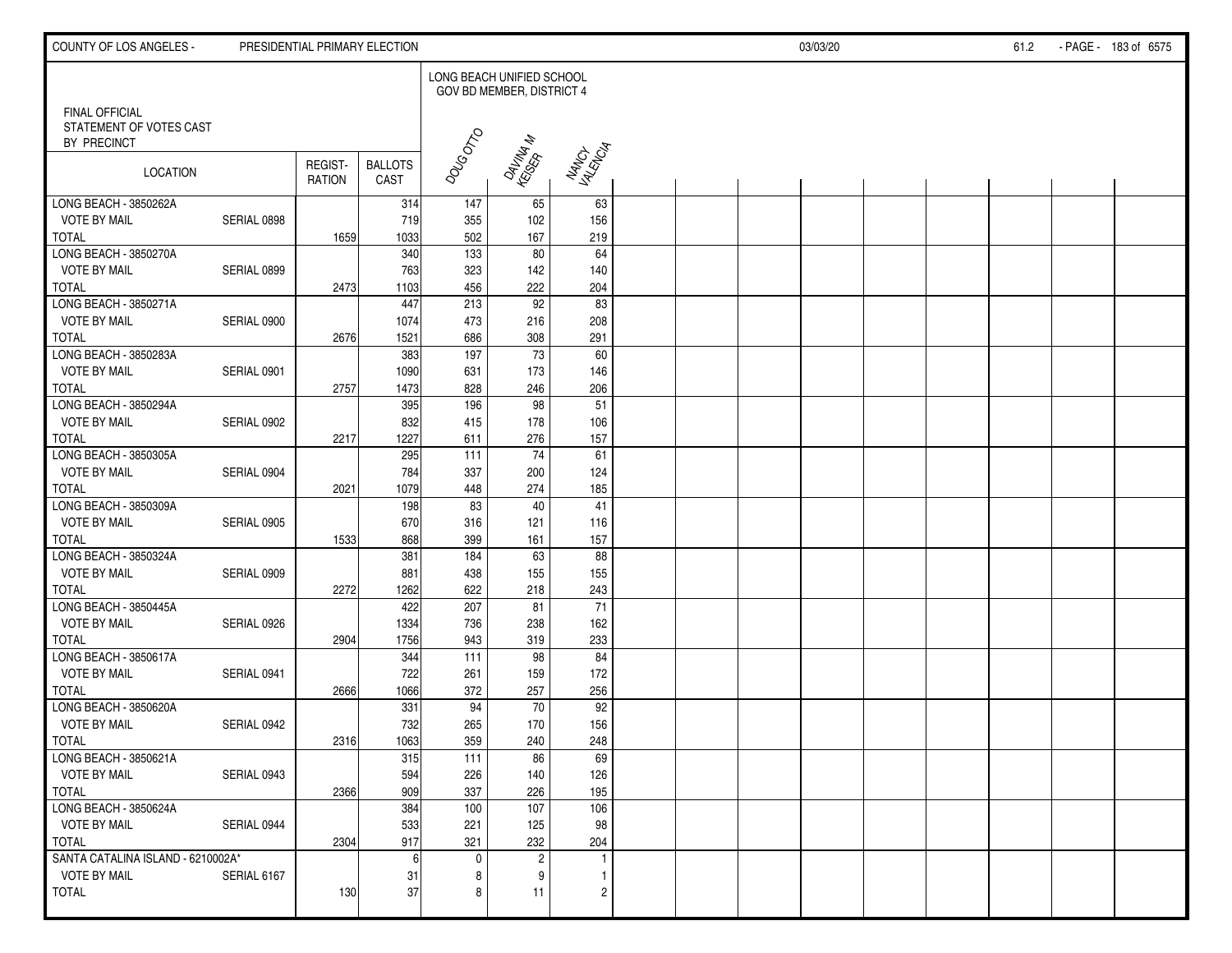| COUNTY OF LOS ANGELES -                                         |             | PRESIDENTIAL PRIMARY ELECTION |                        |                           |                           |                        |  | 03/03/20 |  | 61.2 | - PAGE - 183 of 6575 |
|-----------------------------------------------------------------|-------------|-------------------------------|------------------------|---------------------------|---------------------------|------------------------|--|----------|--|------|----------------------|
|                                                                 |             |                               |                        | LONG BEACH UNIFIED SCHOOL | GOV BD MEMBER, DISTRICT 4 |                        |  |          |  |      |                      |
| <b>FINAL OFFICIAL</b><br>STATEMENT OF VOTES CAST<br>BY PRECINCT |             |                               |                        |                           |                           |                        |  |          |  |      |                      |
| LOCATION                                                        |             | REGIST-<br>RATION             | <b>BALLOTS</b><br>CAST | DOUGOTO                   | DAVINA N<br>KESEPA N      | NANCH<br>YANGIA        |  |          |  |      |                      |
| LONG BEACH - 3850262A                                           |             |                               | 314                    | 147                       | 65                        | 63                     |  |          |  |      |                      |
| <b>VOTE BY MAIL</b>                                             | SERIAL 0898 |                               | 719                    | 355                       | 102                       | 156                    |  |          |  |      |                      |
| <b>TOTAL</b><br>LONG BEACH - 3850270A                           |             | 1659                          | 1033                   | 502                       | 167                       | 219                    |  |          |  |      |                      |
| <b>VOTE BY MAIL</b>                                             | SERIAL 0899 |                               | 340<br>763             | 133<br>323                | 80<br>142                 | 64<br>140              |  |          |  |      |                      |
| <b>TOTAL</b>                                                    |             | 2473                          | 1103                   | 456                       | 222                       | 204                    |  |          |  |      |                      |
| LONG BEACH - 3850271A                                           |             |                               | 447                    | 213                       | $\overline{92}$           | 83                     |  |          |  |      |                      |
| <b>VOTE BY MAIL</b>                                             | SERIAL 0900 |                               | 1074                   | 473                       | 216                       | 208                    |  |          |  |      |                      |
| <b>TOTAL</b>                                                    |             | 2676                          | 1521                   | 686                       | 308                       | 291                    |  |          |  |      |                      |
| LONG BEACH - 3850283A                                           |             |                               | 383                    | 197                       | 73                        | 60                     |  |          |  |      |                      |
| <b>VOTE BY MAIL</b>                                             | SERIAL 0901 |                               | 1090                   | 631                       | 173                       | 146                    |  |          |  |      |                      |
| <b>TOTAL</b>                                                    |             | 2757                          | 1473                   | 828                       | 246                       | 206                    |  |          |  |      |                      |
| LONG BEACH - 3850294A                                           |             |                               | 395                    | 196                       | 98                        | 51                     |  |          |  |      |                      |
| <b>VOTE BY MAIL</b>                                             | SERIAL 0902 |                               | 832                    | 415                       | 178                       | 106                    |  |          |  |      |                      |
| <b>TOTAL</b>                                                    |             | 2217                          | 1227                   | 611                       | 276                       | 157                    |  |          |  |      |                      |
| LONG BEACH - 3850305A                                           |             |                               | 295                    | 111                       | 74                        | 61                     |  |          |  |      |                      |
| <b>VOTE BY MAIL</b>                                             | SERIAL 0904 |                               | 784                    | 337                       | 200                       | 124                    |  |          |  |      |                      |
| <b>TOTAL</b>                                                    |             | 2021                          | 1079                   | 448                       | 274                       | 185                    |  |          |  |      |                      |
| LONG BEACH - 3850309A                                           |             |                               | 198                    | 83                        | $40\,$                    | 41                     |  |          |  |      |                      |
| <b>VOTE BY MAIL</b>                                             | SERIAL 0905 |                               | 670                    | 316                       | 121                       | 116                    |  |          |  |      |                      |
| <b>TOTAL</b>                                                    |             | 1533                          | 868                    | 399                       | 161                       | 157                    |  |          |  |      |                      |
| LONG BEACH - 3850324A                                           |             |                               | 381                    | 184                       | 63                        | 88                     |  |          |  |      |                      |
| <b>VOTE BY MAIL</b>                                             | SERIAL 0909 |                               | 881                    | 438                       | 155                       | 155                    |  |          |  |      |                      |
| <b>TOTAL</b>                                                    |             | 2272                          | 1262                   | 622                       | 218                       | 243<br>$\overline{71}$ |  |          |  |      |                      |
| LONG BEACH - 3850445A<br><b>VOTE BY MAIL</b>                    | SERIAL 0926 |                               | 422                    | 207<br>736                | 81                        |                        |  |          |  |      |                      |
| <b>TOTAL</b>                                                    |             | 2904                          | 1334<br>1756           | 943                       | 238<br>319                | 162<br>233             |  |          |  |      |                      |
| LONG BEACH - 3850617A                                           |             |                               | 344                    | 111                       | 98                        | 84                     |  |          |  |      |                      |
| <b>VOTE BY MAIL</b>                                             | SERIAL 0941 |                               | 722                    | 261                       | 159                       | 172                    |  |          |  |      |                      |
| <b>TOTAL</b>                                                    |             | 2666                          | 1066                   | 372                       | 257                       | 256                    |  |          |  |      |                      |
| LONG BEACH - 3850620A                                           |             |                               | 331                    | 94                        | 70                        | 92                     |  |          |  |      |                      |
| <b>VOTE BY MAIL</b>                                             | SERIAL 0942 |                               | 732                    | 265                       | 170                       | 156                    |  |          |  |      |                      |
| <b>TOTAL</b>                                                    |             | 2316                          | 1063                   | 359                       | 240                       | 248                    |  |          |  |      |                      |
| LONG BEACH - 3850621A                                           |             |                               | 315                    | 111                       | 86                        | 69                     |  |          |  |      |                      |
| <b>VOTE BY MAIL</b>                                             | SERIAL 0943 |                               | 594                    | 226                       | 140                       | 126                    |  |          |  |      |                      |
| <b>TOTAL</b>                                                    |             | 2366                          | 909                    | 337                       | 226                       | 195                    |  |          |  |      |                      |
| LONG BEACH - 3850624A                                           |             |                               | 384                    | 100                       | 107                       | 106                    |  |          |  |      |                      |
| <b>VOTE BY MAIL</b>                                             | SERIAL 0944 |                               | 533                    | 221                       | 125                       | 98                     |  |          |  |      |                      |
| <b>TOTAL</b>                                                    |             | 2304                          | 917                    | 321                       | 232                       | 204                    |  |          |  |      |                      |
| SANTA CATALINA ISLAND - 6210002A*                               |             |                               | 6                      | $\mathbf 0$               | $\overline{c}$            | $\mathbf{1}$           |  |          |  |      |                      |
| <b>VOTE BY MAIL</b>                                             | SERIAL 6167 |                               | 31                     | 8                         | 9                         | $\mathbf{1}$           |  |          |  |      |                      |
| <b>TOTAL</b>                                                    |             | 130                           | 37                     | 8                         | 11                        | $\overline{c}$         |  |          |  |      |                      |
|                                                                 |             |                               |                        |                           |                           |                        |  |          |  |      |                      |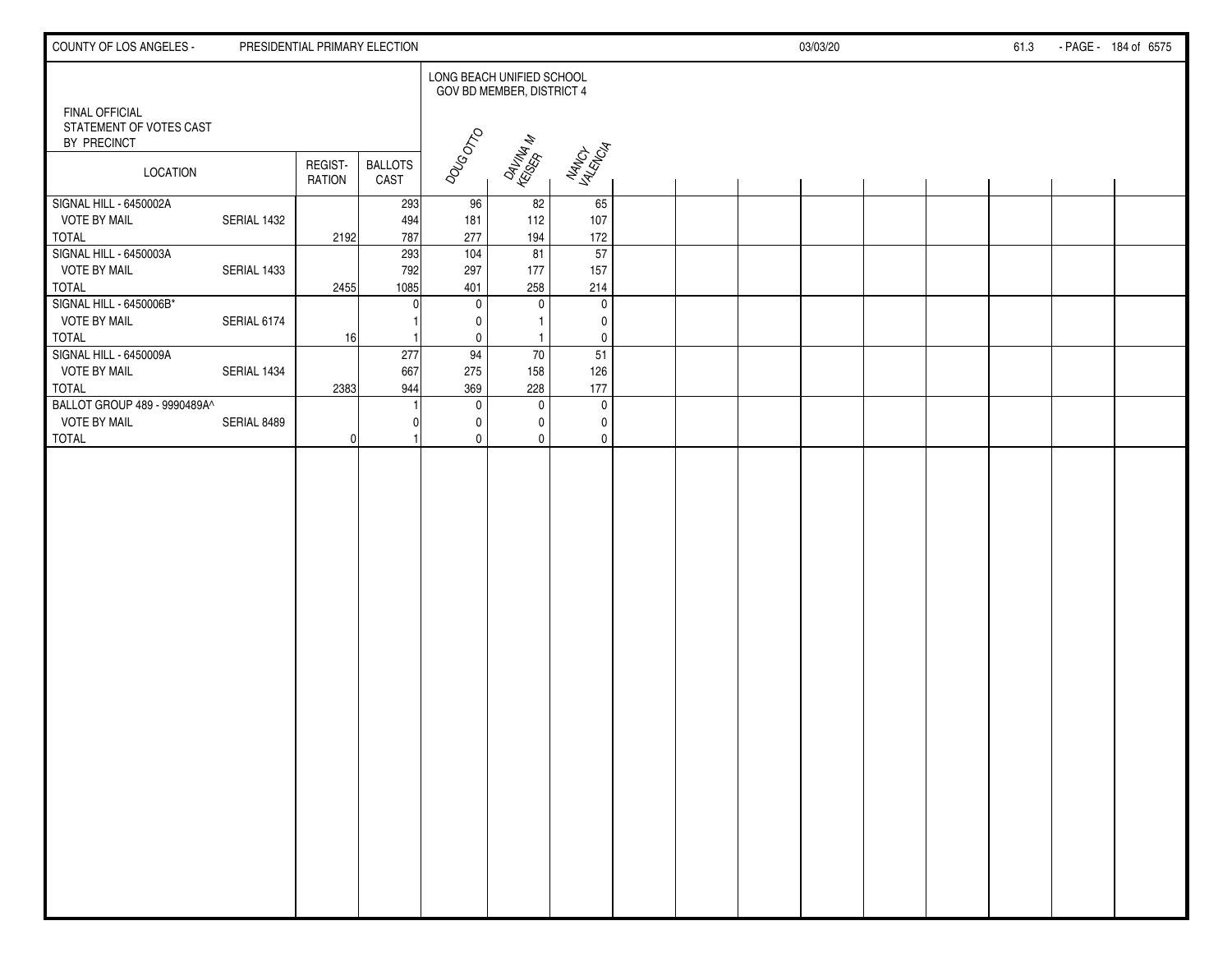| COUNTY OF LOS ANGELES -                                                       |             | PRESIDENTIAL PRIMARY ELECTION |                        |                       |                                                        |                                             |  | 03/03/20 |  | 61.3 | - PAGE - 184 of 6575 |
|-------------------------------------------------------------------------------|-------------|-------------------------------|------------------------|-----------------------|--------------------------------------------------------|---------------------------------------------|--|----------|--|------|----------------------|
|                                                                               |             |                               |                        |                       | LONG BEACH UNIFIED SCHOOL<br>GOV BD MEMBER, DISTRICT 4 |                                             |  |          |  |      |                      |
| FINAL OFFICIAL<br>STATEMENT OF VOTES CAST<br>BY PRECINCT                      |             |                               |                        |                       |                                                        |                                             |  |          |  |      |                      |
| <b>LOCATION</b>                                                               |             | REGIST-<br>RATION             | <b>BALLOTS</b><br>CAST | DOUGOTO               | DAVINAN<br>KSOSA NA                                    | NANCH<br>YANGIA                             |  |          |  |      |                      |
| SIGNAL HILL - 6450002A<br><b>VOTE BY MAIL</b><br><b>TOTAL</b>                 | SERIAL 1432 | 2192                          | 293<br>494<br>787      | 96<br>181<br>277      | 82<br>112<br>194                                       | 65<br>107<br>172                            |  |          |  |      |                      |
| SIGNAL HILL - 6450003A<br><b>VOTE BY MAIL</b><br><b>TOTAL</b>                 | SERIAL 1433 | 2455                          | 293<br>792<br>1085     | 104<br>297<br>401     | 81<br>177<br>258                                       | 57<br>157<br>214                            |  |          |  |      |                      |
| SIGNAL HILL - 6450006B*<br><b>VOTE BY MAIL</b>                                | SERIAL 6174 |                               |                        | $\mathbf 0$<br>0      | $\mathbf 0$                                            | $\mathbf 0$<br>$\mathbf 0$                  |  |          |  |      |                      |
| <b>TOTAL</b><br>SIGNAL HILL - 6450009A<br><b>VOTE BY MAIL</b><br><b>TOTAL</b> | SERIAL 1434 | 16 <sup>1</sup><br>2383       | 277<br>667<br>944      | 0<br>94<br>275<br>369 | $\mathbf{1}$<br>70<br>158<br>228                       | $\mathbf 0$<br>51<br>126<br>177             |  |          |  |      |                      |
| BALLOT GROUP 489 - 9990489A^<br><b>VOTE BY MAIL</b><br><b>TOTAL</b>           | SERIAL 8489 | 0I                            |                        | 0<br>0<br>$\mathbf 0$ | 0<br>$\Omega$<br>$\mathbf{0}$                          | $\mathbf 0$<br>$\mathbf{0}$<br>$\mathbf{0}$ |  |          |  |      |                      |
|                                                                               |             |                               |                        |                       |                                                        |                                             |  |          |  |      |                      |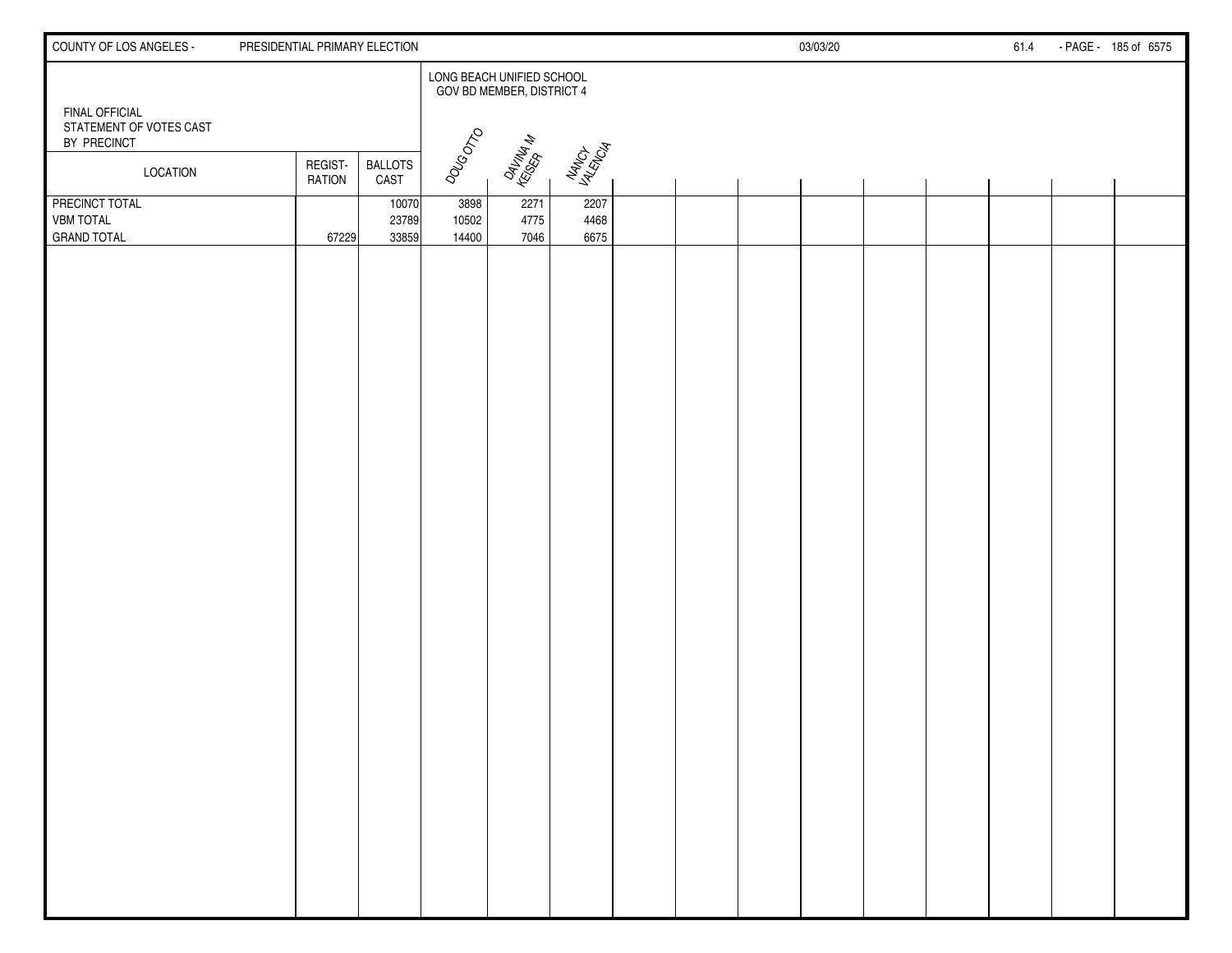| COUNTY OF LOS ANGELES -                                         | PRESIDENTIAL PRIMARY ELECTION |                         |                        |                                                        |                      |  | 03/03/20 |  | 61.4 | - PAGE - 185 of 6575 |
|-----------------------------------------------------------------|-------------------------------|-------------------------|------------------------|--------------------------------------------------------|----------------------|--|----------|--|------|----------------------|
|                                                                 |                               |                         |                        | LONG BEACH UNIFIED SCHOOL<br>GOV BD MEMBER, DISTRICT 4 |                      |  |          |  |      |                      |
| <b>FINAL OFFICIAL</b><br>STATEMENT OF VOTES CAST<br>BY PRECINCT |                               |                         | DOUGOTO                |                                                        |                      |  |          |  |      |                      |
| LOCATION                                                        | REGIST-<br><b>RATION</b>      | <b>BALLOTS</b><br>CAST  |                        | DAVINAN<br>KSER <sup>AN</sup> AN                       | NANCH<br>YANGIA      |  |          |  |      |                      |
| PRECINCT TOTAL<br><b>VBM TOTAL</b><br><b>GRAND TOTAL</b>        | 67229                         | 10070<br>23789<br>33859 | 3898<br>10502<br>14400 | 2271<br>4775<br>7046                                   | 2207<br>4468<br>6675 |  |          |  |      |                      |
|                                                                 |                               |                         |                        |                                                        |                      |  |          |  |      |                      |
|                                                                 |                               |                         |                        |                                                        |                      |  |          |  |      |                      |
|                                                                 |                               |                         |                        |                                                        |                      |  |          |  |      |                      |
|                                                                 |                               |                         |                        |                                                        |                      |  |          |  |      |                      |
|                                                                 |                               |                         |                        |                                                        |                      |  |          |  |      |                      |
|                                                                 |                               |                         |                        |                                                        |                      |  |          |  |      |                      |
|                                                                 |                               |                         |                        |                                                        |                      |  |          |  |      |                      |
|                                                                 |                               |                         |                        |                                                        |                      |  |          |  |      |                      |
|                                                                 |                               |                         |                        |                                                        |                      |  |          |  |      |                      |
|                                                                 |                               |                         |                        |                                                        |                      |  |          |  |      |                      |
|                                                                 |                               |                         |                        |                                                        |                      |  |          |  |      |                      |
|                                                                 |                               |                         |                        |                                                        |                      |  |          |  |      |                      |
|                                                                 |                               |                         |                        |                                                        |                      |  |          |  |      |                      |
|                                                                 |                               |                         |                        |                                                        |                      |  |          |  |      |                      |
|                                                                 |                               |                         |                        |                                                        |                      |  |          |  |      |                      |
|                                                                 |                               |                         |                        |                                                        |                      |  |          |  |      |                      |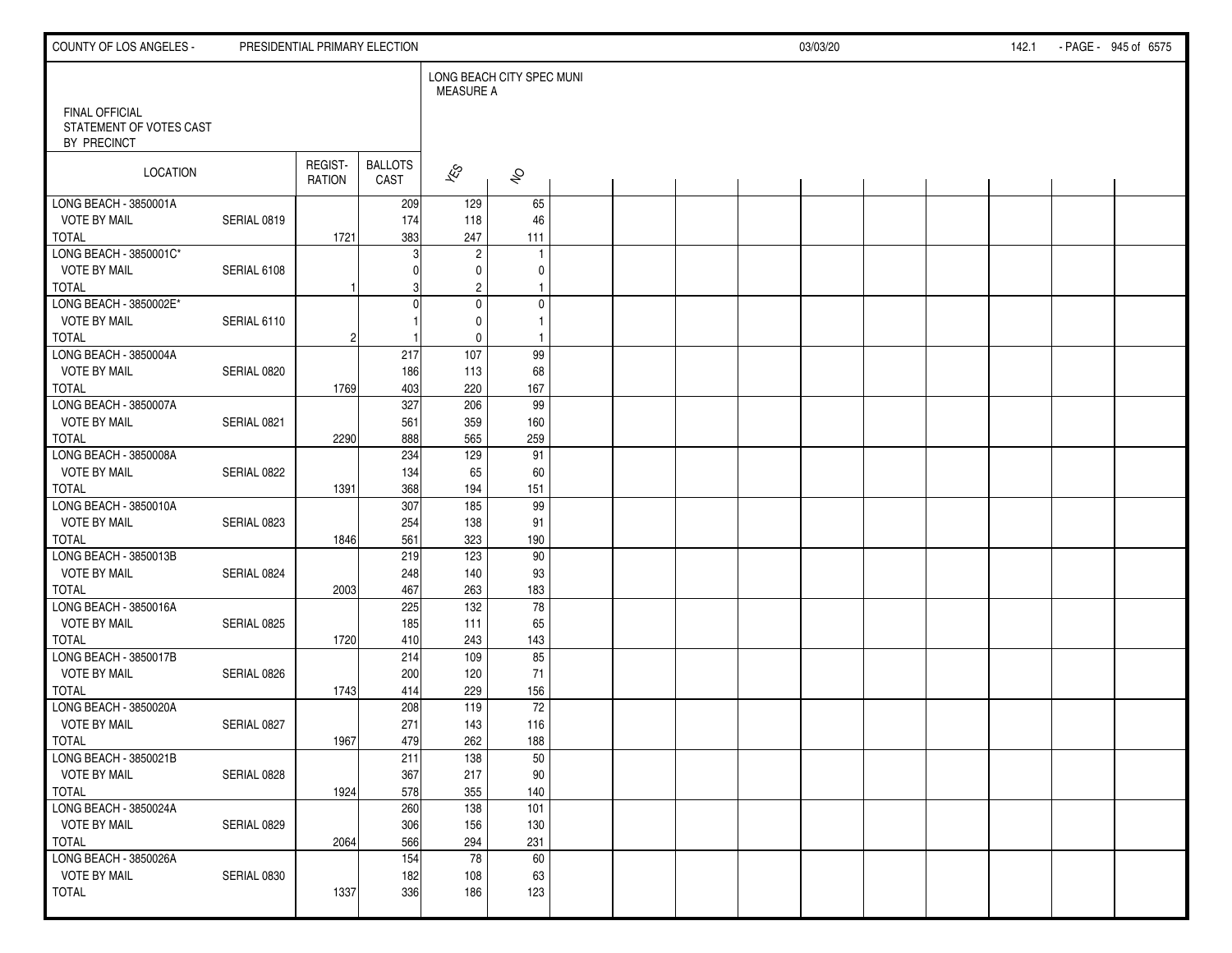| COUNTY OF LOS ANGELES -                |             | PRESIDENTIAL PRIMARY ELECTION |                        |                                               |                       |  |  | 03/03/20 |  | 142.1 | - PAGE - 945 of 6575 |
|----------------------------------------|-------------|-------------------------------|------------------------|-----------------------------------------------|-----------------------|--|--|----------|--|-------|----------------------|
| FINAL OFFICIAL                         |             |                               |                        | LONG BEACH CITY SPEC MUNI<br><b>MEASURE A</b> |                       |  |  |          |  |       |                      |
| STATEMENT OF VOTES CAST<br>BY PRECINCT |             |                               |                        |                                               |                       |  |  |          |  |       |                      |
| LOCATION                               |             | REGIST-<br>RATION             | <b>BALLOTS</b><br>CAST | $\hat{\mathcal{K}}$                           | $\hat{\mathcal{E}}$   |  |  |          |  |       |                      |
| LONG BEACH - 3850001A                  |             |                               | 209                    | 129                                           | 65                    |  |  |          |  |       |                      |
| <b>VOTE BY MAIL</b>                    | SERIAL 0819 |                               | 174                    | 118                                           | 46                    |  |  |          |  |       |                      |
| <b>TOTAL</b><br>LONG BEACH - 3850001C* |             | 1721                          | 383<br>3               | 247<br>$\sqrt{2}$                             | 111<br>$\overline{1}$ |  |  |          |  |       |                      |
| <b>VOTE BY MAIL</b>                    | SERIAL 6108 |                               |                        | 0                                             | 0                     |  |  |          |  |       |                      |
| <b>TOTAL</b>                           |             |                               |                        | $\overline{c}$                                | $\mathbf{1}$          |  |  |          |  |       |                      |
| LONG BEACH - 3850002E*                 |             |                               | $\Omega$               | $\mathsf{O}\xspace$                           | $\pmb{0}$             |  |  |          |  |       |                      |
| <b>VOTE BY MAIL</b>                    | SERIAL 6110 |                               |                        | $\mathbf 0$                                   | $\mathbf{1}$          |  |  |          |  |       |                      |
| <b>TOTAL</b>                           |             | $\overline{c}$                |                        | $\mathbf 0$                                   | $\overline{1}$        |  |  |          |  |       |                      |
| LONG BEACH - 3850004A                  |             |                               | 217                    | 107                                           | 99                    |  |  |          |  |       |                      |
| <b>VOTE BY MAIL</b>                    | SERIAL 0820 |                               | 186                    | 113                                           | 68                    |  |  |          |  |       |                      |
| <b>TOTAL</b>                           |             | 1769                          | 403                    | 220                                           | 167                   |  |  |          |  |       |                      |
| LONG BEACH - 3850007A                  |             |                               | 327                    | 206                                           | 99                    |  |  |          |  |       |                      |
| <b>VOTE BY MAIL</b><br><b>TOTAL</b>    | SERIAL 0821 |                               | 561<br>888             | 359<br>565                                    | 160<br>259            |  |  |          |  |       |                      |
| LONG BEACH - 3850008A                  |             | 2290                          | 234                    | 129                                           | 91                    |  |  |          |  |       |                      |
| <b>VOTE BY MAIL</b>                    | SERIAL 0822 |                               | 134                    | 65                                            | 60                    |  |  |          |  |       |                      |
| <b>TOTAL</b>                           |             | 1391                          | 368                    | 194                                           | 151                   |  |  |          |  |       |                      |
| LONG BEACH - 3850010A                  |             |                               | 307                    | 185                                           | 99                    |  |  |          |  |       |                      |
| <b>VOTE BY MAIL</b>                    | SERIAL 0823 |                               | 254                    | 138                                           | 91                    |  |  |          |  |       |                      |
| <b>TOTAL</b>                           |             | 1846                          | 561                    | 323                                           | 190                   |  |  |          |  |       |                      |
| LONG BEACH - 3850013B                  |             |                               | 219                    | 123                                           | 90                    |  |  |          |  |       |                      |
| <b>VOTE BY MAIL</b>                    | SERIAL 0824 |                               | 248                    | 140                                           | 93                    |  |  |          |  |       |                      |
| <b>TOTAL</b>                           |             | 2003                          | 467                    | 263                                           | 183                   |  |  |          |  |       |                      |
| LONG BEACH - 3850016A                  |             |                               | 225                    | 132                                           | $\overline{78}$       |  |  |          |  |       |                      |
| <b>VOTE BY MAIL</b><br><b>TOTAL</b>    | SERIAL 0825 |                               | 185                    | 111                                           | 65<br>143             |  |  |          |  |       |                      |
| LONG BEACH - 3850017B                  |             | 1720                          | 410<br>214             | 243<br>109                                    | 85                    |  |  |          |  |       |                      |
| <b>VOTE BY MAIL</b>                    | SERIAL 0826 |                               | 200                    | 120                                           | 71                    |  |  |          |  |       |                      |
| <b>TOTAL</b>                           |             | 1743                          | 414                    | 229                                           | 156                   |  |  |          |  |       |                      |
| LONG BEACH - 3850020A                  |             |                               | 208                    | 119                                           | $\overline{72}$       |  |  |          |  |       |                      |
| <b>VOTE BY MAIL</b>                    | SERIAL 0827 |                               | 271                    | 143                                           | 116                   |  |  |          |  |       |                      |
| <b>TOTAL</b>                           |             | 1967                          | 479                    | 262                                           | 188                   |  |  |          |  |       |                      |
| LONG BEACH - 3850021B                  |             |                               | 211                    | 138                                           | 50                    |  |  |          |  |       |                      |
| <b>VOTE BY MAIL</b>                    | SERIAL 0828 |                               | 367                    | 217                                           | 90                    |  |  |          |  |       |                      |
| TOTAL                                  |             | 1924                          | 578                    | 355                                           | 140                   |  |  |          |  |       |                      |
| LONG BEACH - 3850024A                  |             |                               | 260                    | $\overline{138}$                              | 101                   |  |  |          |  |       |                      |
| <b>VOTE BY MAIL</b><br>TOTAL           | SERIAL 0829 |                               | 306<br>566             | 156<br>294                                    | 130<br>231            |  |  |          |  |       |                      |
| LONG BEACH - 3850026A                  |             | 2064                          | 154                    | 78                                            | 60                    |  |  |          |  |       |                      |
| <b>VOTE BY MAIL</b>                    | SERIAL 0830 |                               | 182                    | 108                                           | 63                    |  |  |          |  |       |                      |
| TOTAL                                  |             | 1337                          | 336                    | 186                                           | 123                   |  |  |          |  |       |                      |
|                                        |             |                               |                        |                                               |                       |  |  |          |  |       |                      |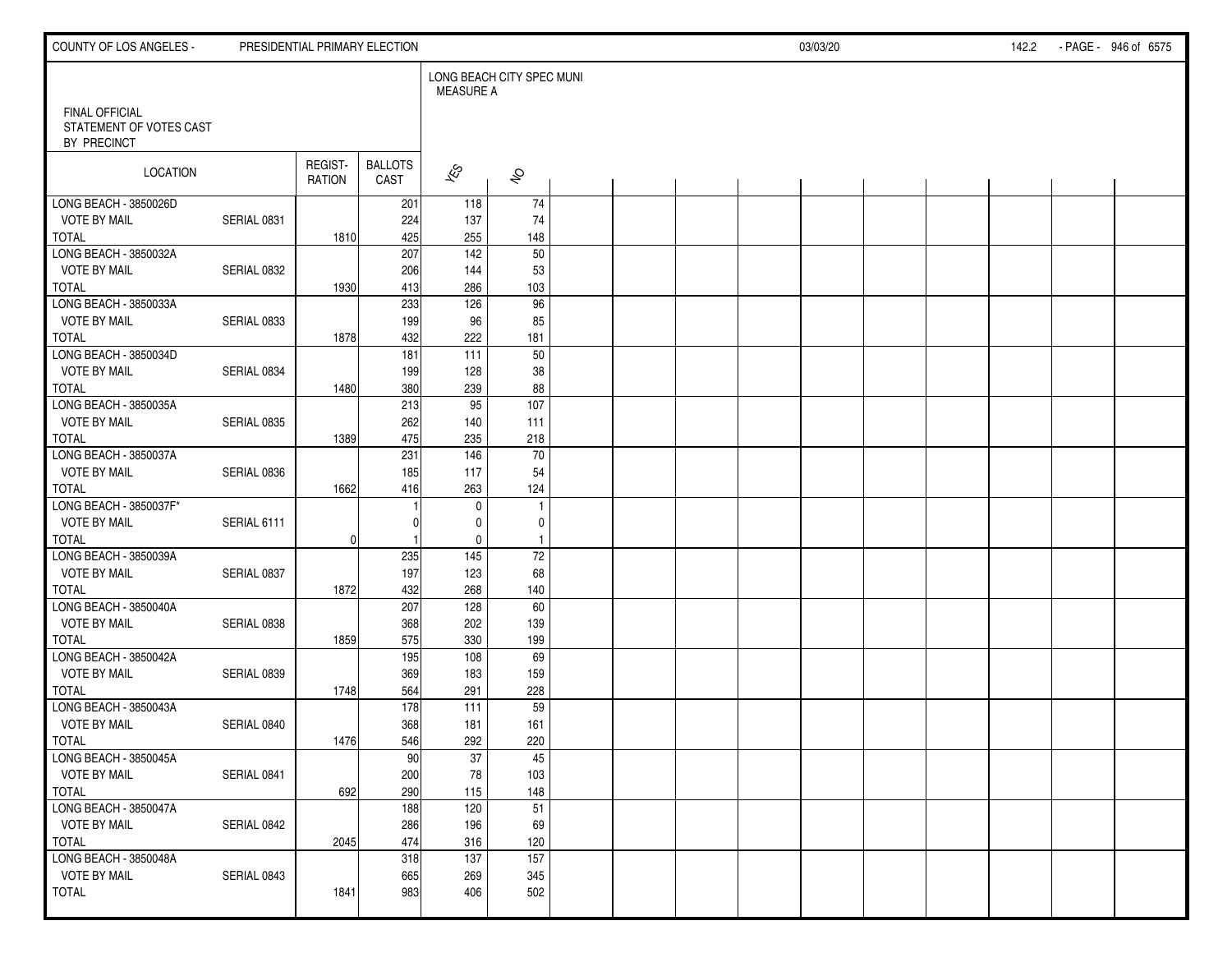| COUNTY OF LOS ANGELES -                                         |             | PRESIDENTIAL PRIMARY ELECTION |                        |                                               |                     |  |  | 03/03/20 |  | 142.2 | - PAGE - 946 of 6575 |
|-----------------------------------------------------------------|-------------|-------------------------------|------------------------|-----------------------------------------------|---------------------|--|--|----------|--|-------|----------------------|
|                                                                 |             |                               |                        | LONG BEACH CITY SPEC MUNI<br><b>MEASURE A</b> |                     |  |  |          |  |       |                      |
| <b>FINAL OFFICIAL</b><br>STATEMENT OF VOTES CAST<br>BY PRECINCT |             |                               |                        |                                               |                     |  |  |          |  |       |                      |
| LOCATION                                                        |             | REGIST-<br>RATION             | <b>BALLOTS</b><br>CAST | $\sqrt{\hat{S}}$                              | $\hat{\mathcal{S}}$ |  |  |          |  |       |                      |
| LONG BEACH - 3850026D                                           |             |                               | 201                    | 118                                           | 74                  |  |  |          |  |       |                      |
| <b>VOTE BY MAIL</b>                                             | SERIAL 0831 |                               | 224                    | 137                                           | 74                  |  |  |          |  |       |                      |
| <b>TOTAL</b>                                                    |             | 1810                          | 425                    | 255<br>$\frac{142}{ }$                        | 148<br>50           |  |  |          |  |       |                      |
| LONG BEACH - 3850032A<br><b>VOTE BY MAIL</b>                    |             |                               | 207<br>206             | 144                                           | 53                  |  |  |          |  |       |                      |
| TOTAL                                                           | SERIAL 0832 | 1930                          | 413                    | 286                                           | 103                 |  |  |          |  |       |                      |
| LONG BEACH - 3850033A                                           |             |                               | 233                    | 126                                           | $\overline{96}$     |  |  |          |  |       |                      |
| <b>VOTE BY MAIL</b>                                             | SERIAL 0833 |                               | 199                    | 96                                            | 85                  |  |  |          |  |       |                      |
| <b>TOTAL</b>                                                    |             | 1878                          | 432                    | 222                                           | 181                 |  |  |          |  |       |                      |
| LONG BEACH - 3850034D                                           |             |                               | 181                    | 111                                           | 50                  |  |  |          |  |       |                      |
| <b>VOTE BY MAIL</b>                                             | SERIAL 0834 |                               | 199                    | 128                                           | 38                  |  |  |          |  |       |                      |
| <b>TOTAL</b>                                                    |             | 1480                          | 380                    | 239                                           | 88                  |  |  |          |  |       |                      |
| LONG BEACH - 3850035A                                           |             |                               | 213                    | 95                                            | 107                 |  |  |          |  |       |                      |
| <b>VOTE BY MAIL</b>                                             | SERIAL 0835 |                               | 262                    | 140                                           | 111                 |  |  |          |  |       |                      |
| <b>TOTAL</b>                                                    |             | 1389                          | 475                    | 235                                           | 218                 |  |  |          |  |       |                      |
| LONG BEACH - 3850037A                                           |             |                               | 231                    | 146                                           | $\overline{70}$     |  |  |          |  |       |                      |
| <b>VOTE BY MAIL</b>                                             | SERIAL 0836 |                               | 185                    | 117                                           | 54                  |  |  |          |  |       |                      |
| <b>TOTAL</b>                                                    |             | 1662                          | 416                    | 263                                           | 124                 |  |  |          |  |       |                      |
| LONG BEACH - 3850037F*                                          |             |                               |                        | $\mathbf 0$                                   | $\overline{1}$      |  |  |          |  |       |                      |
| <b>VOTE BY MAIL</b>                                             | SERIAL 6111 |                               |                        | 0                                             | 0                   |  |  |          |  |       |                      |
| TOTAL                                                           |             | $\overline{0}$                |                        | $\mathbf 0$                                   | $\overline{1}$      |  |  |          |  |       |                      |
| LONG BEACH - 3850039A                                           |             |                               | 235                    | $\frac{145}{ }$                               | $\overline{72}$     |  |  |          |  |       |                      |
| <b>VOTE BY MAIL</b><br><b>TOTAL</b>                             | SERIAL 0837 |                               | 197<br>432             | 123<br>268                                    | 68<br>140           |  |  |          |  |       |                      |
| LONG BEACH - 3850040A                                           |             | 1872                          | 207                    | 128                                           | 60                  |  |  |          |  |       |                      |
| <b>VOTE BY MAIL</b>                                             | SERIAL 0838 |                               | 368                    | 202                                           | 139                 |  |  |          |  |       |                      |
| <b>TOTAL</b>                                                    |             | 1859                          | 575                    | 330                                           | 199                 |  |  |          |  |       |                      |
| LONG BEACH - 3850042A                                           |             |                               | 195                    | 108                                           | 69                  |  |  |          |  |       |                      |
| <b>VOTE BY MAIL</b>                                             | SERIAL 0839 |                               | 369                    | 183                                           | 159                 |  |  |          |  |       |                      |
| <b>TOTAL</b>                                                    |             | 1748                          | 564                    | 291                                           | 228                 |  |  |          |  |       |                      |
| LONG BEACH - 3850043A                                           |             |                               | 178                    | 111                                           | 59                  |  |  |          |  |       |                      |
| <b>VOTE BY MAIL</b>                                             | SERIAL 0840 |                               | 368                    | 181                                           | 161                 |  |  |          |  |       |                      |
| TOTAL                                                           |             | 1476                          | 546                    | 292                                           | 220                 |  |  |          |  |       |                      |
| LONG BEACH - 3850045A                                           |             |                               | 90                     | $\overline{37}$                               | 45                  |  |  |          |  |       |                      |
| <b>VOTE BY MAIL</b>                                             | SERIAL 0841 |                               | 200                    | 78                                            | 103                 |  |  |          |  |       |                      |
| TOTAL                                                           |             | 692                           | 290                    | 115                                           | 148                 |  |  |          |  |       |                      |
| LONG BEACH - 3850047A                                           |             |                               | 188                    | 120                                           | $\overline{51}$     |  |  |          |  |       |                      |
| <b>VOTE BY MAIL</b>                                             | SERIAL 0842 |                               | 286                    | 196                                           | 69                  |  |  |          |  |       |                      |
| TOTAL                                                           |             | 2045                          | 474                    | 316                                           | 120                 |  |  |          |  |       |                      |
| LONG BEACH - 3850048A                                           |             |                               | 318                    | 137                                           | 157                 |  |  |          |  |       |                      |
| <b>VOTE BY MAIL</b>                                             | SERIAL 0843 |                               | 665                    | 269                                           | 345                 |  |  |          |  |       |                      |
| <b>TOTAL</b>                                                    |             | 1841                          | 983                    | 406                                           | 502                 |  |  |          |  |       |                      |
|                                                                 |             |                               |                        |                                               |                     |  |  |          |  |       |                      |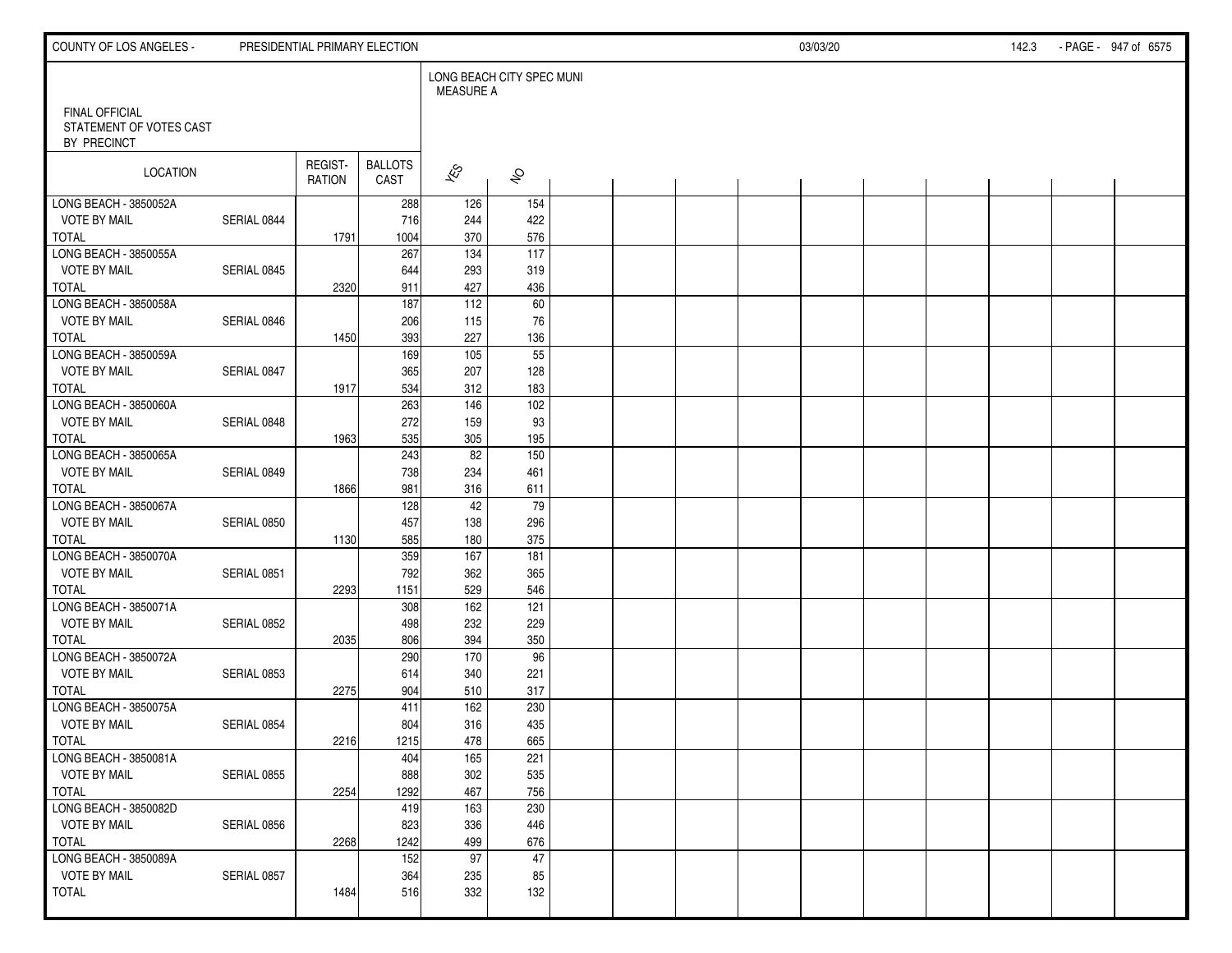| COUNTY OF LOS ANGELES -                                         |             |                          | PRESIDENTIAL PRIMARY ELECTION |                                               |                         |  |  | 03/03/20 |  | 142.3 | - PAGE - 947 of 6575 |  |
|-----------------------------------------------------------------|-------------|--------------------------|-------------------------------|-----------------------------------------------|-------------------------|--|--|----------|--|-------|----------------------|--|
|                                                                 |             |                          |                               | LONG BEACH CITY SPEC MUNI<br><b>MEASURE A</b> |                         |  |  |          |  |       |                      |  |
| <b>FINAL OFFICIAL</b><br>STATEMENT OF VOTES CAST<br>BY PRECINCT |             |                          |                               |                                               |                         |  |  |          |  |       |                      |  |
| LOCATION                                                        |             | REGIST-<br><b>RATION</b> | <b>BALLOTS</b><br>CAST        | $\overline{\mathscr{E}}$                      | $\hat{\mathcal{S}}$     |  |  |          |  |       |                      |  |
| LONG BEACH - 3850052A                                           |             |                          | 288                           | 126                                           | 154                     |  |  |          |  |       |                      |  |
| <b>VOTE BY MAIL</b>                                             | SERIAL 0844 |                          | 716                           | 244                                           | 422                     |  |  |          |  |       |                      |  |
| <b>TOTAL</b>                                                    |             | 1791                     | 1004                          | 370<br>134                                    | 576<br>$\overline{117}$ |  |  |          |  |       |                      |  |
| LONG BEACH - 3850055A                                           |             |                          | 267                           |                                               |                         |  |  |          |  |       |                      |  |
| <b>VOTE BY MAIL</b><br><b>TOTAL</b>                             | SERIAL 0845 | 2320                     | 644<br>911                    | 293<br>427                                    | 319<br>436              |  |  |          |  |       |                      |  |
| LONG BEACH - 3850058A                                           |             |                          | 187                           | 112                                           | 60                      |  |  |          |  |       |                      |  |
| <b>VOTE BY MAIL</b>                                             | SERIAL 0846 |                          | 206                           | 115                                           | 76                      |  |  |          |  |       |                      |  |
| <b>TOTAL</b>                                                    |             | 1450                     | 393                           | 227                                           | 136                     |  |  |          |  |       |                      |  |
| LONG BEACH - 3850059A                                           |             |                          | 169                           | 105                                           | 55                      |  |  |          |  |       |                      |  |
| <b>VOTE BY MAIL</b>                                             | SERIAL 0847 |                          | 365                           | 207                                           | 128                     |  |  |          |  |       |                      |  |
| <b>TOTAL</b>                                                    |             | 1917                     | 534                           | 312                                           | 183                     |  |  |          |  |       |                      |  |
| LONG BEACH - 3850060A                                           |             |                          | 263                           | 146                                           | 102                     |  |  |          |  |       |                      |  |
| <b>VOTE BY MAIL</b>                                             | SERIAL 0848 |                          | 272                           | 159                                           | 93                      |  |  |          |  |       |                      |  |
| <b>TOTAL</b>                                                    |             | 1963                     | 535                           | 305                                           | 195                     |  |  |          |  |       |                      |  |
| LONG BEACH - 3850065A                                           |             |                          | 243                           | $\overline{82}$                               | 150                     |  |  |          |  |       |                      |  |
| <b>VOTE BY MAIL</b>                                             | SERIAL 0849 |                          | 738                           | 234                                           | 461                     |  |  |          |  |       |                      |  |
| <b>TOTAL</b>                                                    |             | 1866                     | 981                           | 316                                           | 611                     |  |  |          |  |       |                      |  |
| LONG BEACH - 3850067A                                           |             |                          | 128                           | 42                                            | 79                      |  |  |          |  |       |                      |  |
| <b>VOTE BY MAIL</b>                                             | SERIAL 0850 |                          | 457                           | 138                                           | 296                     |  |  |          |  |       |                      |  |
| <b>TOTAL</b>                                                    |             | 1130                     | 585                           | 180                                           | 375                     |  |  |          |  |       |                      |  |
| LONG BEACH - 3850070A                                           |             |                          | 359                           | $\frac{167}{ }$                               | 181                     |  |  |          |  |       |                      |  |
| <b>VOTE BY MAIL</b>                                             | SERIAL 0851 |                          | 792                           | 362                                           | 365                     |  |  |          |  |       |                      |  |
| <b>TOTAL</b>                                                    |             | 2293                     | 1151                          | 529                                           | 546                     |  |  |          |  |       |                      |  |
| LONG BEACH - 3850071A                                           |             |                          | 308                           | 162                                           | 121                     |  |  |          |  |       |                      |  |
| <b>VOTE BY MAIL</b>                                             | SERIAL 0852 |                          | 498                           | 232                                           | 229                     |  |  |          |  |       |                      |  |
| <b>TOTAL</b>                                                    |             | 2035                     | 806                           | 394                                           | 350                     |  |  |          |  |       |                      |  |
| LONG BEACH - 3850072A                                           |             |                          | 290                           | 170                                           | 96                      |  |  |          |  |       |                      |  |
| <b>VOTE BY MAIL</b>                                             | SERIAL 0853 |                          | 614                           | 340                                           | 221                     |  |  |          |  |       |                      |  |
| <b>TOTAL</b>                                                    |             | 2275                     | 904                           | 510                                           | 317                     |  |  |          |  |       |                      |  |
| LONG BEACH - 3850075A                                           |             |                          | 411                           | 162                                           | 230                     |  |  |          |  |       |                      |  |
| <b>VOTE BY MAIL</b>                                             | SERIAL 0854 |                          | 804                           | 316                                           | 435                     |  |  |          |  |       |                      |  |
| <b>TOTAL</b>                                                    |             | 2216                     | 1215                          | 478                                           | 665                     |  |  |          |  |       |                      |  |
| LONG BEACH - 3850081A                                           |             |                          | 404                           | $\overline{165}$                              | 221                     |  |  |          |  |       |                      |  |
| <b>VOTE BY MAIL</b>                                             | SERIAL 0855 |                          | 888                           | 302                                           | 535                     |  |  |          |  |       |                      |  |
| TOTAL                                                           |             | 2254                     | 1292                          | 467                                           | 756                     |  |  |          |  |       |                      |  |
| LONG BEACH - 3850082D                                           |             |                          | 419                           | 163                                           | 230                     |  |  |          |  |       |                      |  |
| <b>VOTE BY MAIL</b>                                             | SERIAL 0856 |                          | 823                           | 336                                           | 446                     |  |  |          |  |       |                      |  |
| TOTAL                                                           |             | 2268                     | 1242                          | 499                                           | 676                     |  |  |          |  |       |                      |  |
| LONG BEACH - 3850089A                                           |             |                          | 152                           | 97                                            | 47                      |  |  |          |  |       |                      |  |
| <b>VOTE BY MAIL</b>                                             | SERIAL 0857 |                          | 364                           | 235                                           | 85                      |  |  |          |  |       |                      |  |
| TOTAL                                                           |             | 1484                     | 516                           | 332                                           | 132                     |  |  |          |  |       |                      |  |
|                                                                 |             |                          |                               |                                               |                         |  |  |          |  |       |                      |  |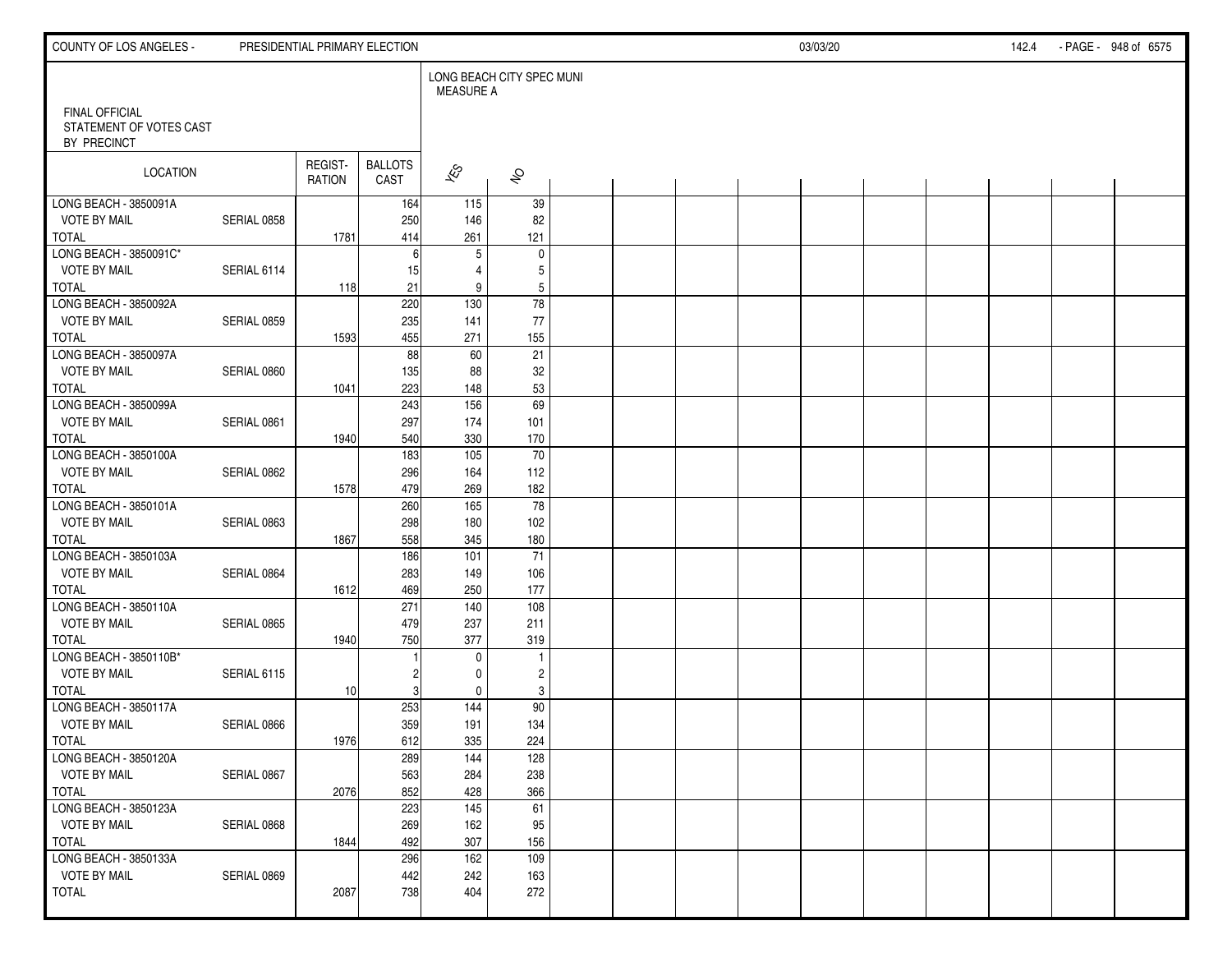| COUNTY OF LOS ANGELES -                                         |             |                   | PRESIDENTIAL PRIMARY ELECTION |                                               |                         |  |  | 03/03/20 |  | 142.4 | - PAGE - 948 of 6575 |
|-----------------------------------------------------------------|-------------|-------------------|-------------------------------|-----------------------------------------------|-------------------------|--|--|----------|--|-------|----------------------|
|                                                                 |             |                   |                               | LONG BEACH CITY SPEC MUNI<br><b>MEASURE A</b> |                         |  |  |          |  |       |                      |
| <b>FINAL OFFICIAL</b><br>STATEMENT OF VOTES CAST<br>BY PRECINCT |             |                   |                               |                                               |                         |  |  |          |  |       |                      |
| LOCATION                                                        |             | REGIST-<br>RATION | <b>BALLOTS</b><br>CAST        | $\overline{\mathscr{E}}$                      | $\hat{\mathcal{S}}$     |  |  |          |  |       |                      |
| LONG BEACH - 3850091A                                           |             |                   | 164                           | 115                                           | 39                      |  |  |          |  |       |                      |
| <b>VOTE BY MAIL</b>                                             | SERIAL 0858 |                   | 250                           | 146                                           | 82                      |  |  |          |  |       |                      |
| <b>TOTAL</b>                                                    |             | 1781              | 414                           | 261                                           | 121                     |  |  |          |  |       |                      |
| LONG BEACH - 3850091C*                                          |             |                   | 6                             | $5\,$                                         | $\mathbf 0$             |  |  |          |  |       |                      |
| <b>VOTE BY MAIL</b>                                             | SERIAL 6114 |                   | 15                            | 4                                             | 5                       |  |  |          |  |       |                      |
| TOTAL<br>LONG BEACH - 3850092A                                  |             | 118               | 21                            | 9<br>$\frac{130}{ }$                          | 5<br>$\overline{78}$    |  |  |          |  |       |                      |
|                                                                 |             |                   | 220                           |                                               |                         |  |  |          |  |       |                      |
| <b>VOTE BY MAIL</b>                                             | SERIAL 0859 |                   | 235                           | 141                                           | 77                      |  |  |          |  |       |                      |
| <b>TOTAL</b>                                                    |             | 1593              | 455                           | 271                                           | 155                     |  |  |          |  |       |                      |
| LONG BEACH - 3850097A<br><b>VOTE BY MAIL</b>                    |             |                   | 88                            | 60                                            | 21                      |  |  |          |  |       |                      |
|                                                                 | SERIAL 0860 |                   | 135                           | 88                                            | 32                      |  |  |          |  |       |                      |
| <b>TOTAL</b>                                                    |             | 1041              | 223                           | 148                                           | 53                      |  |  |          |  |       |                      |
| LONG BEACH - 3850099A                                           |             |                   | 243                           | 156                                           | 69                      |  |  |          |  |       |                      |
| <b>VOTE BY MAIL</b>                                             | SERIAL 0861 |                   | 297                           | 174                                           | 101                     |  |  |          |  |       |                      |
| <b>TOTAL</b><br>LONG BEACH - 3850100A                           |             | 1940              | 540<br>183                    | 330<br>105                                    | 170<br>$\overline{70}$  |  |  |          |  |       |                      |
| <b>VOTE BY MAIL</b>                                             | SERIAL 0862 |                   | 296                           | 164                                           | 112                     |  |  |          |  |       |                      |
| <b>TOTAL</b>                                                    |             | 1578              | 479                           | 269                                           | 182                     |  |  |          |  |       |                      |
| LONG BEACH - 3850101A                                           |             |                   | 260                           | $\frac{165}{ }$                               | $\overline{78}$         |  |  |          |  |       |                      |
| <b>VOTE BY MAIL</b>                                             | SERIAL 0863 |                   | 298                           | 180                                           | 102                     |  |  |          |  |       |                      |
| TOTAL                                                           |             | 1867              | 558                           | 345                                           | 180                     |  |  |          |  |       |                      |
| LONG BEACH - 3850103A                                           |             |                   | 186                           | 101                                           | $\overline{71}$         |  |  |          |  |       |                      |
| <b>VOTE BY MAIL</b>                                             | SERIAL 0864 |                   | 283                           | 149                                           | 106                     |  |  |          |  |       |                      |
| <b>TOTAL</b>                                                    |             | 1612              | 469                           | 250                                           | 177                     |  |  |          |  |       |                      |
| LONG BEACH - 3850110A                                           |             |                   | 271                           | 140                                           | 108                     |  |  |          |  |       |                      |
| <b>VOTE BY MAIL</b>                                             | SERIAL 0865 |                   | 479                           | 237                                           | 211                     |  |  |          |  |       |                      |
| <b>TOTAL</b>                                                    |             | 1940              | 750                           | 377                                           | 319                     |  |  |          |  |       |                      |
| LONG BEACH - 3850110B*                                          |             |                   |                               | $\mathbf 0$                                   | $\overline{1}$          |  |  |          |  |       |                      |
| <b>VOTE BY MAIL</b>                                             | SERIAL 6115 |                   | 2                             | 0                                             | $\overline{\mathbf{c}}$ |  |  |          |  |       |                      |
| <b>TOTAL</b>                                                    |             | 10                | 3                             | $\mathbf 0$                                   | 3                       |  |  |          |  |       |                      |
| LONG BEACH - 3850117A                                           |             |                   | 253                           | 144                                           | 90                      |  |  |          |  |       |                      |
| <b>VOTE BY MAIL</b>                                             | SERIAL 0866 |                   | 359                           | 191                                           | 134                     |  |  |          |  |       |                      |
| TOTAL                                                           |             | 1976              | 612                           | 335                                           | 224                     |  |  |          |  |       |                      |
| LONG BEACH - 3850120A                                           |             |                   | 289                           | $\overline{144}$                              | 128                     |  |  |          |  |       |                      |
| <b>VOTE BY MAIL</b>                                             | SERIAL 0867 |                   | 563                           | 284                                           | 238                     |  |  |          |  |       |                      |
| TOTAL                                                           |             | 2076              | 852                           | 428                                           | 366                     |  |  |          |  |       |                      |
| LONG BEACH - 3850123A                                           |             |                   | 223                           | $\frac{145}{ }$                               | 61                      |  |  |          |  |       |                      |
| <b>VOTE BY MAIL</b>                                             | SERIAL 0868 |                   | 269                           | 162                                           | 95                      |  |  |          |  |       |                      |
| TOTAL                                                           |             | 1844              | 492                           | 307                                           | 156                     |  |  |          |  |       |                      |
| LONG BEACH - 3850133A                                           |             |                   | 296                           | 162                                           | 109                     |  |  |          |  |       |                      |
| <b>VOTE BY MAIL</b>                                             | SERIAL 0869 |                   | 442                           | 242                                           | 163                     |  |  |          |  |       |                      |
| <b>TOTAL</b>                                                    |             | 2087              | 738                           | 404                                           | 272                     |  |  |          |  |       |                      |
|                                                                 |             |                   |                               |                                               |                         |  |  |          |  |       |                      |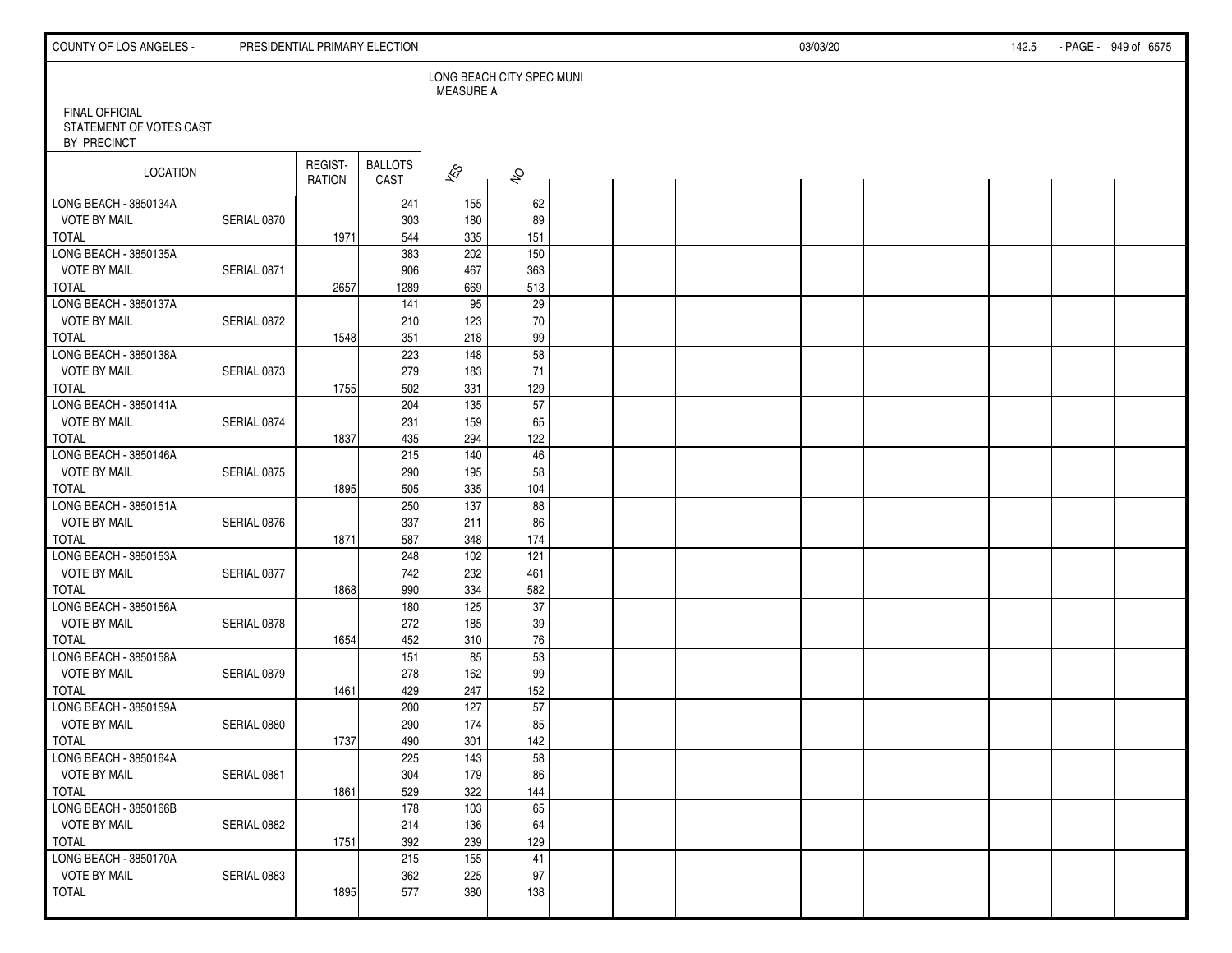| COUNTY OF LOS ANGELES -                                         |             |                          | PRESIDENTIAL PRIMARY ELECTION |                                               |                     |  |  | 03/03/20 |  | 142.5 | - PAGE - 949 of 6575 |
|-----------------------------------------------------------------|-------------|--------------------------|-------------------------------|-----------------------------------------------|---------------------|--|--|----------|--|-------|----------------------|
|                                                                 |             |                          |                               | LONG BEACH CITY SPEC MUNI<br><b>MEASURE A</b> |                     |  |  |          |  |       |                      |
| <b>FINAL OFFICIAL</b><br>STATEMENT OF VOTES CAST<br>BY PRECINCT |             |                          |                               |                                               |                     |  |  |          |  |       |                      |
| LOCATION                                                        |             | REGIST-<br><b>RATION</b> | <b>BALLOTS</b><br>CAST        | $\overline{\mathscr{E}}$                      | $\hat{\mathcal{S}}$ |  |  |          |  |       |                      |
| LONG BEACH - 3850134A                                           |             |                          | 241                           | 155                                           | 62                  |  |  |          |  |       |                      |
| <b>VOTE BY MAIL</b>                                             | SERIAL 0870 |                          | 303                           | 180                                           | 89                  |  |  |          |  |       |                      |
| <b>TOTAL</b><br>LONG BEACH - 3850135A                           |             | 1971                     | 544<br>383                    | 335<br>202                                    | 151<br>150          |  |  |          |  |       |                      |
| <b>VOTE BY MAIL</b>                                             | SERIAL 0871 |                          | 906                           | 467                                           | 363                 |  |  |          |  |       |                      |
| <b>TOTAL</b>                                                    |             | 2657                     | 1289                          | 669                                           | 513                 |  |  |          |  |       |                      |
| LONG BEACH - 3850137A                                           |             |                          | 141                           | 95                                            | $\overline{29}$     |  |  |          |  |       |                      |
| <b>VOTE BY MAIL</b>                                             | SERIAL 0872 |                          | 210                           | 123                                           | 70                  |  |  |          |  |       |                      |
| <b>TOTAL</b>                                                    |             | 1548                     | 351                           | 218                                           | 99                  |  |  |          |  |       |                      |
| LONG BEACH - 3850138A                                           |             |                          | 223                           | 148                                           | $\overline{58}$     |  |  |          |  |       |                      |
| <b>VOTE BY MAIL</b>                                             | SERIAL 0873 |                          | 279                           | 183                                           | 71                  |  |  |          |  |       |                      |
| <b>TOTAL</b>                                                    |             | 1755                     | 502                           | 331                                           | 129                 |  |  |          |  |       |                      |
| LONG BEACH - 3850141A                                           |             |                          | 204                           | 135                                           | 57                  |  |  |          |  |       |                      |
| <b>VOTE BY MAIL</b>                                             | SERIAL 0874 |                          | 231                           | 159                                           | 65                  |  |  |          |  |       |                      |
| <b>TOTAL</b>                                                    |             | 1837                     | 435                           | 294                                           | 122                 |  |  |          |  |       |                      |
| LONG BEACH - 3850146A                                           |             |                          | 215                           | 140                                           | 46                  |  |  |          |  |       |                      |
| <b>VOTE BY MAIL</b>                                             | SERIAL 0875 |                          | 290                           | 195                                           | 58                  |  |  |          |  |       |                      |
| <b>TOTAL</b>                                                    |             | 1895                     | 505                           | 335                                           | 104                 |  |  |          |  |       |                      |
| LONG BEACH - 3850151A                                           |             |                          | 250                           | $\frac{137}{1}$                               | 88                  |  |  |          |  |       |                      |
| <b>VOTE BY MAIL</b>                                             | SERIAL 0876 |                          | 337                           | 211                                           | 86                  |  |  |          |  |       |                      |
| <b>TOTAL</b>                                                    |             | 1871                     | 587                           | 348                                           | 174                 |  |  |          |  |       |                      |
| LONG BEACH - 3850153A                                           |             |                          | 248                           | 102                                           | 121                 |  |  |          |  |       |                      |
| <b>VOTE BY MAIL</b>                                             | SERIAL 0877 |                          | 742                           | 232                                           | 461                 |  |  |          |  |       |                      |
| <b>TOTAL</b>                                                    |             | 1868                     | 990                           | 334                                           | 582                 |  |  |          |  |       |                      |
| LONG BEACH - 3850156A                                           |             |                          | 180                           | 125                                           | $\overline{37}$     |  |  |          |  |       |                      |
| <b>VOTE BY MAIL</b>                                             | SERIAL 0878 |                          | 272                           | 185                                           | 39                  |  |  |          |  |       |                      |
| <b>TOTAL</b>                                                    |             | 1654                     | 452                           | 310                                           | 76                  |  |  |          |  |       |                      |
| LONG BEACH - 3850158A                                           |             |                          | 151                           | 85                                            | 53                  |  |  |          |  |       |                      |
| <b>VOTE BY MAIL</b>                                             | SERIAL 0879 |                          | 278                           | 162                                           | 99                  |  |  |          |  |       |                      |
| <b>TOTAL</b>                                                    |             | 1461                     | 429                           | 247                                           | 152                 |  |  |          |  |       |                      |
| LONG BEACH - 3850159A                                           |             |                          | 200                           | 127                                           | 57                  |  |  |          |  |       |                      |
| <b>VOTE BY MAIL</b>                                             | SERIAL 0880 |                          | 290                           | 174                                           | 85                  |  |  |          |  |       |                      |
| TOTAL                                                           |             | 1737                     | 490                           | 301                                           | 142                 |  |  |          |  |       |                      |
| LONG BEACH - 3850164A                                           |             |                          | 225                           | $\overline{143}$                              | $\overline{58}$     |  |  |          |  |       |                      |
| <b>VOTE BY MAIL</b>                                             | SERIAL 0881 |                          | 304                           | 179                                           | 86                  |  |  |          |  |       |                      |
| TOTAL                                                           |             | 1861                     | 529                           | 322                                           | 144                 |  |  |          |  |       |                      |
| LONG BEACH - 3850166B                                           |             |                          | 178                           | 103                                           | 65                  |  |  |          |  |       |                      |
| <b>VOTE BY MAIL</b>                                             | SERIAL 0882 |                          | 214                           | 136                                           | 64                  |  |  |          |  |       |                      |
| TOTAL                                                           |             | 1751                     | 392                           | 239                                           | 129                 |  |  |          |  |       |                      |
| LONG BEACH - 3850170A                                           |             |                          | 215                           | 155                                           | 41                  |  |  |          |  |       |                      |
| <b>VOTE BY MAIL</b><br><b>TOTAL</b>                             | SERIAL 0883 |                          | 362<br>577                    | 225                                           | $97\,$              |  |  |          |  |       |                      |
|                                                                 |             | 1895                     |                               | 380                                           | 138                 |  |  |          |  |       |                      |
|                                                                 |             |                          |                               |                                               |                     |  |  |          |  |       |                      |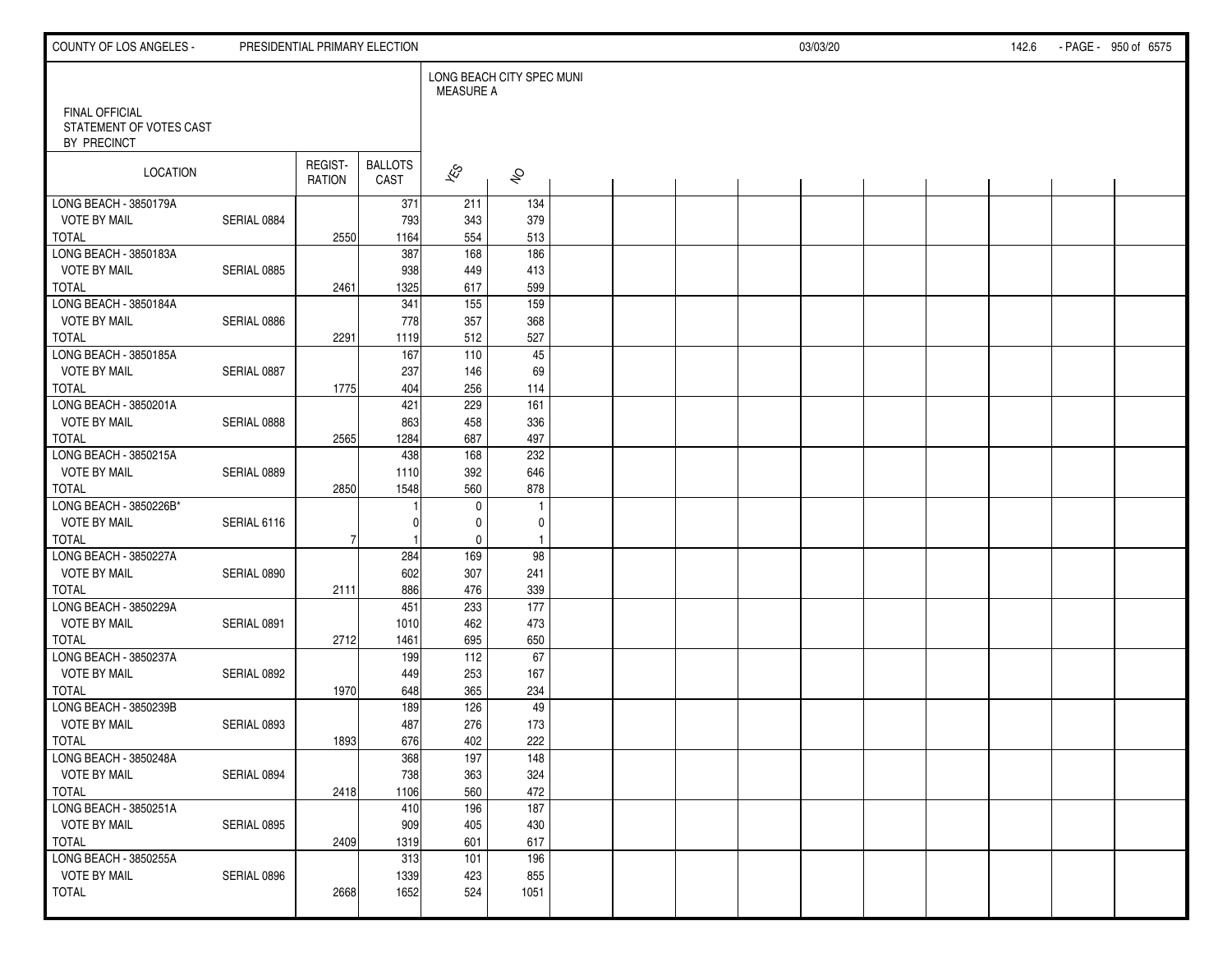| COUNTY OF LOS ANGELES -                                         |             | PRESIDENTIAL PRIMARY ELECTION |                        |                                               |                     |  |  | 03/03/20 |  | 142.6 | - PAGE - 950 of 6575 |
|-----------------------------------------------------------------|-------------|-------------------------------|------------------------|-----------------------------------------------|---------------------|--|--|----------|--|-------|----------------------|
|                                                                 |             |                               |                        | LONG BEACH CITY SPEC MUNI<br><b>MEASURE A</b> |                     |  |  |          |  |       |                      |
| <b>FINAL OFFICIAL</b><br>STATEMENT OF VOTES CAST<br>BY PRECINCT |             |                               |                        |                                               |                     |  |  |          |  |       |                      |
| LOCATION                                                        |             | REGIST-<br>RATION             | <b>BALLOTS</b><br>CAST | $\hat{\mathcal{K}}$                           | $\hat{\mathcal{S}}$ |  |  |          |  |       |                      |
| LONG BEACH - 3850179A                                           |             |                               | 371                    | 211                                           | 134                 |  |  |          |  |       |                      |
| <b>VOTE BY MAIL</b>                                             | SERIAL 0884 |                               | 793                    | 343                                           | 379                 |  |  |          |  |       |                      |
| <b>TOTAL</b>                                                    |             | 2550                          | 1164                   | 554                                           | 513                 |  |  |          |  |       |                      |
| LONG BEACH - 3850183A                                           |             |                               | 387                    | 168                                           | 186                 |  |  |          |  |       |                      |
| <b>VOTE BY MAIL</b>                                             | SERIAL 0885 |                               | 938                    | 449                                           | 413                 |  |  |          |  |       |                      |
| TOTAL                                                           |             | 2461                          | 1325                   | 617                                           | 599                 |  |  |          |  |       |                      |
| LONG BEACH - 3850184A                                           |             |                               | 341                    | $\overline{155}$                              | 159                 |  |  |          |  |       |                      |
| <b>VOTE BY MAIL</b>                                             | SERIAL 0886 |                               | 778                    | 357                                           | 368                 |  |  |          |  |       |                      |
| <b>TOTAL</b>                                                    |             | 2291                          | 1119                   | 512                                           | 527                 |  |  |          |  |       |                      |
| LONG BEACH - 3850185A                                           |             |                               | 167                    | 110                                           | 45                  |  |  |          |  |       |                      |
| VOTE BY MAIL                                                    | SERIAL 0887 |                               | 237                    | 146                                           | 69                  |  |  |          |  |       |                      |
| <b>TOTAL</b>                                                    |             | 1775                          | 404                    | 256                                           | 114                 |  |  |          |  |       |                      |
| LONG BEACH - 3850201A                                           |             |                               | 421                    | 229                                           | 161                 |  |  |          |  |       |                      |
| <b>VOTE BY MAIL</b>                                             | SERIAL 0888 |                               | 863                    | 458                                           | 336                 |  |  |          |  |       |                      |
| <b>TOTAL</b>                                                    |             | 2565                          | 1284                   | 687                                           | 497                 |  |  |          |  |       |                      |
| LONG BEACH - 3850215A                                           |             |                               | 438                    | 168                                           | 232                 |  |  |          |  |       |                      |
| <b>VOTE BY MAIL</b>                                             | SERIAL 0889 |                               | 1110                   | 392                                           | 646                 |  |  |          |  |       |                      |
| <b>TOTAL</b>                                                    |             | 2850                          | 1548                   | 560                                           | 878                 |  |  |          |  |       |                      |
| LONG BEACH - 3850226B*                                          |             |                               |                        | $\mathbf 0$                                   | $\overline{1}$      |  |  |          |  |       |                      |
| <b>VOTE BY MAIL</b>                                             | SERIAL 6116 |                               |                        | 0                                             | 0                   |  |  |          |  |       |                      |
| TOTAL                                                           |             | 7                             |                        | $\mathbf 0$                                   | $\overline{1}$      |  |  |          |  |       |                      |
| LONG BEACH - 3850227A                                           |             |                               | 284                    | 169                                           | 98                  |  |  |          |  |       |                      |
| <b>VOTE BY MAIL</b>                                             | SERIAL 0890 |                               | 602                    | 307                                           | 241                 |  |  |          |  |       |                      |
| <b>TOTAL</b>                                                    |             | 2111                          | 886                    | 476                                           | 339                 |  |  |          |  |       |                      |
| LONG BEACH - 3850229A                                           |             |                               | 451                    | 233                                           | 177                 |  |  |          |  |       |                      |
| <b>VOTE BY MAIL</b>                                             | SERIAL 0891 |                               | 1010                   | 462                                           | 473                 |  |  |          |  |       |                      |
| <b>TOTAL</b>                                                    |             | 2712                          | 1461                   | 695                                           | 650                 |  |  |          |  |       |                      |
| LONG BEACH - 3850237A                                           |             |                               | 199                    | 112                                           | 67                  |  |  |          |  |       |                      |
| <b>VOTE BY MAIL</b>                                             | SERIAL 0892 |                               | 449                    | 253                                           | 167                 |  |  |          |  |       |                      |
| <b>TOTAL</b>                                                    |             | 1970                          | 648                    | 365                                           | 234                 |  |  |          |  |       |                      |
| LONG BEACH - 3850239B                                           |             |                               | 189                    | 126                                           | 49                  |  |  |          |  |       |                      |
| <b>VOTE BY MAIL</b>                                             | SERIAL 0893 |                               | 487                    | 276                                           | 173                 |  |  |          |  |       |                      |
| TOTAL                                                           |             | 1893                          | 676                    | 402                                           | 222                 |  |  |          |  |       |                      |
| LONG BEACH - 3850248A                                           |             |                               | 368                    | 197                                           | $\frac{148}{ }$     |  |  |          |  |       |                      |
| <b>VOTE BY MAIL</b>                                             | SERIAL 0894 |                               | 738                    | 363                                           | 324                 |  |  |          |  |       |                      |
| TOTAL                                                           |             | 2418                          | 1106                   | 560                                           | 472                 |  |  |          |  |       |                      |
| LONG BEACH - 3850251A                                           |             |                               | 410                    | 196                                           | 187                 |  |  |          |  |       |                      |
| <b>VOTE BY MAIL</b>                                             | SERIAL 0895 |                               | 909                    | 405                                           | 430                 |  |  |          |  |       |                      |
| TOTAL                                                           |             | 2409                          | 1319                   | 601                                           | 617                 |  |  |          |  |       |                      |
| LONG BEACH - 3850255A                                           |             |                               | 313                    | 101                                           | 196                 |  |  |          |  |       |                      |
| <b>VOTE BY MAIL</b>                                             | SERIAL 0896 |                               | 1339                   | 423                                           | 855                 |  |  |          |  |       |                      |
| <b>TOTAL</b>                                                    |             | 2668                          | 1652                   | 524                                           | 1051                |  |  |          |  |       |                      |
|                                                                 |             |                               |                        |                                               |                     |  |  |          |  |       |                      |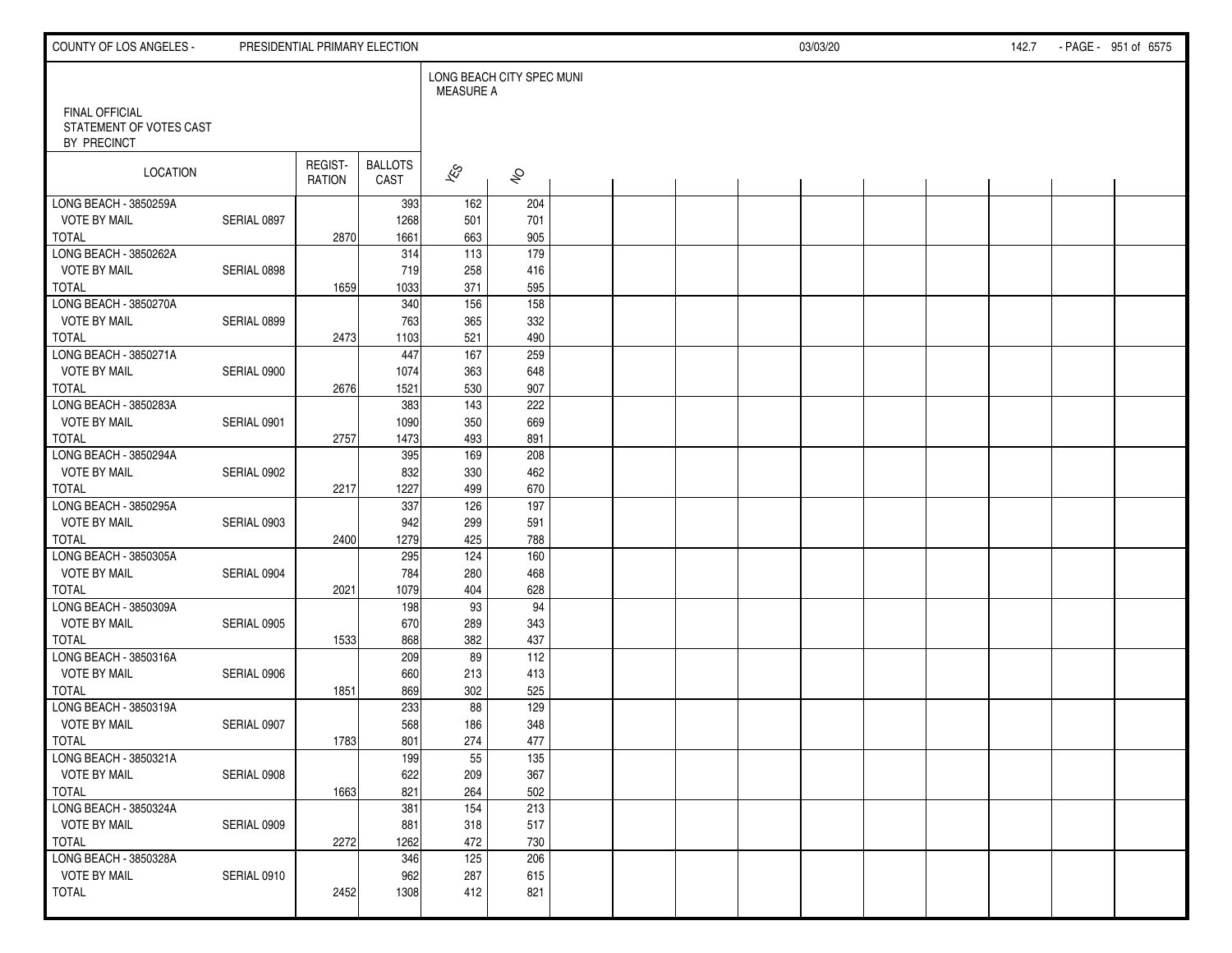| COUNTY OF LOS ANGELES -                                         |             |                          | PRESIDENTIAL PRIMARY ELECTION |                                               |                     |  |  | 03/03/20 |  | 142.7 | - PAGE - 951 of 6575 |
|-----------------------------------------------------------------|-------------|--------------------------|-------------------------------|-----------------------------------------------|---------------------|--|--|----------|--|-------|----------------------|
|                                                                 |             |                          |                               | LONG BEACH CITY SPEC MUNI<br><b>MEASURE A</b> |                     |  |  |          |  |       |                      |
| <b>FINAL OFFICIAL</b><br>STATEMENT OF VOTES CAST<br>BY PRECINCT |             |                          |                               |                                               |                     |  |  |          |  |       |                      |
| LOCATION                                                        |             | REGIST-<br><b>RATION</b> | <b>BALLOTS</b><br>CAST        | $\overline{\mathscr{E}}$                      | $\hat{\mathcal{S}}$ |  |  |          |  |       |                      |
| LONG BEACH - 3850259A                                           |             |                          | 393                           | 162                                           | 204                 |  |  |          |  |       |                      |
| <b>VOTE BY MAIL</b>                                             | SERIAL 0897 |                          | 1268                          | 501                                           | 701                 |  |  |          |  |       |                      |
| <b>TOTAL</b>                                                    |             | 2870                     | 1661                          | 663                                           | 905                 |  |  |          |  |       |                      |
| LONG BEACH - 3850262A                                           |             |                          | 314                           | $\overline{113}$                              | 179                 |  |  |          |  |       |                      |
| <b>VOTE BY MAIL</b>                                             | SERIAL 0898 |                          | 719                           | 258                                           | 416                 |  |  |          |  |       |                      |
| <b>TOTAL</b>                                                    |             | 1659                     | 1033                          | 371                                           | 595                 |  |  |          |  |       |                      |
| LONG BEACH - 3850270A<br><b>VOTE BY MAIL</b>                    |             |                          | 340                           | 156                                           | $\frac{158}{ }$     |  |  |          |  |       |                      |
| <b>TOTAL</b>                                                    | SERIAL 0899 |                          | 763<br>1103                   | 365<br>521                                    | 332<br>490          |  |  |          |  |       |                      |
| LONG BEACH - 3850271A                                           |             | 2473                     | 447                           | 167                                           | 259                 |  |  |          |  |       |                      |
| <b>VOTE BY MAIL</b>                                             | SERIAL 0900 |                          | 1074                          | 363                                           | 648                 |  |  |          |  |       |                      |
| <b>TOTAL</b>                                                    |             | 2676                     | 1521                          | 530                                           | 907                 |  |  |          |  |       |                      |
| LONG BEACH - 3850283A                                           |             |                          | 383                           | 143                                           | 222                 |  |  |          |  |       |                      |
| <b>VOTE BY MAIL</b>                                             | SERIAL 0901 |                          | 1090                          | 350                                           | 669                 |  |  |          |  |       |                      |
| <b>TOTAL</b>                                                    |             | 2757                     | 1473                          | 493                                           | 891                 |  |  |          |  |       |                      |
| LONG BEACH - 3850294A                                           |             |                          | 395                           | 169                                           | 208                 |  |  |          |  |       |                      |
| <b>VOTE BY MAIL</b>                                             | SERIAL 0902 |                          | 832                           | 330                                           | 462                 |  |  |          |  |       |                      |
| <b>TOTAL</b>                                                    |             | 2217                     | 1227                          | 499                                           | 670                 |  |  |          |  |       |                      |
| LONG BEACH - 3850295A                                           |             |                          | 337                           | 126                                           | 197                 |  |  |          |  |       |                      |
| <b>VOTE BY MAIL</b>                                             | SERIAL 0903 |                          | 942                           | 299                                           | 591                 |  |  |          |  |       |                      |
| <b>TOTAL</b>                                                    |             | 2400                     | 1279                          | 425                                           | 788                 |  |  |          |  |       |                      |
| LONG BEACH - 3850305A                                           |             |                          | 295                           | 124                                           | 160                 |  |  |          |  |       |                      |
| <b>VOTE BY MAIL</b>                                             | SERIAL 0904 |                          | 784                           | 280                                           | 468                 |  |  |          |  |       |                      |
| <b>TOTAL</b>                                                    |             | 2021                     | 1079                          | 404                                           | 628                 |  |  |          |  |       |                      |
| LONG BEACH - 3850309A                                           |             |                          | 198                           | 93                                            | 94                  |  |  |          |  |       |                      |
| <b>VOTE BY MAIL</b>                                             | SERIAL 0905 |                          | 670                           | 289                                           | 343                 |  |  |          |  |       |                      |
| <b>TOTAL</b>                                                    |             | 1533                     | 868                           | 382                                           | 437                 |  |  |          |  |       |                      |
| LONG BEACH - 3850316A                                           |             |                          | 209                           | 89                                            | 112                 |  |  |          |  |       |                      |
| <b>VOTE BY MAIL</b>                                             | SERIAL 0906 |                          | 660                           | 213                                           | 413                 |  |  |          |  |       |                      |
| <b>TOTAL</b>                                                    |             | 1851                     | 869                           | 302                                           | 525                 |  |  |          |  |       |                      |
| LONG BEACH - 3850319A                                           |             |                          | 233                           | 88                                            | 129                 |  |  |          |  |       |                      |
| <b>VOTE BY MAIL</b>                                             | SERIAL 0907 |                          | 568                           | 186                                           | 348                 |  |  |          |  |       |                      |
| <b>TOTAL</b>                                                    |             | 1783                     | 801                           | 274                                           | 477                 |  |  |          |  |       |                      |
| LONG BEACH - 3850321A                                           |             |                          | 199                           | $\overline{55}$                               | 135                 |  |  |          |  |       |                      |
| <b>VOTE BY MAIL</b>                                             | SERIAL 0908 |                          | 622                           | 209                                           | 367                 |  |  |          |  |       |                      |
| TOTAL                                                           |             | 1663                     | 821                           | 264                                           | 502                 |  |  |          |  |       |                      |
| LONG BEACH - 3850324A                                           |             |                          | 381                           | 154                                           | 213                 |  |  |          |  |       |                      |
| <b>VOTE BY MAIL</b>                                             | SERIAL 0909 |                          | 881                           | 318                                           | 517                 |  |  |          |  |       |                      |
| TOTAL                                                           |             | 2272                     | 1262                          | 472                                           | 730                 |  |  |          |  |       |                      |
| LONG BEACH - 3850328A                                           |             |                          | 346                           | 125                                           | 206                 |  |  |          |  |       |                      |
| <b>VOTE BY MAIL</b>                                             | SERIAL 0910 |                          | 962                           | 287                                           | 615                 |  |  |          |  |       |                      |
| <b>TOTAL</b>                                                    |             | 2452                     | 1308                          | 412                                           | 821                 |  |  |          |  |       |                      |
|                                                                 |             |                          |                               |                                               |                     |  |  |          |  |       |                      |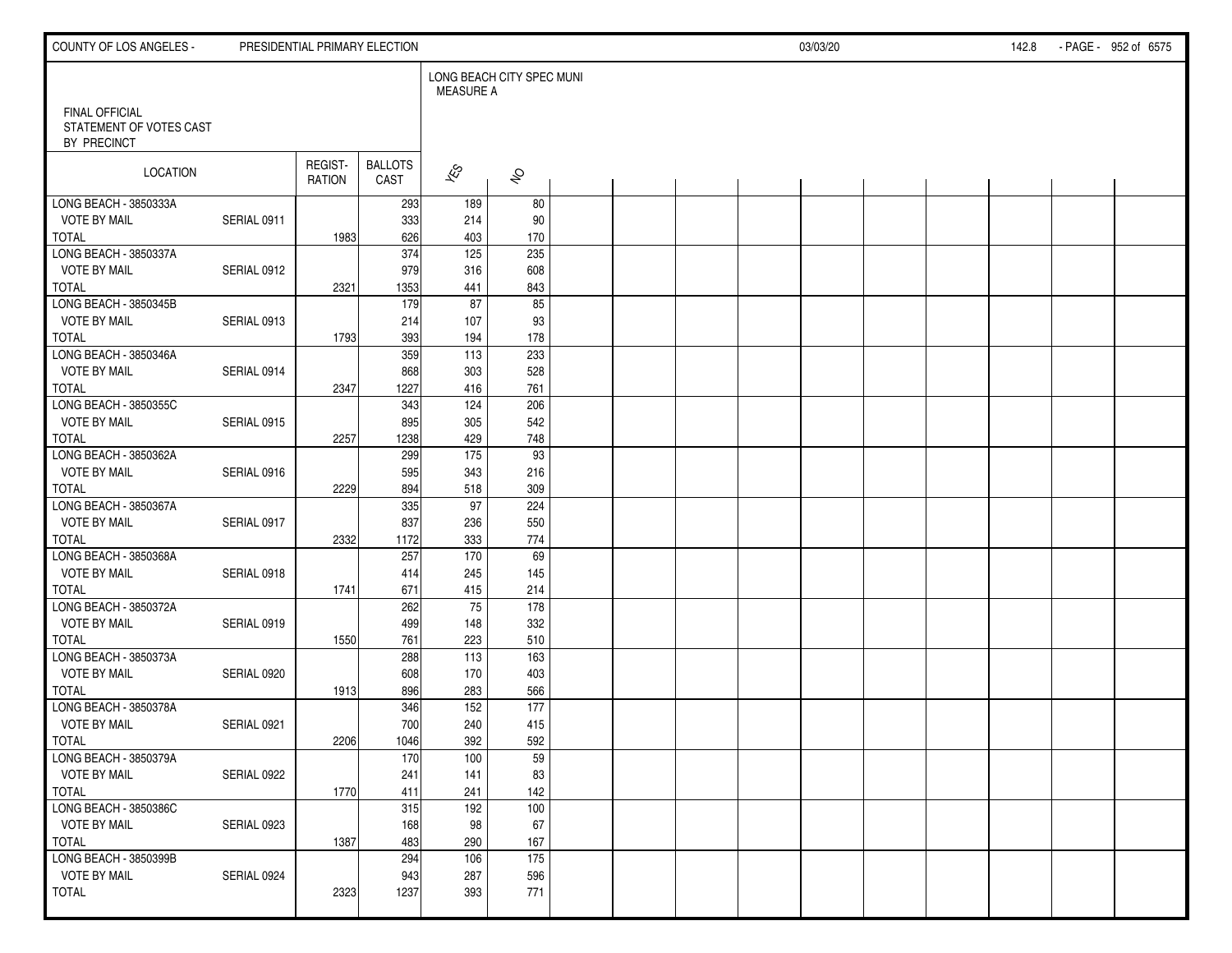| COUNTY OF LOS ANGELES -                                         |             | PRESIDENTIAL PRIMARY ELECTION |                        |                     |                           |  |  | 03/03/20 |  | 142.8 | - PAGE - 952 of 6575 |
|-----------------------------------------------------------------|-------------|-------------------------------|------------------------|---------------------|---------------------------|--|--|----------|--|-------|----------------------|
|                                                                 |             |                               |                        | <b>MEASURE A</b>    | LONG BEACH CITY SPEC MUNI |  |  |          |  |       |                      |
| <b>FINAL OFFICIAL</b><br>STATEMENT OF VOTES CAST<br>BY PRECINCT |             |                               |                        |                     |                           |  |  |          |  |       |                      |
| LOCATION                                                        |             | REGIST-<br>RATION             | <b>BALLOTS</b><br>CAST | $\hat{\mathcal{K}}$ | $\hat{\mathcal{S}}$       |  |  |          |  |       |                      |
| LONG BEACH - 3850333A                                           |             |                               | 293                    | 189                 | 80                        |  |  |          |  |       |                      |
| <b>VOTE BY MAIL</b>                                             | SERIAL 0911 |                               | 333                    | 214                 | 90                        |  |  |          |  |       |                      |
| <b>TOTAL</b>                                                    |             | 1983                          | 626                    | 403                 | 170                       |  |  |          |  |       |                      |
| LONG BEACH - 3850337A                                           |             |                               | 374                    | $\overline{125}$    | 235                       |  |  |          |  |       |                      |
| <b>VOTE BY MAIL</b>                                             | SERIAL 0912 |                               | 979                    | 316                 | 608                       |  |  |          |  |       |                      |
| <b>TOTAL</b>                                                    |             | 2321                          | 1353                   | 441                 | 843                       |  |  |          |  |       |                      |
| LONG BEACH - 3850345B                                           |             |                               | 179                    | 87                  | 85                        |  |  |          |  |       |                      |
| <b>VOTE BY MAIL</b>                                             | SERIAL 0913 |                               | 214                    | 107                 | 93                        |  |  |          |  |       |                      |
| <b>TOTAL</b>                                                    |             | 1793                          | 393                    | 194                 | 178                       |  |  |          |  |       |                      |
| LONG BEACH - 3850346A                                           |             |                               | 359                    | 113                 | 233                       |  |  |          |  |       |                      |
| VOTE BY MAIL                                                    | SERIAL 0914 |                               | 868                    | 303                 | 528                       |  |  |          |  |       |                      |
| <b>TOTAL</b>                                                    |             | 2347                          | 1227                   | 416                 | 761                       |  |  |          |  |       |                      |
| LONG BEACH - 3850355C                                           |             |                               | 343                    | 124                 | 206                       |  |  |          |  |       |                      |
| <b>VOTE BY MAIL</b>                                             | SERIAL 0915 |                               | 895                    | 305                 | 542                       |  |  |          |  |       |                      |
| <b>TOTAL</b>                                                    |             | 2257                          | 1238                   | 429                 | 748                       |  |  |          |  |       |                      |
| LONG BEACH - 3850362A                                           |             |                               | 299                    | $\frac{175}{ }$     | 93                        |  |  |          |  |       |                      |
| <b>VOTE BY MAIL</b>                                             | SERIAL 0916 |                               | 595                    | 343                 | 216                       |  |  |          |  |       |                      |
| <b>TOTAL</b>                                                    |             | 2229                          | 894                    | 518                 | 309                       |  |  |          |  |       |                      |
| LONG BEACH - 3850367A                                           |             |                               | 335                    | $\overline{97}$     | 224                       |  |  |          |  |       |                      |
| <b>VOTE BY MAIL</b>                                             | SERIAL 0917 |                               | 837                    | 236                 | 550                       |  |  |          |  |       |                      |
| TOTAL                                                           |             | 2332                          | 1172                   | 333                 | 774                       |  |  |          |  |       |                      |
| LONG BEACH - 3850368A                                           |             |                               | 257                    | 170                 | 69                        |  |  |          |  |       |                      |
| <b>VOTE BY MAIL</b>                                             | SERIAL 0918 |                               | 414                    | 245                 | 145                       |  |  |          |  |       |                      |
| <b>TOTAL</b>                                                    |             | 1741                          | 671                    | 415                 | 214                       |  |  |          |  |       |                      |
| LONG BEACH - 3850372A                                           |             |                               | 262                    | 75                  | 178                       |  |  |          |  |       |                      |
| <b>VOTE BY MAIL</b>                                             | SERIAL 0919 |                               | 499                    | 148                 | 332                       |  |  |          |  |       |                      |
| <b>TOTAL</b>                                                    |             | 1550                          | 761                    | 223                 | 510                       |  |  |          |  |       |                      |
| LONG BEACH - 3850373A                                           |             |                               | 288                    | 113                 | 163                       |  |  |          |  |       |                      |
| <b>VOTE BY MAIL</b>                                             | SERIAL 0920 |                               | 608                    | 170                 | 403                       |  |  |          |  |       |                      |
| <b>TOTAL</b>                                                    |             | 1913                          | 896                    | 283                 | 566                       |  |  |          |  |       |                      |
| LONG BEACH - 3850378A                                           |             |                               | 346                    | 152                 | 177                       |  |  |          |  |       |                      |
| <b>VOTE BY MAIL</b>                                             | SERIAL 0921 |                               | 700                    | 240                 | 415                       |  |  |          |  |       |                      |
| TOTAL                                                           |             | 2206                          | 1046                   | 392                 | 592                       |  |  |          |  |       |                      |
| LONG BEACH - 3850379A                                           |             |                               | 170                    | 100                 | 59                        |  |  |          |  |       |                      |
| <b>VOTE BY MAIL</b>                                             | SERIAL 0922 |                               | 241                    | 141                 | 83                        |  |  |          |  |       |                      |
| TOTAL                                                           |             | 1770                          | 411                    | 241                 | 142                       |  |  |          |  |       |                      |
| LONG BEACH - 3850386C                                           |             |                               | 315                    | 192                 | 100                       |  |  |          |  |       |                      |
| <b>VOTE BY MAIL</b>                                             | SERIAL 0923 |                               | 168                    | 98                  | 67                        |  |  |          |  |       |                      |
| TOTAL                                                           |             | 1387                          | 483                    | 290                 | 167                       |  |  |          |  |       |                      |
| LONG BEACH - 3850399B                                           |             |                               | 294                    | 106                 | 175                       |  |  |          |  |       |                      |
| <b>VOTE BY MAIL</b>                                             | SERIAL 0924 |                               | 943                    | 287                 | 596                       |  |  |          |  |       |                      |
| TOTAL                                                           |             | 2323                          | 1237                   | 393                 | 771                       |  |  |          |  |       |                      |
|                                                                 |             |                               |                        |                     |                           |  |  |          |  |       |                      |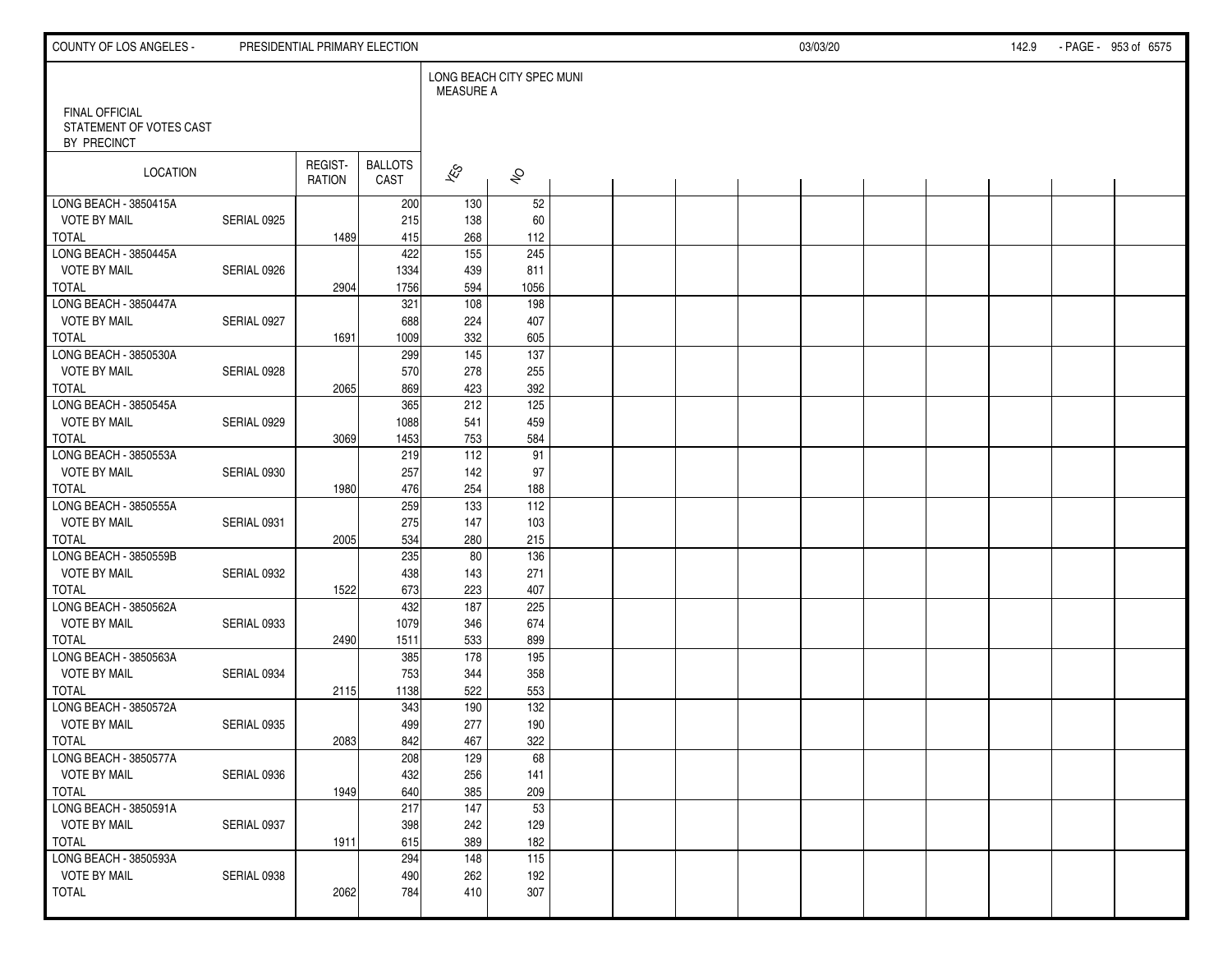| COUNTY OF LOS ANGELES -                                         |             | PRESIDENTIAL PRIMARY ELECTION |                        |                                               |                     |  |  | 03/03/20 |  | 142.9 | - PAGE - 953 of 6575 |
|-----------------------------------------------------------------|-------------|-------------------------------|------------------------|-----------------------------------------------|---------------------|--|--|----------|--|-------|----------------------|
|                                                                 |             |                               |                        | LONG BEACH CITY SPEC MUNI<br><b>MEASURE A</b> |                     |  |  |          |  |       |                      |
| <b>FINAL OFFICIAL</b><br>STATEMENT OF VOTES CAST<br>BY PRECINCT |             |                               |                        |                                               |                     |  |  |          |  |       |                      |
| LOCATION                                                        |             | REGIST-<br>RATION             | <b>BALLOTS</b><br>CAST | $\hat{\mathcal{K}}$                           | $\hat{\mathcal{S}}$ |  |  |          |  |       |                      |
| LONG BEACH - 3850415A                                           |             |                               | 200                    | 130                                           | 52                  |  |  |          |  |       |                      |
| <b>VOTE BY MAIL</b>                                             | SERIAL 0925 |                               | 215                    | 138                                           | 60                  |  |  |          |  |       |                      |
| <b>TOTAL</b>                                                    |             | 1489                          | 415                    | 268                                           | 112                 |  |  |          |  |       |                      |
| LONG BEACH - 3850445A                                           |             |                               | 422                    | $\overline{155}$                              | 245                 |  |  |          |  |       |                      |
| <b>VOTE BY MAIL</b>                                             | SERIAL 0926 |                               | 1334                   | 439                                           | 811                 |  |  |          |  |       |                      |
| TOTAL<br>LONG BEACH - 3850447A                                  |             | 2904                          | 1756<br>321            | 594                                           | 1056                |  |  |          |  |       |                      |
| <b>VOTE BY MAIL</b>                                             | SERIAL 0927 |                               |                        | 108                                           | 198                 |  |  |          |  |       |                      |
| <b>TOTAL</b>                                                    |             | 1691                          | 688<br>1009            | 224<br>332                                    | 407<br>605          |  |  |          |  |       |                      |
| LONG BEACH - 3850530A                                           |             |                               | 299                    | 145                                           | 137                 |  |  |          |  |       |                      |
| <b>VOTE BY MAIL</b>                                             | SERIAL 0928 |                               | 570                    | 278                                           | 255                 |  |  |          |  |       |                      |
| <b>TOTAL</b>                                                    |             | 2065                          | 869                    | 423                                           | 392                 |  |  |          |  |       |                      |
| LONG BEACH - 3850545A                                           |             |                               | 365                    | 212                                           | 125                 |  |  |          |  |       |                      |
| <b>VOTE BY MAIL</b>                                             | SERIAL 0929 |                               | 1088                   | 541                                           | 459                 |  |  |          |  |       |                      |
| <b>TOTAL</b>                                                    |             | 3069                          | 1453                   | 753                                           | 584                 |  |  |          |  |       |                      |
| LONG BEACH - 3850553A                                           |             |                               | 219                    | 112                                           | 91                  |  |  |          |  |       |                      |
| <b>VOTE BY MAIL</b>                                             | SERIAL 0930 |                               | 257                    | 142                                           | 97                  |  |  |          |  |       |                      |
| <b>TOTAL</b>                                                    |             | 1980                          | 476                    | 254                                           | 188                 |  |  |          |  |       |                      |
| LONG BEACH - 3850555A                                           |             |                               | 259                    | 133                                           | $\frac{112}{112}$   |  |  |          |  |       |                      |
| <b>VOTE BY MAIL</b>                                             | SERIAL 0931 |                               | 275                    | 147                                           | 103                 |  |  |          |  |       |                      |
| TOTAL                                                           |             | 2005                          | 534                    | 280                                           | 215                 |  |  |          |  |       |                      |
| LONG BEACH - 3850559B                                           |             |                               | 235                    | 80                                            | 136                 |  |  |          |  |       |                      |
| <b>VOTE BY MAIL</b>                                             | SERIAL 0932 |                               | 438                    | 143                                           | 271                 |  |  |          |  |       |                      |
| <b>TOTAL</b>                                                    |             | 1522                          | 673                    | 223                                           | 407                 |  |  |          |  |       |                      |
| LONG BEACH - 3850562A                                           |             |                               | 432                    | 187                                           | 225                 |  |  |          |  |       |                      |
| <b>VOTE BY MAIL</b>                                             | SERIAL 0933 |                               | 1079                   | 346                                           | 674                 |  |  |          |  |       |                      |
| <b>TOTAL</b>                                                    |             | 2490                          | 1511                   | 533                                           | 899                 |  |  |          |  |       |                      |
| LONG BEACH - 3850563A                                           | SERIAL 0934 |                               | 385                    | 178                                           | 195                 |  |  |          |  |       |                      |
| <b>VOTE BY MAIL</b><br><b>TOTAL</b>                             |             |                               | 753                    | 344<br>522                                    | 358<br>553          |  |  |          |  |       |                      |
| LONG BEACH - 3850572A                                           |             | 2115                          | 1138<br>343            | 190                                           | 132                 |  |  |          |  |       |                      |
| <b>VOTE BY MAIL</b>                                             | SERIAL 0935 |                               | 499                    | 277                                           | 190                 |  |  |          |  |       |                      |
| TOTAL                                                           |             | 2083                          | 842                    | 467                                           | 322                 |  |  |          |  |       |                      |
| LONG BEACH - 3850577A                                           |             |                               | 208                    | 129                                           | 68                  |  |  |          |  |       |                      |
| <b>VOTE BY MAIL</b>                                             | SERIAL 0936 |                               | 432                    | 256                                           | 141                 |  |  |          |  |       |                      |
| TOTAL                                                           |             | 1949                          | 640                    | 385                                           | 209                 |  |  |          |  |       |                      |
| LONG BEACH - 3850591A                                           |             |                               | 217                    | $\frac{147}{147}$                             | $\overline{53}$     |  |  |          |  |       |                      |
| <b>VOTE BY MAIL</b>                                             | SERIAL 0937 |                               | 398                    | 242                                           | 129                 |  |  |          |  |       |                      |
| TOTAL                                                           |             | 1911                          | 615                    | 389                                           | 182                 |  |  |          |  |       |                      |
| LONG BEACH - 3850593A                                           |             |                               | 294                    | 148                                           | 115                 |  |  |          |  |       |                      |
| <b>VOTE BY MAIL</b>                                             | SERIAL 0938 |                               | 490                    | 262                                           | 192                 |  |  |          |  |       |                      |
| TOTAL                                                           |             | 2062                          | 784                    | 410                                           | 307                 |  |  |          |  |       |                      |
|                                                                 |             |                               |                        |                                               |                     |  |  |          |  |       |                      |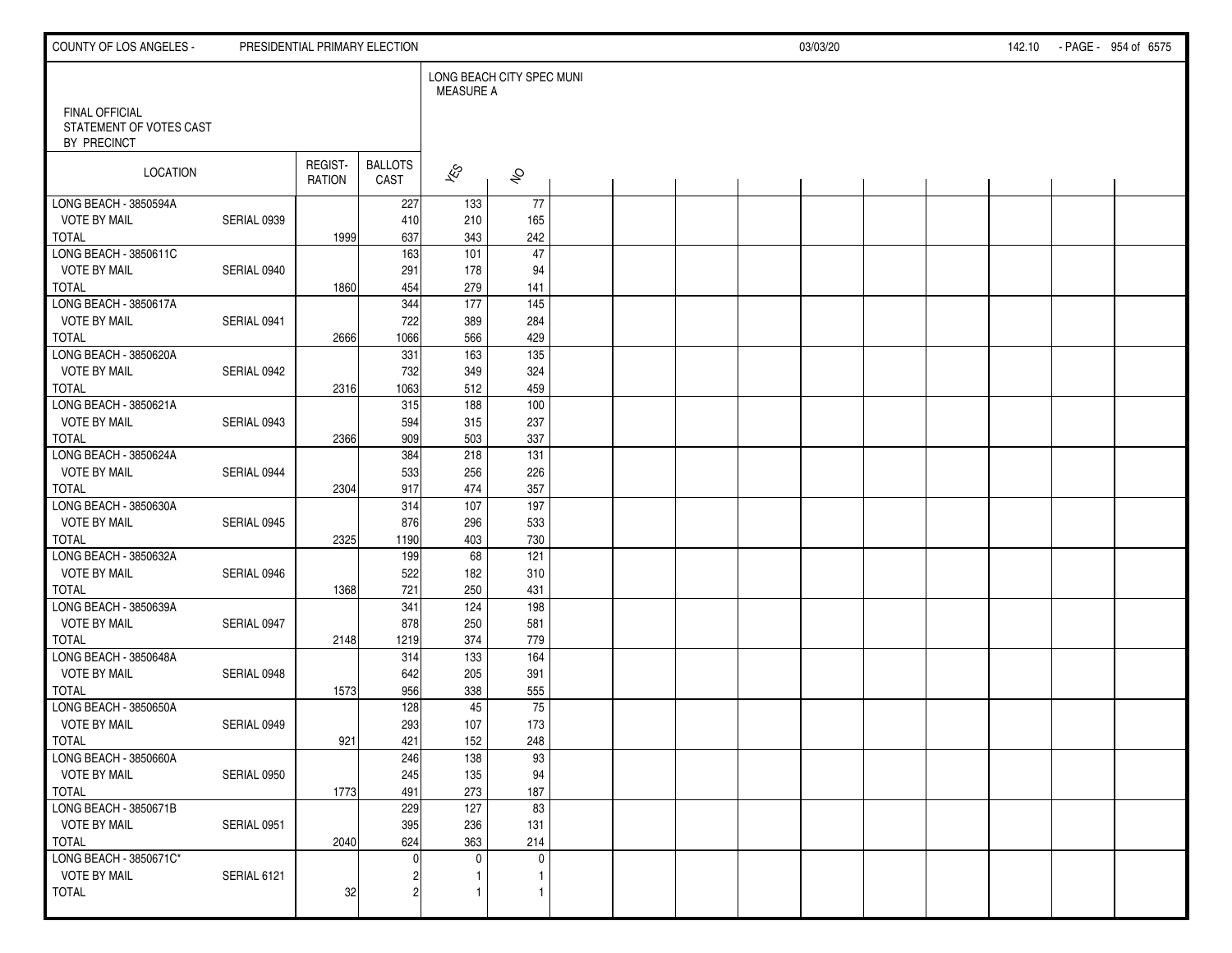| COUNTY OF LOS ANGELES -                |             |                          | PRESIDENTIAL PRIMARY ELECTION |                          |                           |  |  | 03/03/20 |  | 142.10 - PAGE - 954 of 6575 |  |
|----------------------------------------|-------------|--------------------------|-------------------------------|--------------------------|---------------------------|--|--|----------|--|-----------------------------|--|
| <b>FINAL OFFICIAL</b>                  |             |                          |                               | <b>MEASURE A</b>         | LONG BEACH CITY SPEC MUNI |  |  |          |  |                             |  |
| STATEMENT OF VOTES CAST<br>BY PRECINCT |             |                          |                               |                          |                           |  |  |          |  |                             |  |
| LOCATION                               |             | REGIST-<br><b>RATION</b> | <b>BALLOTS</b><br>CAST        | $\overline{\mathscr{E}}$ | $\hat{\mathcal{S}}$       |  |  |          |  |                             |  |
| LONG BEACH - 3850594A                  |             |                          | 227                           | 133                      | 77                        |  |  |          |  |                             |  |
| <b>VOTE BY MAIL</b>                    | SERIAL 0939 |                          | 410                           | 210                      | 165                       |  |  |          |  |                             |  |
| <b>TOTAL</b>                           |             | 1999                     | 637                           | 343<br>101               | 242<br>$\overline{47}$    |  |  |          |  |                             |  |
| LONG BEACH - 3850611C                  |             |                          | 163                           |                          |                           |  |  |          |  |                             |  |
| <b>VOTE BY MAIL</b><br><b>TOTAL</b>    | SERIAL 0940 | 1860                     | 291<br>454                    | 178<br>279               | 94<br>141                 |  |  |          |  |                             |  |
| LONG BEACH - 3850617A                  |             |                          | 344                           | $\frac{1}{77}$           | 145                       |  |  |          |  |                             |  |
| <b>VOTE BY MAIL</b>                    | SERIAL 0941 |                          | 722                           | 389                      | 284                       |  |  |          |  |                             |  |
| <b>TOTAL</b>                           |             | 2666                     | 1066                          | 566                      | 429                       |  |  |          |  |                             |  |
| LONG BEACH - 3850620A                  |             |                          | 331                           | 163                      | 135                       |  |  |          |  |                             |  |
| <b>VOTE BY MAIL</b>                    | SERIAL 0942 |                          | 732                           | 349                      | 324                       |  |  |          |  |                             |  |
| <b>TOTAL</b>                           |             | 2316                     | 1063                          | 512                      | 459                       |  |  |          |  |                             |  |
| LONG BEACH - 3850621A                  |             |                          | 315                           | 188                      | 100                       |  |  |          |  |                             |  |
| <b>VOTE BY MAIL</b>                    | SERIAL 0943 |                          | 594                           | 315                      | 237                       |  |  |          |  |                             |  |
| <b>TOTAL</b>                           |             | 2366                     | 909                           | 503                      | 337                       |  |  |          |  |                             |  |
| LONG BEACH - 3850624A                  |             |                          | 384                           | 218                      | 131                       |  |  |          |  |                             |  |
| <b>VOTE BY MAIL</b>                    | SERIAL 0944 |                          | 533                           | 256                      | 226                       |  |  |          |  |                             |  |
| <b>TOTAL</b>                           |             | 2304                     | 917                           | 474                      | 357                       |  |  |          |  |                             |  |
| LONG BEACH - 3850630A                  |             |                          | 314                           | $\overline{107}$         | 197                       |  |  |          |  |                             |  |
| <b>VOTE BY MAIL</b>                    | SERIAL 0945 |                          | 876                           | 296                      | 533                       |  |  |          |  |                             |  |
| <b>TOTAL</b>                           |             | 2325                     | 1190                          | 403                      | 730                       |  |  |          |  |                             |  |
| LONG BEACH - 3850632A                  |             |                          | 199                           | 68                       | 121                       |  |  |          |  |                             |  |
| <b>VOTE BY MAIL</b>                    | SERIAL 0946 |                          | 522                           | 182                      | 310                       |  |  |          |  |                             |  |
| <b>TOTAL</b>                           |             | 1368                     | 721                           | 250                      | 431                       |  |  |          |  |                             |  |
| LONG BEACH - 3850639A                  |             |                          | 341                           | 124                      | 198                       |  |  |          |  |                             |  |
| <b>VOTE BY MAIL</b>                    | SERIAL 0947 |                          | 878                           | 250                      | 581                       |  |  |          |  |                             |  |
| <b>TOTAL</b>                           |             | 2148                     | 1219                          | 374                      | 779                       |  |  |          |  |                             |  |
| LONG BEACH - 3850648A                  |             |                          | 314                           | 133                      | 164                       |  |  |          |  |                             |  |
| <b>VOTE BY MAIL</b>                    | SERIAL 0948 |                          | 642                           | 205                      | 391                       |  |  |          |  |                             |  |
| <b>TOTAL</b>                           |             | 1573                     | 956                           | 338                      | 555                       |  |  |          |  |                             |  |
| LONG BEACH - 3850650A                  |             |                          | 128                           | 45                       | 75                        |  |  |          |  |                             |  |
| <b>VOTE BY MAIL</b>                    | SERIAL 0949 |                          | 293                           | 107                      | 173                       |  |  |          |  |                             |  |
| <b>TOTAL</b>                           |             | 921                      | 421                           | 152<br>$\overline{138}$  | 248<br>$\overline{93}$    |  |  |          |  |                             |  |
| LONG BEACH - 3850660A                  |             |                          | 246                           |                          |                           |  |  |          |  |                             |  |
| <b>VOTE BY MAIL</b><br>TOTAL           | SERIAL 0950 |                          | 245<br>491                    | 135<br>273               | 94<br>187                 |  |  |          |  |                             |  |
| LONG BEACH - 3850671B                  |             | 1773                     | 229                           | 127                      | 83                        |  |  |          |  |                             |  |
| <b>VOTE BY MAIL</b>                    | SERIAL 0951 |                          | 395                           | 236                      | 131                       |  |  |          |  |                             |  |
| TOTAL                                  |             | 2040                     | 624                           | 363                      | 214                       |  |  |          |  |                             |  |
| LONG BEACH - 3850671C*                 |             |                          | $\Omega$                      | $\mathbf 0$              | $\mathbf 0$               |  |  |          |  |                             |  |
| <b>VOTE BY MAIL</b>                    | SERIAL 6121 |                          |                               | 1                        | 1                         |  |  |          |  |                             |  |
| <b>TOTAL</b>                           |             | 32                       | 2                             | $\mathbf{1}$             | $\mathbf{1}$              |  |  |          |  |                             |  |
|                                        |             |                          |                               |                          |                           |  |  |          |  |                             |  |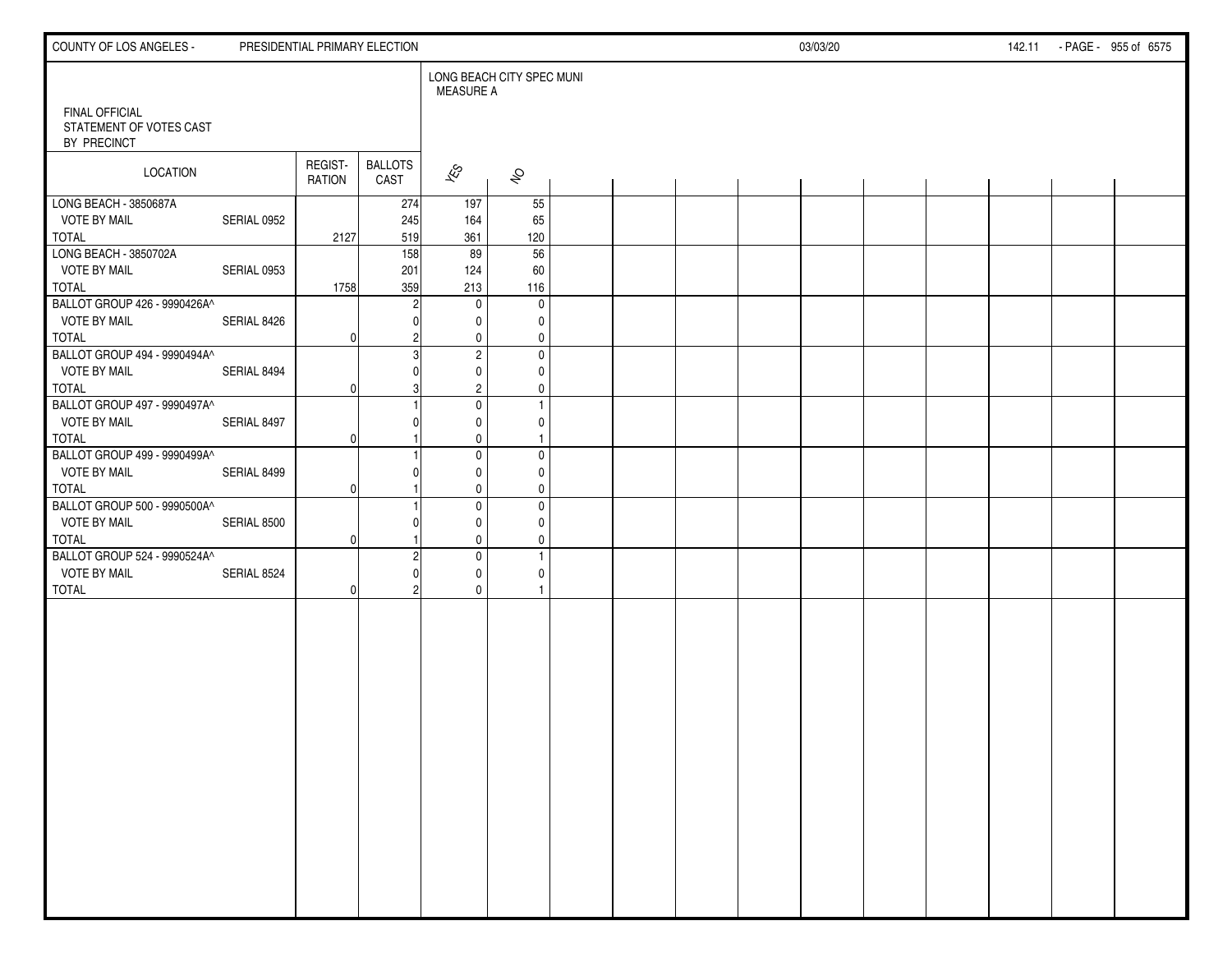| <b>COUNTY OF LOS ANGELES -</b>                                      |             | PRESIDENTIAL PRIMARY ELECTION |                        |                                        |                                         |  |  | 03/03/20 |  | 142.11 - PAGE - 955 of 6575 |  |
|---------------------------------------------------------------------|-------------|-------------------------------|------------------------|----------------------------------------|-----------------------------------------|--|--|----------|--|-----------------------------|--|
|                                                                     |             |                               |                        | LONG BEACH CITY SPEC MUNI<br>MEASURE A |                                         |  |  |          |  |                             |  |
| <b>FINAL OFFICIAL</b><br>STATEMENT OF VOTES CAST<br>BY PRECINCT     |             |                               |                        |                                        |                                         |  |  |          |  |                             |  |
| <b>LOCATION</b>                                                     |             | REGIST-<br><b>RATION</b>      | <b>BALLOTS</b><br>CAST | $\mathscr{E}_{\mathcal{S}}$            | $\hat{\mathcal{S}}$                     |  |  |          |  |                             |  |
| LONG BEACH - 3850687A<br><b>VOTE BY MAIL</b><br><b>TOTAL</b>        | SERIAL 0952 |                               | 274<br>245<br>519      | 197<br>164<br>361                      | 55<br>65<br>120                         |  |  |          |  |                             |  |
| LONG BEACH - 3850702A<br><b>VOTE BY MAIL</b>                        | SERIAL 0953 | 2127                          | 158<br>201             | 89<br>124                              | 56<br>60                                |  |  |          |  |                             |  |
| <b>TOTAL</b><br>BALLOT GROUP 426 - 9990426A^<br><b>VOTE BY MAIL</b> | SERIAL 8426 | 1758                          | 359                    | 213<br>$\mathbf 0$<br>0                | 116<br>$\mathbf 0$<br>0                 |  |  |          |  |                             |  |
| TOTAL<br>BALLOT GROUP 494 - 9990494A^                               |             | 0                             |                        | 0<br>$\sqrt{2}$                        | $\mathbf 0$<br>$\mathbf 0$              |  |  |          |  |                             |  |
| <b>VOTE BY MAIL</b><br>TOTAL<br>BALLOT GROUP 497 - 9990497A^        | SERIAL 8494 | O                             |                        | $\mathbf 0$<br>$\overline{c}$          | 0<br>0<br>$\mathbf{1}$                  |  |  |          |  |                             |  |
| <b>VOTE BY MAIL</b><br>TOTAL                                        | SERIAL 8497 | O                             |                        | 0<br>0<br>$\mathbf 0$                  | 0<br>$\overline{1}$                     |  |  |          |  |                             |  |
| BALLOT GROUP 499 - 9990499A^<br><b>VOTE BY MAIL</b><br><b>TOTAL</b> | SERIAL 8499 | O                             |                        | $\pmb{0}$<br>0<br>0                    | $\mathbf 0$<br>0<br>0                   |  |  |          |  |                             |  |
| BALLOT GROUP 500 - 9990500A^<br><b>VOTE BY MAIL</b><br><b>TOTAL</b> | SERIAL 8500 | $\Omega$                      |                        | $\mathbf 0$<br>0<br>0                  | $\pmb{0}$<br>$\mathbf 0$<br>$\mathbf 0$ |  |  |          |  |                             |  |
| BALLOT GROUP 524 - 9990524A^<br><b>VOTE BY MAIL</b><br><b>TOTAL</b> | SERIAL 8524 | 0                             |                        | $\mathbf 0$<br>0<br>0                  | $\mathbf{1}$<br>$\mathbf 0$<br>1        |  |  |          |  |                             |  |
|                                                                     |             |                               |                        |                                        |                                         |  |  |          |  |                             |  |
|                                                                     |             |                               |                        |                                        |                                         |  |  |          |  |                             |  |
|                                                                     |             |                               |                        |                                        |                                         |  |  |          |  |                             |  |
|                                                                     |             |                               |                        |                                        |                                         |  |  |          |  |                             |  |
|                                                                     |             |                               |                        |                                        |                                         |  |  |          |  |                             |  |
|                                                                     |             |                               |                        |                                        |                                         |  |  |          |  |                             |  |
|                                                                     |             |                               |                        |                                        |                                         |  |  |          |  |                             |  |
|                                                                     |             |                               |                        |                                        |                                         |  |  |          |  |                             |  |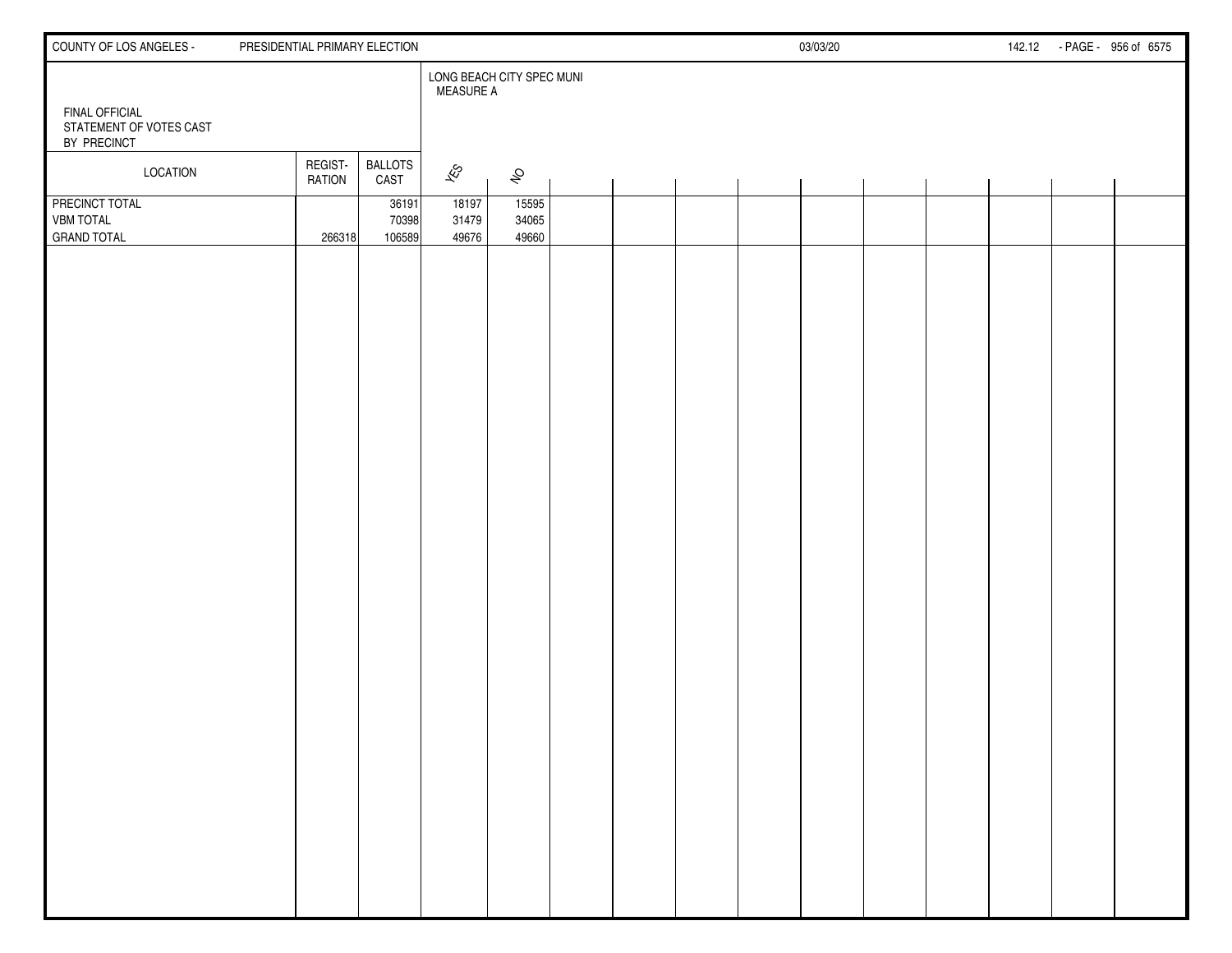| COUNTY OF LOS ANGELES -                | PRESIDENTIAL PRIMARY ELECTION |                        |                                               |                |  |  | 03/03/20 |  | 142.12 | - PAGE - 956 of 6575 |  |
|----------------------------------------|-------------------------------|------------------------|-----------------------------------------------|----------------|--|--|----------|--|--------|----------------------|--|
| <b>FINAL OFFICIAL</b>                  |                               |                        | LONG BEACH CITY SPEC MUNI<br><b>MEASURE A</b> |                |  |  |          |  |        |                      |  |
| STATEMENT OF VOTES CAST<br>BY PRECINCT |                               |                        |                                               |                |  |  |          |  |        |                      |  |
| LOCATION                               | REGIST-<br><b>RATION</b>      | <b>BALLOTS</b><br>CAST | $\hat{\mathcal{E}}$                           | $\mathfrak{S}$ |  |  |          |  |        |                      |  |
| PRECINCT TOTAL<br><b>VBM TOTAL</b>     |                               | 36191<br>70398         | 18197<br>31479                                | 15595<br>34065 |  |  |          |  |        |                      |  |
| <b>GRAND TOTAL</b>                     | 266318                        | 106589                 | 49676                                         | 49660          |  |  |          |  |        |                      |  |
|                                        |                               |                        |                                               |                |  |  |          |  |        |                      |  |
|                                        |                               |                        |                                               |                |  |  |          |  |        |                      |  |
|                                        |                               |                        |                                               |                |  |  |          |  |        |                      |  |
|                                        |                               |                        |                                               |                |  |  |          |  |        |                      |  |
|                                        |                               |                        |                                               |                |  |  |          |  |        |                      |  |
|                                        |                               |                        |                                               |                |  |  |          |  |        |                      |  |
|                                        |                               |                        |                                               |                |  |  |          |  |        |                      |  |
|                                        |                               |                        |                                               |                |  |  |          |  |        |                      |  |
|                                        |                               |                        |                                               |                |  |  |          |  |        |                      |  |
|                                        |                               |                        |                                               |                |  |  |          |  |        |                      |  |
|                                        |                               |                        |                                               |                |  |  |          |  |        |                      |  |
|                                        |                               |                        |                                               |                |  |  |          |  |        |                      |  |
|                                        |                               |                        |                                               |                |  |  |          |  |        |                      |  |
|                                        |                               |                        |                                               |                |  |  |          |  |        |                      |  |
|                                        |                               |                        |                                               |                |  |  |          |  |        |                      |  |
|                                        |                               |                        |                                               |                |  |  |          |  |        |                      |  |
|                                        |                               |                        |                                               |                |  |  |          |  |        |                      |  |
|                                        |                               |                        |                                               |                |  |  |          |  |        |                      |  |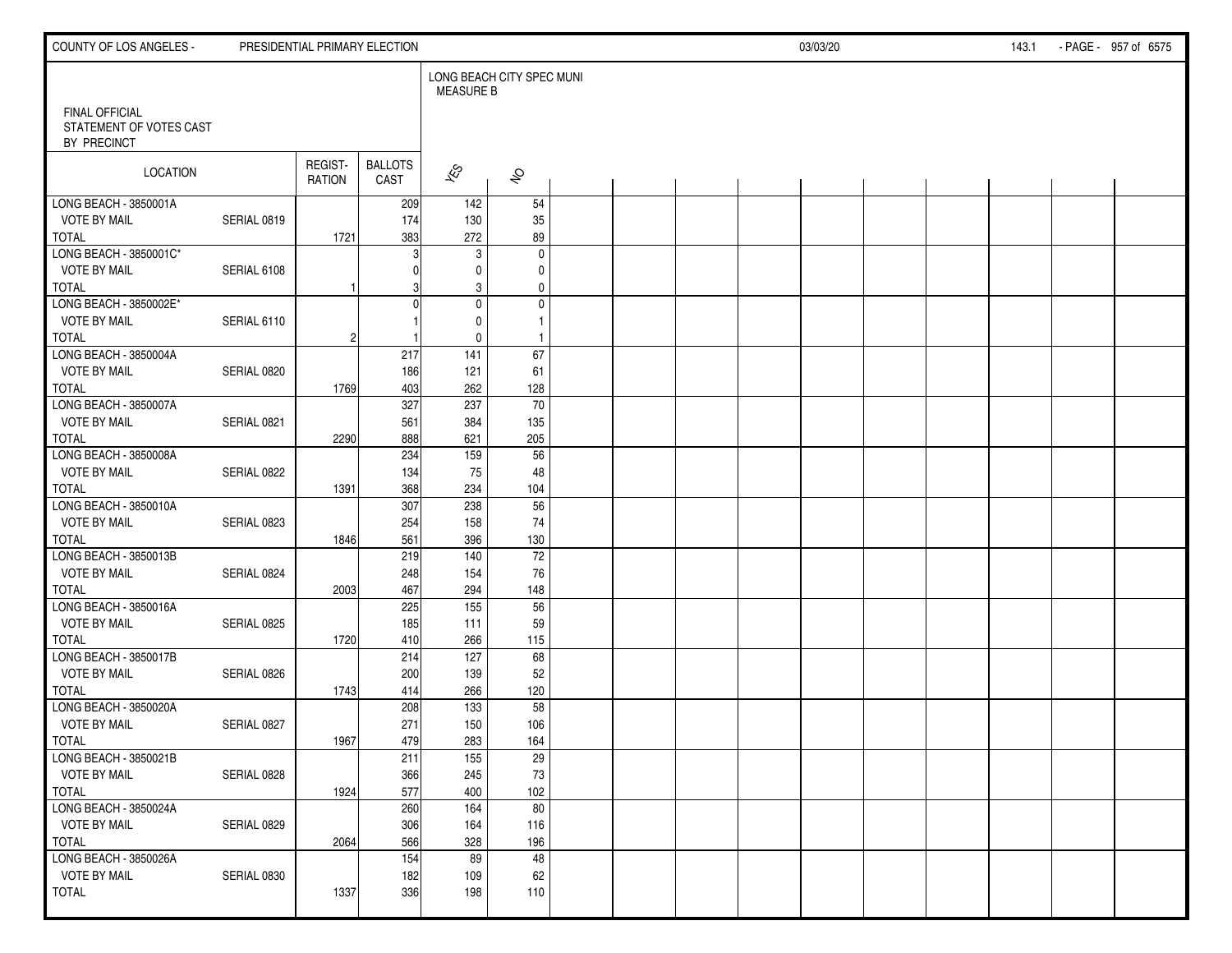| COUNTY OF LOS ANGELES -                      |             | PRESIDENTIAL PRIMARY ELECTION |                        |                                               |                     |  |  | 03/03/20 |  | 143.1 | - PAGE - 957 of 6575 |
|----------------------------------------------|-------------|-------------------------------|------------------------|-----------------------------------------------|---------------------|--|--|----------|--|-------|----------------------|
| FINAL OFFICIAL                               |             |                               |                        | LONG BEACH CITY SPEC MUNI<br><b>MEASURE B</b> |                     |  |  |          |  |       |                      |
| STATEMENT OF VOTES CAST<br>BY PRECINCT       |             |                               |                        |                                               |                     |  |  |          |  |       |                      |
| LOCATION                                     |             | REGIST-<br>RATION             | <b>BALLOTS</b><br>CAST | $\overline{\mathcal{K}}$ s                    | $\hat{\mathcal{P}}$ |  |  |          |  |       |                      |
| LONG BEACH - 3850001A                        |             |                               | 209                    | 142                                           | 54                  |  |  |          |  |       |                      |
| <b>VOTE BY MAIL</b>                          | SERIAL 0819 |                               | 174                    | 130                                           | 35                  |  |  |          |  |       |                      |
| <b>TOTAL</b><br>LONG BEACH - 3850001C*       |             | 1721                          | 383<br>3               | 272<br>$\mathbf{3}$                           | 89<br>$\pmb{0}$     |  |  |          |  |       |                      |
| <b>VOTE BY MAIL</b>                          | SERIAL 6108 |                               |                        | 0                                             | 0                   |  |  |          |  |       |                      |
| <b>TOTAL</b>                                 |             |                               |                        | 3                                             | 0                   |  |  |          |  |       |                      |
| LONG BEACH - 3850002E*                       |             |                               | $\Omega$               | $\mathbf 0$                                   | $\pmb{0}$           |  |  |          |  |       |                      |
| <b>VOTE BY MAIL</b>                          | SERIAL 6110 |                               |                        | $\mathbf 0$                                   | $\mathbf{1}$        |  |  |          |  |       |                      |
| <b>TOTAL</b>                                 |             | $\overline{c}$                |                        | $\pmb{0}$                                     | $\overline{1}$      |  |  |          |  |       |                      |
| LONG BEACH - 3850004A                        |             |                               | 217                    | 141                                           | 67                  |  |  |          |  |       |                      |
| <b>VOTE BY MAIL</b>                          | SERIAL 0820 |                               | 186                    | 121                                           | 61                  |  |  |          |  |       |                      |
| <b>TOTAL</b>                                 |             | 1769                          | 403                    | 262                                           | 128                 |  |  |          |  |       |                      |
| LONG BEACH - 3850007A                        |             |                               | 327                    | 237                                           | 70                  |  |  |          |  |       |                      |
| <b>VOTE BY MAIL</b><br><b>TOTAL</b>          | SERIAL 0821 | 2290                          | 561<br>888             | 384<br>621                                    | 135<br>205          |  |  |          |  |       |                      |
| LONG BEACH - 3850008A                        |             |                               | 234                    | 159                                           | 56                  |  |  |          |  |       |                      |
| <b>VOTE BY MAIL</b>                          | SERIAL 0822 |                               | 134                    | 75                                            | 48                  |  |  |          |  |       |                      |
| <b>TOTAL</b>                                 |             | 1391                          | 368                    | 234                                           | 104                 |  |  |          |  |       |                      |
| LONG BEACH - 3850010A                        |             |                               | 307                    | 238                                           | 56                  |  |  |          |  |       |                      |
| <b>VOTE BY MAIL</b>                          | SERIAL 0823 |                               | 254                    | 158                                           | 74                  |  |  |          |  |       |                      |
| <b>TOTAL</b>                                 |             | 1846                          | 561                    | 396                                           | 130                 |  |  |          |  |       |                      |
| LONG BEACH - 3850013B                        |             |                               | 219                    | 140                                           | 72                  |  |  |          |  |       |                      |
| <b>VOTE BY MAIL</b>                          | SERIAL 0824 |                               | 248                    | 154                                           | 76                  |  |  |          |  |       |                      |
| <b>TOTAL</b>                                 |             | 2003                          | 467                    | 294                                           | 148                 |  |  |          |  |       |                      |
| LONG BEACH - 3850016A<br><b>VOTE BY MAIL</b> |             |                               | 225<br>185             | 155<br>111                                    | 56<br>59            |  |  |          |  |       |                      |
| <b>TOTAL</b>                                 | SERIAL 0825 | 1720                          | 410                    | 266                                           | 115                 |  |  |          |  |       |                      |
| LONG BEACH - 3850017B                        |             |                               | 214                    | 127                                           | 68                  |  |  |          |  |       |                      |
| <b>VOTE BY MAIL</b>                          | SERIAL 0826 |                               | 200                    | 139                                           | 52                  |  |  |          |  |       |                      |
| <b>TOTAL</b>                                 |             | 1743                          | 414                    | 266                                           | 120                 |  |  |          |  |       |                      |
| LONG BEACH - 3850020A                        |             |                               | 208                    | 133                                           | 58                  |  |  |          |  |       |                      |
| <b>VOTE BY MAIL</b>                          | SERIAL 0827 |                               | 271                    | 150                                           | 106                 |  |  |          |  |       |                      |
| <b>TOTAL</b>                                 |             | 1967                          | 479                    | 283                                           | 164                 |  |  |          |  |       |                      |
| LONG BEACH - 3850021B                        |             |                               | 211                    | 155                                           | 29                  |  |  |          |  |       |                      |
| <b>VOTE BY MAIL</b>                          | SERIAL 0828 |                               | 366                    | 245                                           | 73                  |  |  |          |  |       |                      |
| TOTAL                                        |             | 1924                          | 577                    | 400                                           | 102                 |  |  |          |  |       |                      |
| LONG BEACH - 3850024A<br><b>VOTE BY MAIL</b> | SERIAL 0829 |                               | 260<br>306             | 164<br>164                                    | 80<br>116           |  |  |          |  |       |                      |
| TOTAL                                        |             | 2064                          | 566                    | 328                                           | 196                 |  |  |          |  |       |                      |
| LONG BEACH - 3850026A                        |             |                               | 154                    | 89                                            | 48                  |  |  |          |  |       |                      |
| <b>VOTE BY MAIL</b>                          | SERIAL 0830 |                               | 182                    | 109                                           | 62                  |  |  |          |  |       |                      |
| TOTAL                                        |             | 1337                          | 336                    | 198                                           | 110                 |  |  |          |  |       |                      |
|                                              |             |                               |                        |                                               |                     |  |  |          |  |       |                      |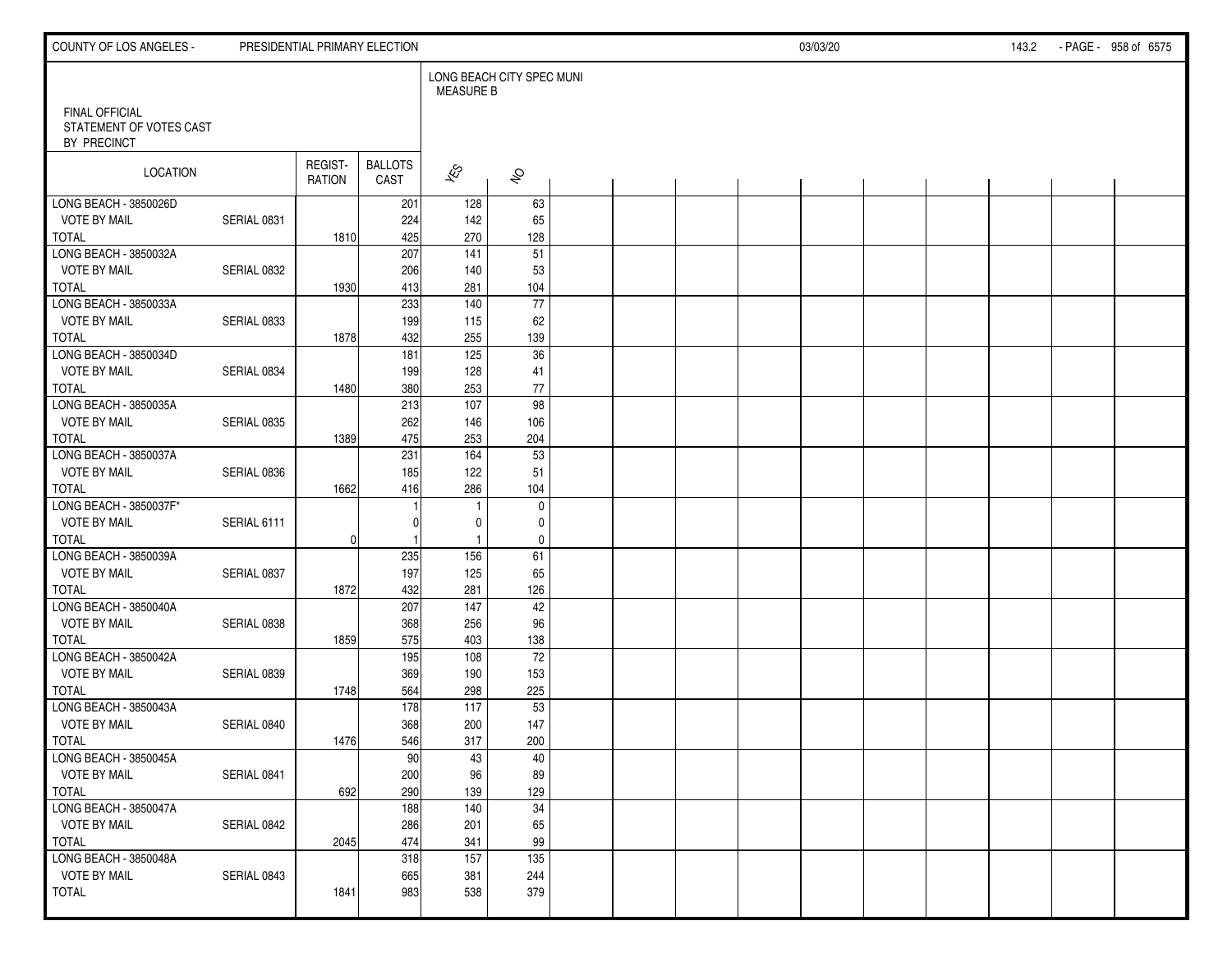| COUNTY OF LOS ANGELES -                                         |             | PRESIDENTIAL PRIMARY ELECTION |                        |                  |                           |  |  | 03/03/20 |  | 143.2 | - PAGE - 958 of 6575 |
|-----------------------------------------------------------------|-------------|-------------------------------|------------------------|------------------|---------------------------|--|--|----------|--|-------|----------------------|
|                                                                 |             |                               |                        | <b>MEASURE B</b> | LONG BEACH CITY SPEC MUNI |  |  |          |  |       |                      |
| <b>FINAL OFFICIAL</b><br>STATEMENT OF VOTES CAST<br>BY PRECINCT |             |                               |                        |                  |                           |  |  |          |  |       |                      |
| LOCATION                                                        |             | REGIST-<br>RATION             | <b>BALLOTS</b><br>CAST | $\sqrt{\hat{S}}$ | $\hat{\mathcal{S}}$       |  |  |          |  |       |                      |
| LONG BEACH - 3850026D                                           |             |                               | 201                    | 128              | 63                        |  |  |          |  |       |                      |
| <b>VOTE BY MAIL</b>                                             | SERIAL 0831 |                               | 224                    | 142              | 65                        |  |  |          |  |       |                      |
| <b>TOTAL</b>                                                    |             | 1810                          | 425                    | 270              | 128                       |  |  |          |  |       |                      |
| LONG BEACH - 3850032A                                           |             |                               | 207                    | $\overline{141}$ | $\overline{51}$           |  |  |          |  |       |                      |
| <b>VOTE BY MAIL</b>                                             | SERIAL 0832 |                               | 206                    | 140              | 53                        |  |  |          |  |       |                      |
| TOTAL                                                           |             | 1930                          | 413                    | 281              | 104                       |  |  |          |  |       |                      |
| LONG BEACH - 3850033A                                           |             |                               | 233                    | 140              | $\overline{77}$           |  |  |          |  |       |                      |
| <b>VOTE BY MAIL</b>                                             | SERIAL 0833 |                               | 199                    | 115              | 62                        |  |  |          |  |       |                      |
| <b>TOTAL</b>                                                    |             | 1878                          | 432                    | 255              | 139                       |  |  |          |  |       |                      |
| LONG BEACH - 3850034D<br><b>VOTE BY MAIL</b>                    |             |                               | 181                    | 125              | 36                        |  |  |          |  |       |                      |
|                                                                 | SERIAL 0834 |                               | 199                    | 128              | 41                        |  |  |          |  |       |                      |
| <b>TOTAL</b><br>LONG BEACH - 3850035A                           |             | 1480                          | 380                    | 253<br>107       | 77                        |  |  |          |  |       |                      |
| <b>VOTE BY MAIL</b>                                             | SERIAL 0835 |                               | 213<br>262             | 146              | 98<br>106                 |  |  |          |  |       |                      |
| <b>TOTAL</b>                                                    |             |                               | 475                    | 253              | 204                       |  |  |          |  |       |                      |
| LONG BEACH - 3850037A                                           |             | 1389                          | 231                    | 164              | 53                        |  |  |          |  |       |                      |
| <b>VOTE BY MAIL</b>                                             | SERIAL 0836 |                               | 185                    | 122              | 51                        |  |  |          |  |       |                      |
| <b>TOTAL</b>                                                    |             | 1662                          | 416                    | 286              | 104                       |  |  |          |  |       |                      |
| LONG BEACH - 3850037F*                                          |             |                               |                        | $\mathbf{1}$     | $\mathbf 0$               |  |  |          |  |       |                      |
| <b>VOTE BY MAIL</b>                                             | SERIAL 6111 |                               |                        | 0                | 0                         |  |  |          |  |       |                      |
| TOTAL                                                           |             | $\overline{0}$                |                        | $\mathbf{1}$     | $\mathbf 0$               |  |  |          |  |       |                      |
| LONG BEACH - 3850039A                                           |             |                               | 235                    | 156              | 61                        |  |  |          |  |       |                      |
| <b>VOTE BY MAIL</b>                                             | SERIAL 0837 |                               | 197                    | 125              | 65                        |  |  |          |  |       |                      |
| <b>TOTAL</b>                                                    |             | 1872                          | 432                    | 281              | 126                       |  |  |          |  |       |                      |
| LONG BEACH - 3850040A                                           |             |                               | 207                    | 147              | 42                        |  |  |          |  |       |                      |
| <b>VOTE BY MAIL</b>                                             | SERIAL 0838 |                               | 368                    | 256              | 96                        |  |  |          |  |       |                      |
| <b>TOTAL</b>                                                    |             | 1859                          | 575                    | 403              | 138                       |  |  |          |  |       |                      |
| LONG BEACH - 3850042A                                           |             |                               | 195                    | 108              | 72                        |  |  |          |  |       |                      |
| <b>VOTE BY MAIL</b>                                             | SERIAL 0839 |                               | 369                    | 190              | 153                       |  |  |          |  |       |                      |
| <b>TOTAL</b>                                                    |             | 1748                          | 564                    | 298              | 225                       |  |  |          |  |       |                      |
| LONG BEACH - 3850043A                                           |             |                               | 178                    | 117              | 53                        |  |  |          |  |       |                      |
| <b>VOTE BY MAIL</b>                                             | SERIAL 0840 |                               | 368                    | 200              | 147                       |  |  |          |  |       |                      |
| TOTAL                                                           |             | 1476                          | 546                    | 317              | 200                       |  |  |          |  |       |                      |
| LONG BEACH - 3850045A                                           |             |                               | 90                     | 43               | 40                        |  |  |          |  |       |                      |
| <b>VOTE BY MAIL</b>                                             | SERIAL 0841 |                               | 200                    | 96               | 89                        |  |  |          |  |       |                      |
| TOTAL                                                           |             | 692                           | 290                    | 139              | 129                       |  |  |          |  |       |                      |
| LONG BEACH - 3850047A                                           |             |                               | 188                    | 140              | $\overline{34}$           |  |  |          |  |       |                      |
| <b>VOTE BY MAIL</b>                                             | SERIAL 0842 |                               | 286                    | 201              | 65                        |  |  |          |  |       |                      |
| TOTAL                                                           |             | 2045                          | 474                    | 341              | 99                        |  |  |          |  |       |                      |
| LONG BEACH - 3850048A                                           |             |                               | 318                    | 157              | 135                       |  |  |          |  |       |                      |
| <b>VOTE BY MAIL</b>                                             | SERIAL 0843 |                               | 665                    | 381              | 244                       |  |  |          |  |       |                      |
| <b>TOTAL</b>                                                    |             | 1841                          | 983                    | 538              | 379                       |  |  |          |  |       |                      |
|                                                                 |             |                               |                        |                  |                           |  |  |          |  |       |                      |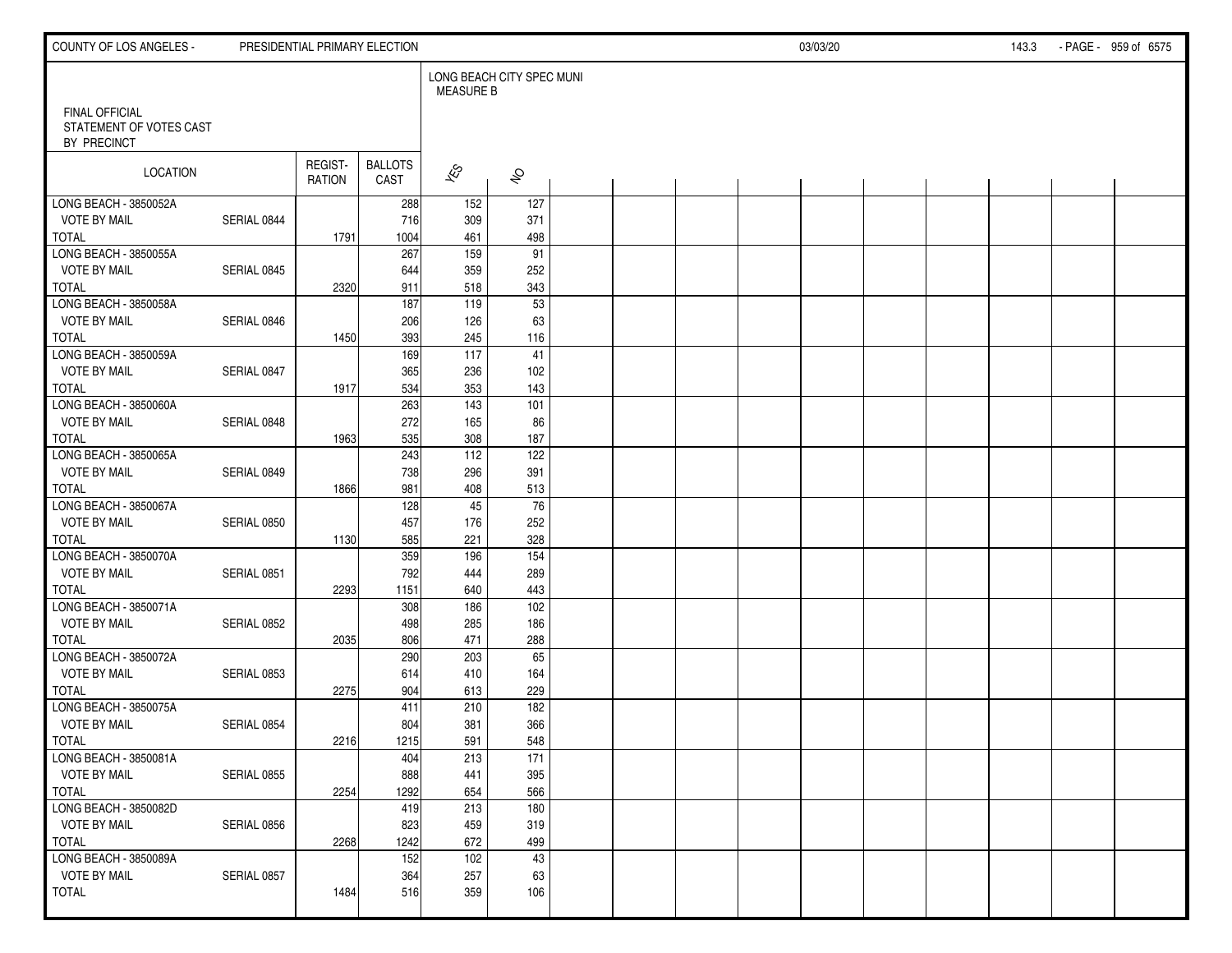| COUNTY OF LOS ANGELES -                                         |             | PRESIDENTIAL PRIMARY ELECTION |                        |                                               |                     |  |  | 03/03/20 |  | 143.3 | - PAGE - 959 of 6575 |
|-----------------------------------------------------------------|-------------|-------------------------------|------------------------|-----------------------------------------------|---------------------|--|--|----------|--|-------|----------------------|
|                                                                 |             |                               |                        | LONG BEACH CITY SPEC MUNI<br><b>MEASURE B</b> |                     |  |  |          |  |       |                      |
| <b>FINAL OFFICIAL</b><br>STATEMENT OF VOTES CAST<br>BY PRECINCT |             |                               |                        |                                               |                     |  |  |          |  |       |                      |
| LOCATION                                                        |             | REGIST-<br>RATION             | <b>BALLOTS</b><br>CAST | $\hat{\mathcal{K}}$                           | $\hat{\mathcal{S}}$ |  |  |          |  |       |                      |
| LONG BEACH - 3850052A                                           |             |                               | 288                    | 152                                           | 127                 |  |  |          |  |       |                      |
| <b>VOTE BY MAIL</b>                                             | SERIAL 0844 |                               | 716                    | 309                                           | 371                 |  |  |          |  |       |                      |
| <b>TOTAL</b>                                                    |             | 1791                          | 1004                   | 461                                           | 498                 |  |  |          |  |       |                      |
| LONG BEACH - 3850055A                                           |             |                               | 267                    | 159                                           | $\overline{91}$     |  |  |          |  |       |                      |
| <b>VOTE BY MAIL</b>                                             | SERIAL 0845 |                               | 644                    | 359                                           | 252                 |  |  |          |  |       |                      |
| <b>TOTAL</b>                                                    |             | 2320                          | 911                    | 518                                           | 343                 |  |  |          |  |       |                      |
| LONG BEACH - 3850058A                                           |             |                               | 187                    | $\frac{119}{119}$                             | 53                  |  |  |          |  |       |                      |
| <b>VOTE BY MAIL</b>                                             | SERIAL 0846 |                               | 206                    | 126                                           | 63                  |  |  |          |  |       |                      |
| <b>TOTAL</b>                                                    |             | 1450                          | 393                    | 245                                           | 116                 |  |  |          |  |       |                      |
| LONG BEACH - 3850059A                                           |             |                               | 169                    | 117                                           | 41                  |  |  |          |  |       |                      |
| VOTE BY MAIL                                                    | SERIAL 0847 |                               | 365                    | 236                                           | 102                 |  |  |          |  |       |                      |
| <b>TOTAL</b>                                                    |             | 1917                          | 534                    | 353                                           | 143                 |  |  |          |  |       |                      |
| LONG BEACH - 3850060A                                           |             |                               | 263                    | 143                                           | 101                 |  |  |          |  |       |                      |
| <b>VOTE BY MAIL</b>                                             | SERIAL 0848 |                               | 272                    | 165                                           | 86                  |  |  |          |  |       |                      |
| <b>TOTAL</b>                                                    |             | 1963                          | 535                    | 308                                           | 187                 |  |  |          |  |       |                      |
| LONG BEACH - 3850065A                                           |             |                               | 243                    | 112                                           | 122                 |  |  |          |  |       |                      |
| <b>VOTE BY MAIL</b>                                             | SERIAL 0849 |                               | 738                    | 296                                           | 391                 |  |  |          |  |       |                      |
| <b>TOTAL</b>                                                    |             | 1866                          | 981                    | 408                                           | 513                 |  |  |          |  |       |                      |
| LONG BEACH - 3850067A                                           |             |                               | 128                    | 45                                            | $\overline{76}$     |  |  |          |  |       |                      |
| <b>VOTE BY MAIL</b>                                             | SERIAL 0850 |                               | 457                    | 176                                           | 252                 |  |  |          |  |       |                      |
| TOTAL                                                           |             | 1130                          | 585                    | 221                                           | 328                 |  |  |          |  |       |                      |
| LONG BEACH - 3850070A                                           |             |                               | 359                    | 196                                           | $\overline{154}$    |  |  |          |  |       |                      |
| <b>VOTE BY MAIL</b>                                             | SERIAL 0851 |                               | 792                    | 444                                           | 289                 |  |  |          |  |       |                      |
| <b>TOTAL</b>                                                    |             | 2293                          | 1151                   | 640                                           | 443                 |  |  |          |  |       |                      |
| LONG BEACH - 3850071A                                           |             |                               | 308                    | 186                                           | 102                 |  |  |          |  |       |                      |
| <b>VOTE BY MAIL</b>                                             | SERIAL 0852 |                               | 498                    | 285                                           | 186                 |  |  |          |  |       |                      |
| <b>TOTAL</b>                                                    |             | 2035                          | 806                    | 471                                           | 288                 |  |  |          |  |       |                      |
| LONG BEACH - 3850072A                                           |             |                               | 290                    | 203                                           | 65                  |  |  |          |  |       |                      |
| <b>VOTE BY MAIL</b>                                             | SERIAL 0853 |                               | 614                    | 410                                           | 164                 |  |  |          |  |       |                      |
| <b>TOTAL</b>                                                    |             | 2275                          | 904                    | 613                                           | 229                 |  |  |          |  |       |                      |
| LONG BEACH - 3850075A                                           |             |                               | 411                    | 210                                           | 182                 |  |  |          |  |       |                      |
| <b>VOTE BY MAIL</b>                                             | SERIAL 0854 |                               | 804                    | 381                                           | 366                 |  |  |          |  |       |                      |
| TOTAL                                                           |             | 2216                          | 1215                   | 591                                           | 548                 |  |  |          |  |       |                      |
| LONG BEACH - 3850081A                                           |             |                               | 404                    | 213                                           | $\overline{171}$    |  |  |          |  |       |                      |
| <b>VOTE BY MAIL</b>                                             | SERIAL 0855 |                               | 888                    | 441                                           | 395                 |  |  |          |  |       |                      |
| TOTAL                                                           |             | 2254                          | 1292                   | 654                                           | 566                 |  |  |          |  |       |                      |
| LONG BEACH - 3850082D                                           |             |                               | 419                    | 213                                           | 180                 |  |  |          |  |       |                      |
| <b>VOTE BY MAIL</b>                                             | SERIAL 0856 |                               | 823                    | 459                                           | 319                 |  |  |          |  |       |                      |
| TOTAL                                                           |             | 2268                          | 1242                   | 672                                           | 499                 |  |  |          |  |       |                      |
| LONG BEACH - 3850089A                                           |             |                               | 152                    | 102                                           | 43                  |  |  |          |  |       |                      |
| <b>VOTE BY MAIL</b>                                             | SERIAL 0857 |                               | 364                    | 257                                           | 63                  |  |  |          |  |       |                      |
| <b>TOTAL</b>                                                    |             | 1484                          | 516                    | 359                                           | 106                 |  |  |          |  |       |                      |
|                                                                 |             |                               |                        |                                               |                     |  |  |          |  |       |                      |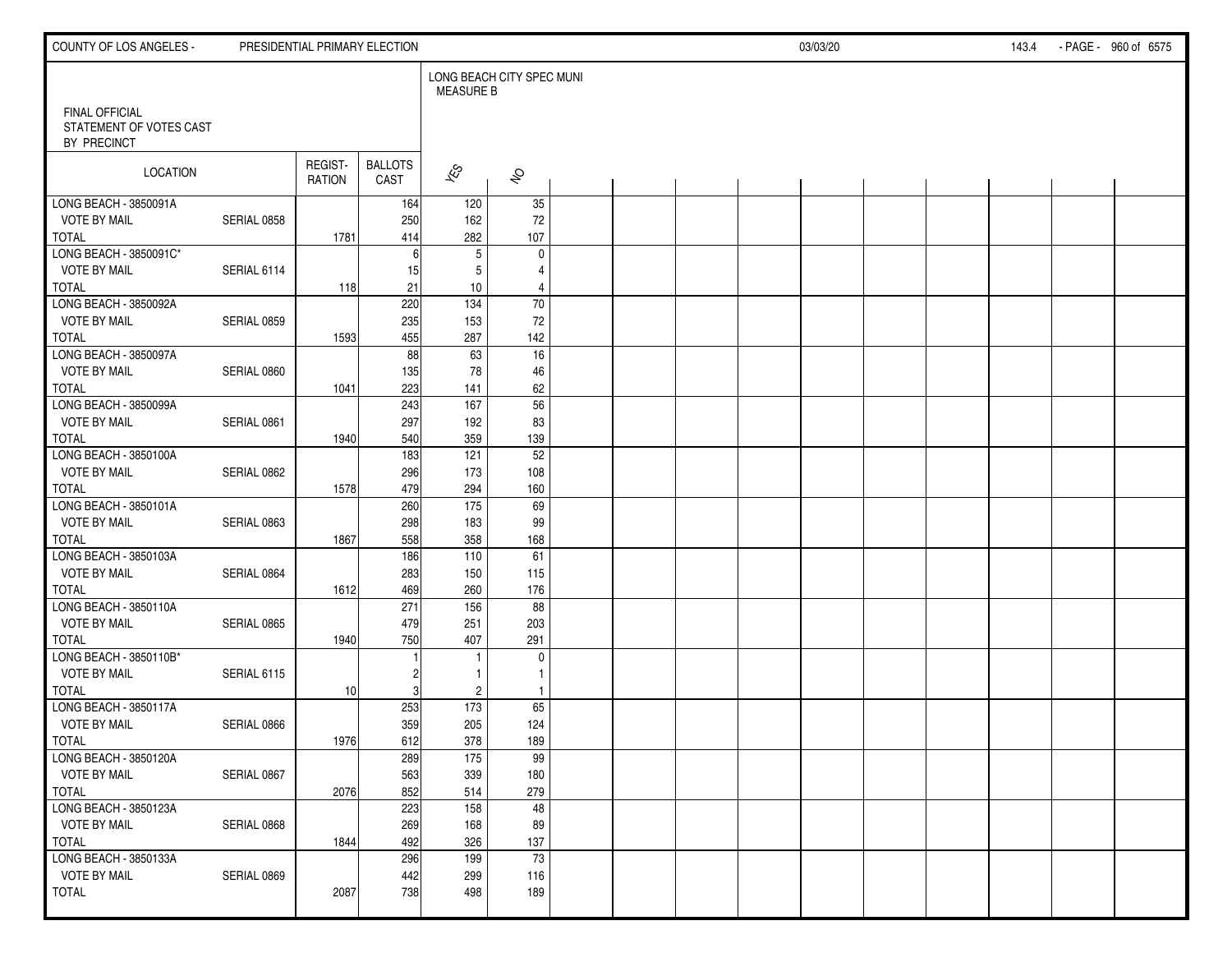| COUNTY OF LOS ANGELES -                                         |             | PRESIDENTIAL PRIMARY ELECTION |                        |                          |                           |  |  | 03/03/20 |  | 143.4 | - PAGE - 960 of 6575 |
|-----------------------------------------------------------------|-------------|-------------------------------|------------------------|--------------------------|---------------------------|--|--|----------|--|-------|----------------------|
|                                                                 |             |                               |                        | <b>MEASURE B</b>         | LONG BEACH CITY SPEC MUNI |  |  |          |  |       |                      |
| <b>FINAL OFFICIAL</b><br>STATEMENT OF VOTES CAST<br>BY PRECINCT |             |                               |                        |                          |                           |  |  |          |  |       |                      |
| LOCATION                                                        |             | REGIST-<br>RATION             | <b>BALLOTS</b><br>CAST | $\overline{\mathscr{E}}$ | $\hat{\mathcal{S}}$       |  |  |          |  |       |                      |
| LONG BEACH - 3850091A                                           |             |                               | 164                    | 120                      | 35                        |  |  |          |  |       |                      |
| <b>VOTE BY MAIL</b>                                             | SERIAL 0858 |                               | 250                    | 162                      | 72                        |  |  |          |  |       |                      |
| <b>TOTAL</b><br>LONG BEACH - 3850091C*                          |             | 1781                          | 414<br>6               | 282<br>$5\,$             | 107<br>$\pmb{0}$          |  |  |          |  |       |                      |
| <b>VOTE BY MAIL</b>                                             | SERIAL 6114 |                               | 15                     | 5                        | 4                         |  |  |          |  |       |                      |
| TOTAL                                                           |             | 118                           | 21                     | 10                       | $\overline{4}$            |  |  |          |  |       |                      |
| LONG BEACH - 3850092A                                           |             |                               | 220                    | 134                      | $\overline{70}$           |  |  |          |  |       |                      |
| <b>VOTE BY MAIL</b>                                             | SERIAL 0859 |                               | 235                    | 153                      | 72                        |  |  |          |  |       |                      |
| <b>TOTAL</b>                                                    |             | 1593                          | 455                    | 287                      | 142                       |  |  |          |  |       |                      |
| LONG BEACH - 3850097A                                           |             |                               | 88                     | 63                       | 16                        |  |  |          |  |       |                      |
| <b>VOTE BY MAIL</b>                                             | SERIAL 0860 |                               | 135                    | 78                       | 46                        |  |  |          |  |       |                      |
| <b>TOTAL</b>                                                    |             | 1041                          | 223                    | 141                      | 62                        |  |  |          |  |       |                      |
| LONG BEACH - 3850099A                                           |             |                               | 243                    | 167                      | 56                        |  |  |          |  |       |                      |
| <b>VOTE BY MAIL</b>                                             | SERIAL 0861 |                               | 297                    | 192                      | 83                        |  |  |          |  |       |                      |
| <b>TOTAL</b>                                                    |             | 1940                          | 540                    | 359                      | 139                       |  |  |          |  |       |                      |
| LONG BEACH - 3850100A                                           |             |                               | 183                    | 121                      | 52                        |  |  |          |  |       |                      |
| <b>VOTE BY MAIL</b>                                             | SERIAL 0862 |                               | 296                    | 173                      | 108                       |  |  |          |  |       |                      |
| <b>TOTAL</b>                                                    |             | 1578                          | 479                    | 294                      | 160                       |  |  |          |  |       |                      |
| LONG BEACH - 3850101A                                           |             |                               | 260                    | $\frac{175}{ }$          | $\overline{69}$           |  |  |          |  |       |                      |
| <b>VOTE BY MAIL</b><br>TOTAL                                    | SERIAL 0863 |                               | 298<br>558             | 183<br>358               | 99<br>168                 |  |  |          |  |       |                      |
| LONG BEACH - 3850103A                                           |             | 1867                          | 186                    | 110                      | 61                        |  |  |          |  |       |                      |
| <b>VOTE BY MAIL</b>                                             | SERIAL 0864 |                               | 283                    | 150                      | 115                       |  |  |          |  |       |                      |
| <b>TOTAL</b>                                                    |             | 1612                          | 469                    | 260                      | 176                       |  |  |          |  |       |                      |
| LONG BEACH - 3850110A                                           |             |                               | 271                    | 156                      | 88                        |  |  |          |  |       |                      |
| <b>VOTE BY MAIL</b>                                             | SERIAL 0865 |                               | 479                    | 251                      | 203                       |  |  |          |  |       |                      |
| <b>TOTAL</b>                                                    |             | 1940                          | 750                    | 407                      | 291                       |  |  |          |  |       |                      |
| LONG BEACH - 3850110B*                                          |             |                               |                        | 1                        | $\mathbf 0$               |  |  |          |  |       |                      |
| <b>VOTE BY MAIL</b>                                             | SERIAL 6115 |                               | 2                      | 1                        | $\mathbf{1}$              |  |  |          |  |       |                      |
| <b>TOTAL</b>                                                    |             | 10                            | 3                      | $\overline{2}$           | $\overline{1}$            |  |  |          |  |       |                      |
| LONG BEACH - 3850117A                                           |             |                               | 253                    | $\frac{173}{ }$          | 65                        |  |  |          |  |       |                      |
| <b>VOTE BY MAIL</b>                                             | SERIAL 0866 |                               | 359                    | 205                      | 124                       |  |  |          |  |       |                      |
| TOTAL                                                           |             | 1976                          | 612                    | 378                      | 189                       |  |  |          |  |       |                      |
| LONG BEACH - 3850120A                                           |             |                               | 289                    | $\overline{175}$         | 99                        |  |  |          |  |       |                      |
| <b>VOTE BY MAIL</b>                                             | SERIAL 0867 |                               | 563                    | 339                      | 180                       |  |  |          |  |       |                      |
| TOTAL                                                           |             | 2076                          | 852<br>223             | 514                      | 279                       |  |  |          |  |       |                      |
| LONG BEACH - 3850123A<br><b>VOTE BY MAIL</b>                    | SERIAL 0868 |                               | 269                    | 158<br>168               | 48<br>89                  |  |  |          |  |       |                      |
| TOTAL                                                           |             | 1844                          | 492                    | 326                      | 137                       |  |  |          |  |       |                      |
| LONG BEACH - 3850133A                                           |             |                               | 296                    | 199                      | 73                        |  |  |          |  |       |                      |
| <b>VOTE BY MAIL</b>                                             | SERIAL 0869 |                               | 442                    | 299                      | 116                       |  |  |          |  |       |                      |
| <b>TOTAL</b>                                                    |             | 2087                          | 738                    | 498                      | 189                       |  |  |          |  |       |                      |
|                                                                 |             |                               |                        |                          |                           |  |  |          |  |       |                      |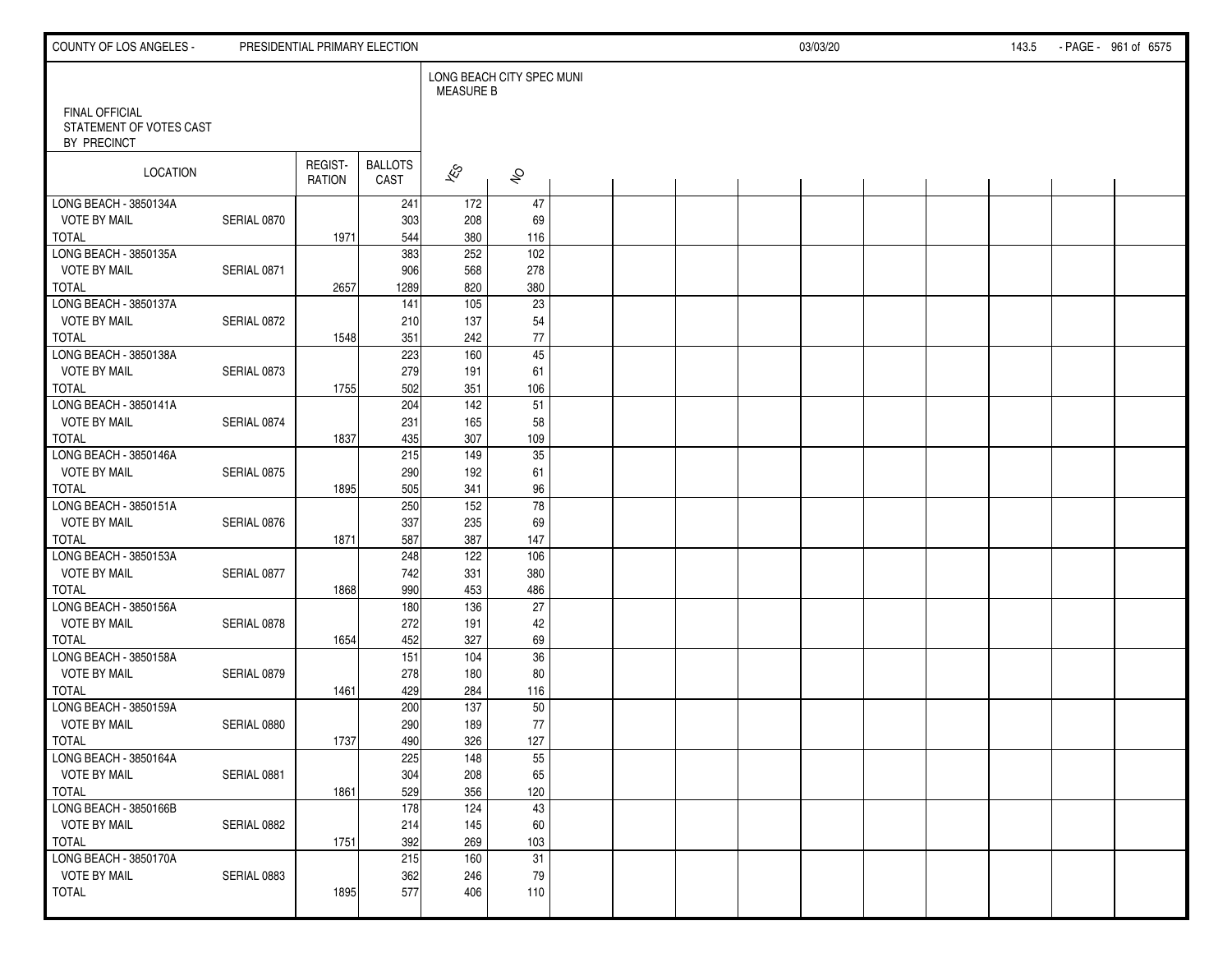| COUNTY OF LOS ANGELES -                      |             |                          | PRESIDENTIAL PRIMARY ELECTION |                                               |                     |  |  | 03/03/20 |  | 143.5 | - PAGE - 961 of 6575 |  |
|----------------------------------------------|-------------|--------------------------|-------------------------------|-----------------------------------------------|---------------------|--|--|----------|--|-------|----------------------|--|
| <b>FINAL OFFICIAL</b>                        |             |                          |                               | LONG BEACH CITY SPEC MUNI<br><b>MEASURE B</b> |                     |  |  |          |  |       |                      |  |
| STATEMENT OF VOTES CAST<br>BY PRECINCT       |             |                          |                               |                                               |                     |  |  |          |  |       |                      |  |
| LOCATION                                     |             | REGIST-<br><b>RATION</b> | <b>BALLOTS</b><br>CAST        | $\overline{\mathscr{E}}$                      | $\hat{\mathcal{S}}$ |  |  |          |  |       |                      |  |
| LONG BEACH - 3850134A                        |             |                          | 241                           | 172                                           | 47                  |  |  |          |  |       |                      |  |
| <b>VOTE BY MAIL</b>                          | SERIAL 0870 |                          | 303                           | 208                                           | 69                  |  |  |          |  |       |                      |  |
| <b>TOTAL</b><br>LONG BEACH - 3850135A        |             | 1971                     | 544<br>383                    | 380<br>252                                    | 116<br>102          |  |  |          |  |       |                      |  |
| <b>VOTE BY MAIL</b>                          | SERIAL 0871 |                          | 906                           | 568                                           | 278                 |  |  |          |  |       |                      |  |
| <b>TOTAL</b>                                 |             | 2657                     | 1289                          | 820                                           | 380                 |  |  |          |  |       |                      |  |
| LONG BEACH - 3850137A                        |             |                          | 141                           | 105                                           | $\overline{23}$     |  |  |          |  |       |                      |  |
| <b>VOTE BY MAIL</b>                          | SERIAL 0872 |                          | 210                           | 137                                           | 54                  |  |  |          |  |       |                      |  |
| <b>TOTAL</b>                                 |             | 1548                     | 351                           | 242                                           | $77\,$              |  |  |          |  |       |                      |  |
| LONG BEACH - 3850138A                        |             |                          | 223                           | 160                                           | 45                  |  |  |          |  |       |                      |  |
| <b>VOTE BY MAIL</b>                          | SERIAL 0873 |                          | 279                           | 191                                           | 61                  |  |  |          |  |       |                      |  |
| <b>TOTAL</b>                                 |             | 1755                     | 502                           | 351                                           | 106                 |  |  |          |  |       |                      |  |
| LONG BEACH - 3850141A                        |             |                          | 204                           | 142                                           | 51                  |  |  |          |  |       |                      |  |
| <b>VOTE BY MAIL</b>                          | SERIAL 0874 |                          | 231                           | 165                                           | 58                  |  |  |          |  |       |                      |  |
| <b>TOTAL</b>                                 |             | 1837                     | 435                           | 307                                           | 109                 |  |  |          |  |       |                      |  |
| LONG BEACH - 3850146A                        |             |                          | 215                           | 149                                           | 35                  |  |  |          |  |       |                      |  |
| <b>VOTE BY MAIL</b>                          | SERIAL 0875 |                          | 290                           | 192                                           | 61                  |  |  |          |  |       |                      |  |
| <b>TOTAL</b>                                 |             | 1895                     | 505                           | 341                                           | 96                  |  |  |          |  |       |                      |  |
| LONG BEACH - 3850151A<br><b>VOTE BY MAIL</b> | SERIAL 0876 |                          | 250<br>337                    | $\frac{152}{ }$<br>235                        | $\overline{78}$     |  |  |          |  |       |                      |  |
| <b>TOTAL</b>                                 |             | 1871                     | 587                           | 387                                           | 69<br>147           |  |  |          |  |       |                      |  |
| LONG BEACH - 3850153A                        |             |                          | 248                           | 122                                           | 106                 |  |  |          |  |       |                      |  |
| <b>VOTE BY MAIL</b>                          | SERIAL 0877 |                          | 742                           | 331                                           | 380                 |  |  |          |  |       |                      |  |
| <b>TOTAL</b>                                 |             | 1868                     | 990                           | 453                                           | 486                 |  |  |          |  |       |                      |  |
| LONG BEACH - 3850156A                        |             |                          | 180                           | 136                                           | 27                  |  |  |          |  |       |                      |  |
| <b>VOTE BY MAIL</b>                          | SERIAL 0878 |                          | 272                           | 191                                           | 42                  |  |  |          |  |       |                      |  |
| <b>TOTAL</b>                                 |             | 1654                     | 452                           | 327                                           | 69                  |  |  |          |  |       |                      |  |
| LONG BEACH - 3850158A                        |             |                          | 151                           | 104                                           | $36\,$              |  |  |          |  |       |                      |  |
| <b>VOTE BY MAIL</b>                          | SERIAL 0879 |                          | 278                           | 180                                           | 80                  |  |  |          |  |       |                      |  |
| <b>TOTAL</b>                                 |             | 1461                     | 429                           | 284                                           | 116                 |  |  |          |  |       |                      |  |
| LONG BEACH - 3850159A                        |             |                          | 200                           | 137                                           | $50\,$              |  |  |          |  |       |                      |  |
| <b>VOTE BY MAIL</b>                          | SERIAL 0880 |                          | 290                           | 189                                           | 77                  |  |  |          |  |       |                      |  |
| <b>TOTAL</b><br>LONG BEACH - 3850164A        |             | 1737                     | 490<br>225                    | 326<br>$\overline{148}$                       | 127<br>55           |  |  |          |  |       |                      |  |
| <b>VOTE BY MAIL</b>                          | SERIAL 0881 |                          | 304                           | 208                                           | 65                  |  |  |          |  |       |                      |  |
| TOTAL                                        |             | 1861                     | 529                           | 356                                           | 120                 |  |  |          |  |       |                      |  |
| LONG BEACH - 3850166B                        |             |                          | 178                           | 124                                           | 43                  |  |  |          |  |       |                      |  |
| <b>VOTE BY MAIL</b>                          | SERIAL 0882 |                          | 214                           | 145                                           | 60                  |  |  |          |  |       |                      |  |
| TOTAL                                        |             | 1751                     | 392                           | 269                                           | 103                 |  |  |          |  |       |                      |  |
| LONG BEACH - 3850170A                        |             |                          | 215                           | 160                                           | 31                  |  |  |          |  |       |                      |  |
| <b>VOTE BY MAIL</b>                          | SERIAL 0883 |                          | 362                           | 246                                           | 79                  |  |  |          |  |       |                      |  |
| <b>TOTAL</b>                                 |             | 1895                     | 577                           | 406                                           | 110                 |  |  |          |  |       |                      |  |
|                                              |             |                          |                               |                                               |                     |  |  |          |  |       |                      |  |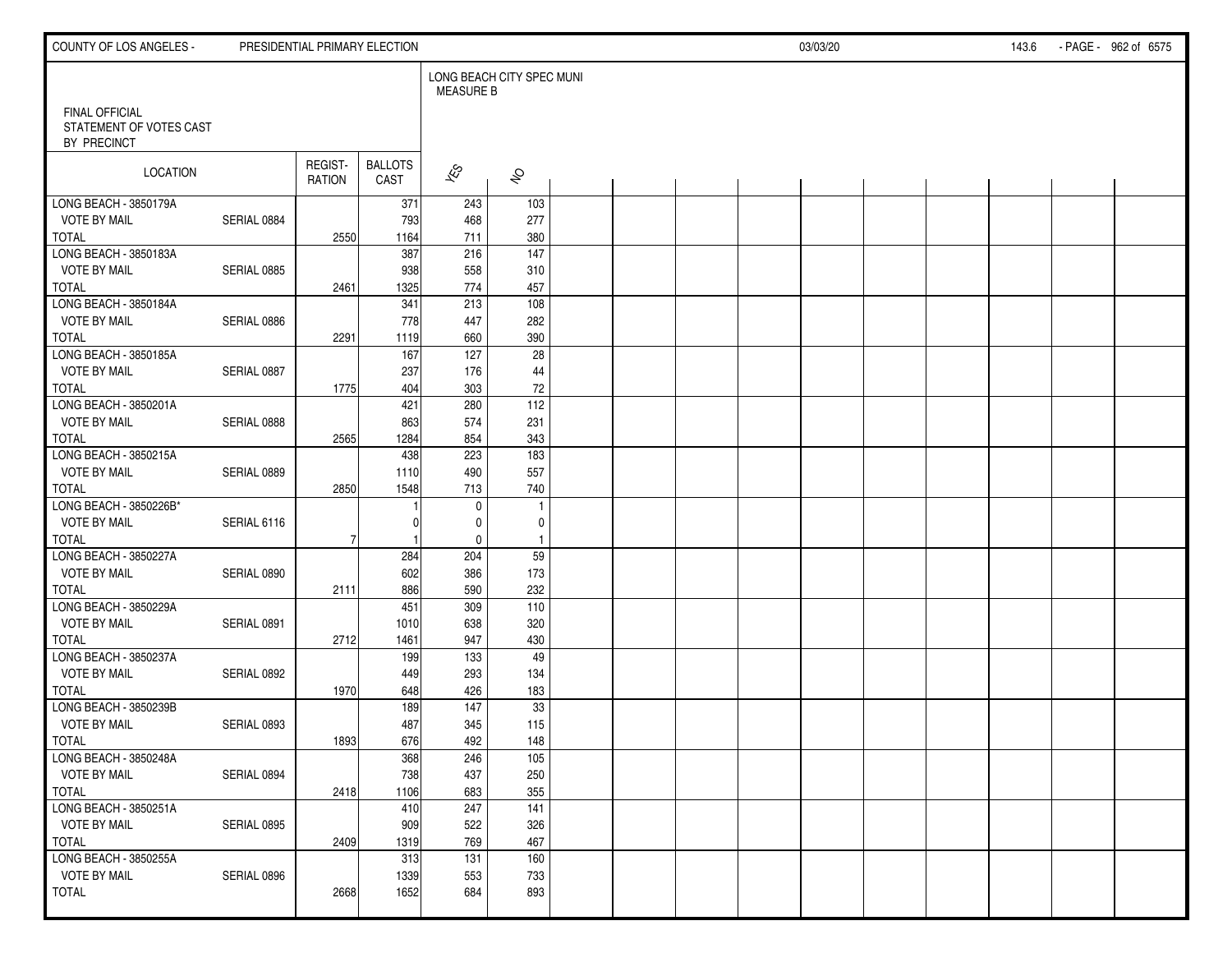| COUNTY OF LOS ANGELES -                                         |             | PRESIDENTIAL PRIMARY ELECTION |                        |                                               |                     |  |  | 03/03/20 |  | 143.6 | - PAGE - 962 of 6575 |
|-----------------------------------------------------------------|-------------|-------------------------------|------------------------|-----------------------------------------------|---------------------|--|--|----------|--|-------|----------------------|
|                                                                 |             |                               |                        | LONG BEACH CITY SPEC MUNI<br><b>MEASURE B</b> |                     |  |  |          |  |       |                      |
| <b>FINAL OFFICIAL</b><br>STATEMENT OF VOTES CAST<br>BY PRECINCT |             |                               |                        |                                               |                     |  |  |          |  |       |                      |
| LOCATION                                                        |             | REGIST-<br>RATION             | <b>BALLOTS</b><br>CAST | $\hat{\mathcal{K}}$                           | $\hat{\mathcal{S}}$ |  |  |          |  |       |                      |
| LONG BEACH - 3850179A                                           |             |                               | 371                    | 243                                           | 103                 |  |  |          |  |       |                      |
| <b>VOTE BY MAIL</b>                                             | SERIAL 0884 |                               | 793                    | 468                                           | 277                 |  |  |          |  |       |                      |
| <b>TOTAL</b>                                                    |             | 2550                          | 1164                   | 711                                           | 380                 |  |  |          |  |       |                      |
| LONG BEACH - 3850183A                                           |             |                               | 387                    | 216                                           | $\frac{147}{147}$   |  |  |          |  |       |                      |
| <b>VOTE BY MAIL</b>                                             | SERIAL 0885 |                               | 938                    | 558                                           | 310                 |  |  |          |  |       |                      |
| TOTAL                                                           |             | 2461                          | 1325                   | 774                                           | 457                 |  |  |          |  |       |                      |
| LONG BEACH - 3850184A                                           |             |                               | 341                    | 213                                           | 108                 |  |  |          |  |       |                      |
| <b>VOTE BY MAIL</b>                                             | SERIAL 0886 |                               | 778                    | 447                                           | 282                 |  |  |          |  |       |                      |
| <b>TOTAL</b>                                                    |             | 2291                          | 1119                   | 660                                           | 390                 |  |  |          |  |       |                      |
| LONG BEACH - 3850185A                                           |             |                               | 167                    | 127                                           | 28                  |  |  |          |  |       |                      |
| <b>VOTE BY MAIL</b>                                             | SERIAL 0887 |                               | 237                    | 176                                           | 44                  |  |  |          |  |       |                      |
| <b>TOTAL</b>                                                    |             | 1775                          | 404                    | 303                                           | 72                  |  |  |          |  |       |                      |
| LONG BEACH - 3850201A                                           |             |                               | 421                    | 280                                           | 112                 |  |  |          |  |       |                      |
| <b>VOTE BY MAIL</b>                                             | SERIAL 0888 |                               | 863                    | 574                                           | 231                 |  |  |          |  |       |                      |
| <b>TOTAL</b>                                                    |             | 2565                          | 1284                   | 854                                           | 343                 |  |  |          |  |       |                      |
| LONG BEACH - 3850215A                                           |             |                               | 438                    | 223                                           | 183                 |  |  |          |  |       |                      |
| <b>VOTE BY MAIL</b>                                             | SERIAL 0889 |                               | 1110                   | 490                                           | 557                 |  |  |          |  |       |                      |
| <b>TOTAL</b>                                                    |             | 2850                          | 1548                   | 713                                           | 740                 |  |  |          |  |       |                      |
| LONG BEACH - 3850226B*                                          |             |                               |                        | $\mathbf 0$                                   | $\overline{1}$      |  |  |          |  |       |                      |
| <b>VOTE BY MAIL</b>                                             | SERIAL 6116 |                               |                        | 0                                             | 0                   |  |  |          |  |       |                      |
| TOTAL                                                           |             | 7                             |                        | $\mathbf 0$                                   | $\overline{1}$      |  |  |          |  |       |                      |
| LONG BEACH - 3850227A                                           |             |                               | 284                    | 204                                           | 59                  |  |  |          |  |       |                      |
| <b>VOTE BY MAIL</b>                                             | SERIAL 0890 |                               | 602                    | 386                                           | 173                 |  |  |          |  |       |                      |
| <b>TOTAL</b>                                                    |             | 2111                          | 886                    | 590                                           | 232                 |  |  |          |  |       |                      |
| LONG BEACH - 3850229A                                           |             |                               | 451                    | 309                                           | 110                 |  |  |          |  |       |                      |
| <b>VOTE BY MAIL</b>                                             | SERIAL 0891 |                               | 1010                   | 638                                           | 320                 |  |  |          |  |       |                      |
| <b>TOTAL</b>                                                    |             | 2712                          | 1461                   | 947                                           | 430                 |  |  |          |  |       |                      |
| LONG BEACH - 3850237A                                           |             |                               | 199                    | 133                                           | 49                  |  |  |          |  |       |                      |
| <b>VOTE BY MAIL</b>                                             | SERIAL 0892 |                               | 449                    | 293                                           | 134                 |  |  |          |  |       |                      |
| <b>TOTAL</b>                                                    |             | 1970                          | 648                    | 426                                           | 183                 |  |  |          |  |       |                      |
| LONG BEACH - 3850239B                                           |             |                               | 189                    | 147                                           | 33                  |  |  |          |  |       |                      |
| <b>VOTE BY MAIL</b>                                             | SERIAL 0893 |                               | 487                    | 345                                           | 115                 |  |  |          |  |       |                      |
| TOTAL                                                           |             | 1893                          | 676                    | 492                                           | 148                 |  |  |          |  |       |                      |
| LONG BEACH - 3850248A                                           |             |                               | 368                    | 246                                           | $\frac{105}{105}$   |  |  |          |  |       |                      |
| <b>VOTE BY MAIL</b>                                             | SERIAL 0894 |                               | 738                    | 437                                           | 250                 |  |  |          |  |       |                      |
| TOTAL                                                           |             | 2418                          | 1106                   | 683                                           | 355                 |  |  |          |  |       |                      |
| LONG BEACH - 3850251A                                           |             |                               | 410                    | 247                                           | 141                 |  |  |          |  |       |                      |
| <b>VOTE BY MAIL</b>                                             | SERIAL 0895 |                               | 909                    | 522                                           | 326                 |  |  |          |  |       |                      |
| TOTAL                                                           |             | 2409                          | 1319                   | 769                                           | 467                 |  |  |          |  |       |                      |
| LONG BEACH - 3850255A                                           |             |                               | 313                    | 131                                           | 160                 |  |  |          |  |       |                      |
| <b>VOTE BY MAIL</b>                                             | SERIAL 0896 |                               | 1339                   | 553                                           | 733                 |  |  |          |  |       |                      |
| <b>TOTAL</b>                                                    |             | 2668                          | 1652                   | 684                                           | 893                 |  |  |          |  |       |                      |
|                                                                 |             |                               |                        |                                               |                     |  |  |          |  |       |                      |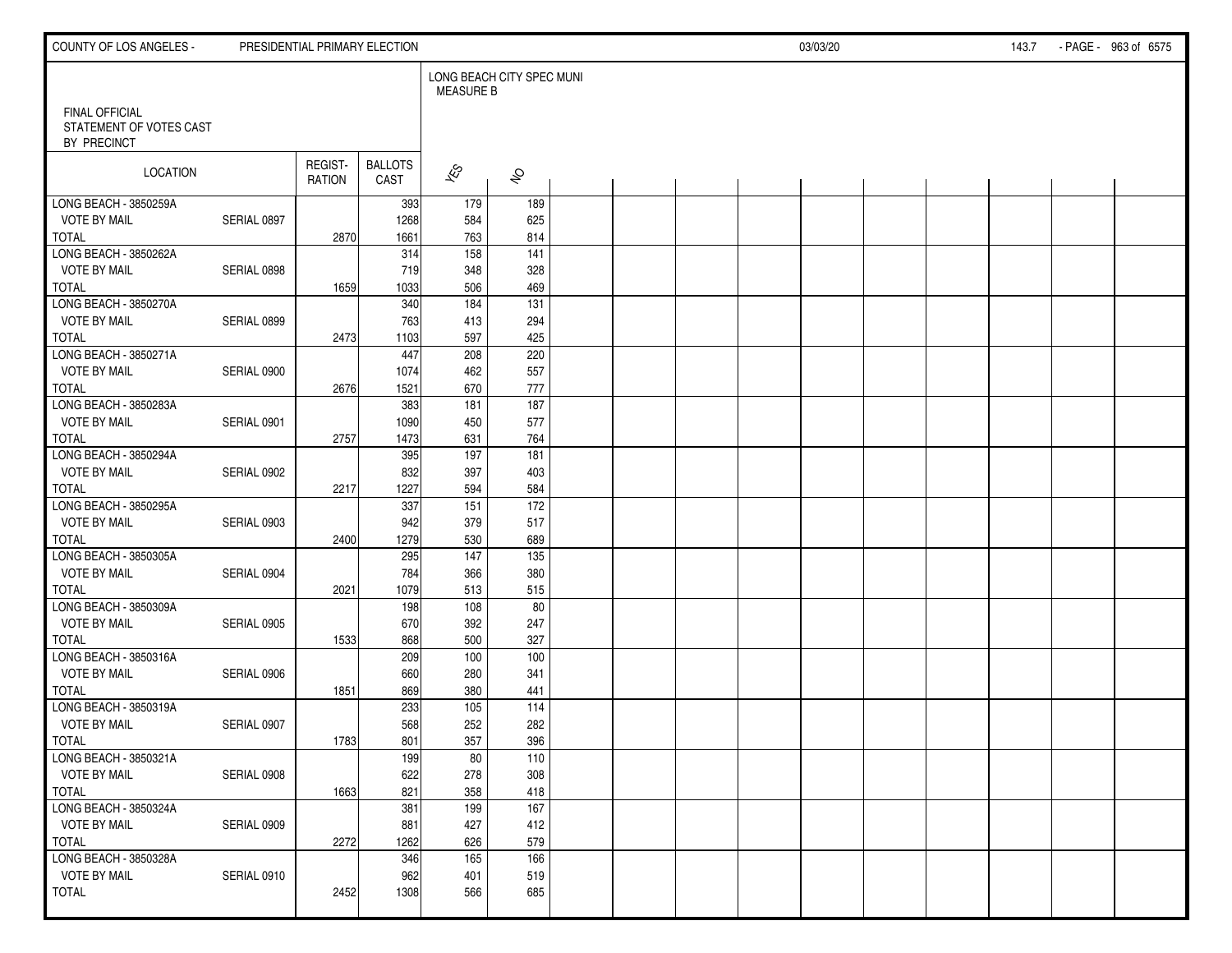| COUNTY OF LOS ANGELES -                                         |             |                          | PRESIDENTIAL PRIMARY ELECTION |                                               |                     |  |  | 03/03/20 |  | 143.7 | - PAGE - 963 of 6575 |
|-----------------------------------------------------------------|-------------|--------------------------|-------------------------------|-----------------------------------------------|---------------------|--|--|----------|--|-------|----------------------|
|                                                                 |             |                          |                               | LONG BEACH CITY SPEC MUNI<br><b>MEASURE B</b> |                     |  |  |          |  |       |                      |
| <b>FINAL OFFICIAL</b><br>STATEMENT OF VOTES CAST<br>BY PRECINCT |             |                          |                               |                                               |                     |  |  |          |  |       |                      |
| LOCATION                                                        |             | REGIST-<br><b>RATION</b> | <b>BALLOTS</b><br>CAST        | $\overline{\mathscr{E}}$                      | $\hat{\mathcal{S}}$ |  |  |          |  |       |                      |
| LONG BEACH - 3850259A                                           |             |                          | 393                           | 179                                           | 189                 |  |  |          |  |       |                      |
| <b>VOTE BY MAIL</b>                                             | SERIAL 0897 |                          | 1268                          | 584                                           | 625                 |  |  |          |  |       |                      |
| <b>TOTAL</b>                                                    |             | 2870                     | 1661                          | 763                                           | 814                 |  |  |          |  |       |                      |
| LONG BEACH - 3850262A                                           |             |                          | 314                           | $\overline{158}$                              | 141                 |  |  |          |  |       |                      |
| <b>VOTE BY MAIL</b>                                             | SERIAL 0898 |                          | 719                           | 348                                           | 328                 |  |  |          |  |       |                      |
| <b>TOTAL</b>                                                    |             | 1659                     | 1033                          | 506                                           | 469                 |  |  |          |  |       |                      |
| LONG BEACH - 3850270A                                           |             |                          | 340                           | 184                                           | $\frac{1}{131}$     |  |  |          |  |       |                      |
| <b>VOTE BY MAIL</b>                                             | SERIAL 0899 |                          | 763                           | 413                                           | 294                 |  |  |          |  |       |                      |
| <b>TOTAL</b>                                                    |             | 2473                     | 1103                          | 597                                           | 425                 |  |  |          |  |       |                      |
| LONG BEACH - 3850271A                                           |             |                          | 447                           | 208                                           | 220                 |  |  |          |  |       |                      |
| <b>VOTE BY MAIL</b>                                             | SERIAL 0900 |                          | 1074                          | 462                                           | 557                 |  |  |          |  |       |                      |
| <b>TOTAL</b>                                                    |             | 2676                     | 1521                          | 670                                           | 777                 |  |  |          |  |       |                      |
| LONG BEACH - 3850283A                                           |             |                          | 383                           | 181                                           | 187                 |  |  |          |  |       |                      |
| <b>VOTE BY MAIL</b>                                             | SERIAL 0901 |                          | 1090                          | 450                                           | 577                 |  |  |          |  |       |                      |
| <b>TOTAL</b><br>LONG BEACH - 3850294A                           |             | 2757                     | 1473<br>395                   | 631<br>197                                    | 764<br>181          |  |  |          |  |       |                      |
| <b>VOTE BY MAIL</b>                                             | SERIAL 0902 |                          | 832                           | 397                                           | 403                 |  |  |          |  |       |                      |
| <b>TOTAL</b>                                                    |             | 2217                     | 1227                          | 594                                           | 584                 |  |  |          |  |       |                      |
| LONG BEACH - 3850295A                                           |             |                          | 337                           | $\overline{151}$                              | $\overline{172}$    |  |  |          |  |       |                      |
| <b>VOTE BY MAIL</b>                                             | SERIAL 0903 |                          | 942                           | 379                                           | 517                 |  |  |          |  |       |                      |
| <b>TOTAL</b>                                                    |             | 2400                     | 1279                          | 530                                           | 689                 |  |  |          |  |       |                      |
| LONG BEACH - 3850305A                                           |             |                          | 295                           | $\frac{147}{147}$                             | 135                 |  |  |          |  |       |                      |
| <b>VOTE BY MAIL</b>                                             | SERIAL 0904 |                          | 784                           | 366                                           | 380                 |  |  |          |  |       |                      |
| <b>TOTAL</b>                                                    |             | 2021                     | 1079                          | 513                                           | 515                 |  |  |          |  |       |                      |
| LONG BEACH - 3850309A                                           |             |                          | 198                           | 108                                           | 80                  |  |  |          |  |       |                      |
| <b>VOTE BY MAIL</b>                                             | SERIAL 0905 |                          | 670                           | 392                                           | 247                 |  |  |          |  |       |                      |
| <b>TOTAL</b>                                                    |             | 1533                     | 868                           | 500                                           | 327                 |  |  |          |  |       |                      |
| LONG BEACH - 3850316A                                           |             |                          | 209                           | 100                                           | 100                 |  |  |          |  |       |                      |
| <b>VOTE BY MAIL</b>                                             | SERIAL 0906 |                          | 660                           | 280                                           | 341                 |  |  |          |  |       |                      |
| <b>TOTAL</b>                                                    |             | 1851                     | 869                           | 380                                           | 441                 |  |  |          |  |       |                      |
| LONG BEACH - 3850319A                                           |             |                          | 233                           | 105                                           | 114                 |  |  |          |  |       |                      |
| <b>VOTE BY MAIL</b>                                             | SERIAL 0907 |                          | 568                           | 252                                           | 282                 |  |  |          |  |       |                      |
| <b>TOTAL</b>                                                    |             | 1783                     | 801                           | 357                                           | 396                 |  |  |          |  |       |                      |
| LONG BEACH - 3850321A                                           |             |                          | 199                           | 80                                            | 110                 |  |  |          |  |       |                      |
| <b>VOTE BY MAIL</b>                                             | SERIAL 0908 |                          | 622                           | 278                                           | 308                 |  |  |          |  |       |                      |
| TOTAL                                                           |             | 1663                     | 821                           | 358                                           | 418                 |  |  |          |  |       |                      |
| LONG BEACH - 3850324A                                           |             |                          | 381                           | 199                                           | 167                 |  |  |          |  |       |                      |
| <b>VOTE BY MAIL</b>                                             | SERIAL 0909 |                          | 881                           | 427                                           | 412                 |  |  |          |  |       |                      |
| TOTAL                                                           |             | 2272                     | 1262                          | 626                                           | 579                 |  |  |          |  |       |                      |
| LONG BEACH - 3850328A                                           |             |                          | 346                           | 165                                           | 166                 |  |  |          |  |       |                      |
| <b>VOTE BY MAIL</b>                                             | SERIAL 0910 |                          | 962                           | 401                                           | 519                 |  |  |          |  |       |                      |
| <b>TOTAL</b>                                                    |             | 2452                     | 1308                          | 566                                           | 685                 |  |  |          |  |       |                      |
|                                                                 |             |                          |                               |                                               |                     |  |  |          |  |       |                      |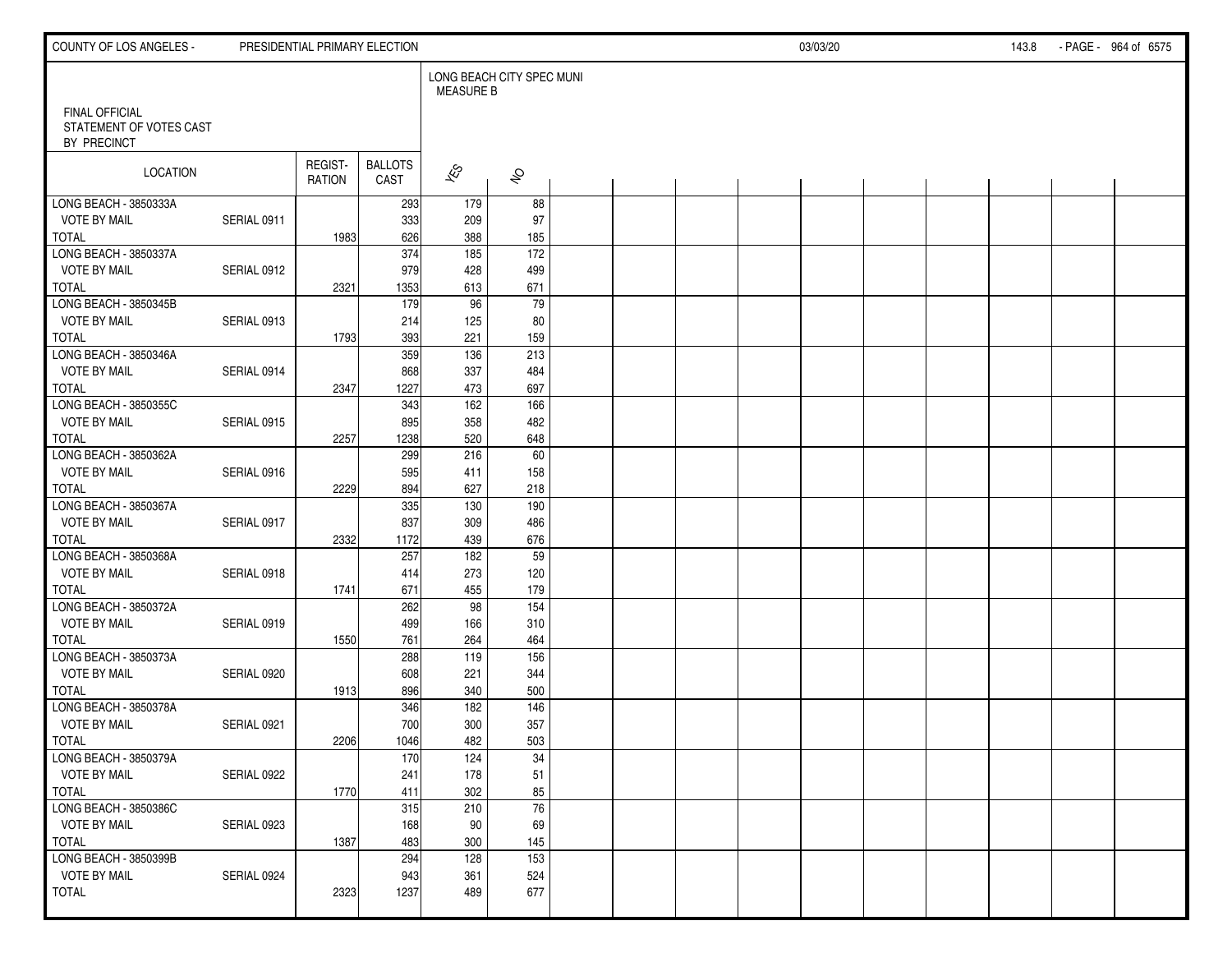| <b>COUNTY OF LOS ANGELES -</b>                                  |             |                          | PRESIDENTIAL PRIMARY ELECTION |                                               |                         |  |  | 03/03/20 |  | 143.8 | - PAGE - 964 of 6575 |
|-----------------------------------------------------------------|-------------|--------------------------|-------------------------------|-----------------------------------------------|-------------------------|--|--|----------|--|-------|----------------------|
|                                                                 |             |                          |                               | LONG BEACH CITY SPEC MUNI<br><b>MEASURE B</b> |                         |  |  |          |  |       |                      |
| <b>FINAL OFFICIAL</b><br>STATEMENT OF VOTES CAST<br>BY PRECINCT |             |                          |                               |                                               |                         |  |  |          |  |       |                      |
| LOCATION                                                        |             | REGIST-<br><b>RATION</b> | <b>BALLOTS</b><br>CAST        | $\hat{\mathcal{K}}$                           | $\hat{\mathcal{S}}$     |  |  |          |  |       |                      |
| LONG BEACH - 3850333A                                           |             |                          | 293                           | 179                                           | 88                      |  |  |          |  |       |                      |
| <b>VOTE BY MAIL</b>                                             | SERIAL 0911 |                          | 333                           | 209                                           | 97                      |  |  |          |  |       |                      |
| <b>TOTAL</b>                                                    |             | 1983                     | 626                           | 388<br>185                                    | 185                     |  |  |          |  |       |                      |
| LONG BEACH - 3850337A<br><b>VOTE BY MAIL</b>                    |             |                          | 374<br>979                    | 428                                           | $\overline{172}$<br>499 |  |  |          |  |       |                      |
| <b>TOTAL</b>                                                    | SERIAL 0912 | 2321                     | 1353                          | 613                                           | 671                     |  |  |          |  |       |                      |
| LONG BEACH - 3850345B                                           |             |                          | 179                           | 96                                            | 79                      |  |  |          |  |       |                      |
| <b>VOTE BY MAIL</b>                                             | SERIAL 0913 |                          | 214                           | 125                                           | 80                      |  |  |          |  |       |                      |
| <b>TOTAL</b>                                                    |             | 1793                     | 393                           | 221                                           | 159                     |  |  |          |  |       |                      |
| LONG BEACH - 3850346A                                           |             |                          | 359                           | 136                                           | 213                     |  |  |          |  |       |                      |
| <b>VOTE BY MAIL</b>                                             | SERIAL 0914 |                          | 868                           | 337                                           | 484                     |  |  |          |  |       |                      |
| <b>TOTAL</b>                                                    |             | 2347                     | 1227                          | 473                                           | 697                     |  |  |          |  |       |                      |
| LONG BEACH - 3850355C                                           |             |                          | 343                           | 162                                           | 166                     |  |  |          |  |       |                      |
| <b>VOTE BY MAIL</b>                                             | SERIAL 0915 |                          | 895                           | 358                                           | 482                     |  |  |          |  |       |                      |
| <b>TOTAL</b>                                                    |             | 2257                     | 1238                          | 520                                           | 648                     |  |  |          |  |       |                      |
| LONG BEACH - 3850362A                                           |             |                          | 299                           | 216                                           | 60                      |  |  |          |  |       |                      |
| <b>VOTE BY MAIL</b>                                             | SERIAL 0916 |                          | 595                           | 411                                           | 158                     |  |  |          |  |       |                      |
| <b>TOTAL</b>                                                    |             | 2229                     | 894                           | 627                                           | 218                     |  |  |          |  |       |                      |
| LONG BEACH - 3850367A                                           |             |                          | 335                           | 130                                           | 190                     |  |  |          |  |       |                      |
| <b>VOTE BY MAIL</b>                                             | SERIAL 0917 |                          | 837                           | 309                                           | 486                     |  |  |          |  |       |                      |
| <b>TOTAL</b>                                                    |             | 2332                     | 1172                          | 439                                           | 676                     |  |  |          |  |       |                      |
| LONG BEACH - 3850368A                                           |             |                          | 257                           | 182                                           | 59                      |  |  |          |  |       |                      |
| <b>VOTE BY MAIL</b>                                             | SERIAL 0918 |                          | 414                           | 273                                           | 120                     |  |  |          |  |       |                      |
| <b>TOTAL</b>                                                    |             | 1741                     | 671                           | 455                                           | 179<br>154              |  |  |          |  |       |                      |
| LONG BEACH - 3850372A<br><b>VOTE BY MAIL</b>                    | SERIAL 0919 |                          | 262<br>499                    | 98<br>166                                     | 310                     |  |  |          |  |       |                      |
| <b>TOTAL</b>                                                    |             | 1550                     | 761                           | 264                                           | 464                     |  |  |          |  |       |                      |
| LONG BEACH - 3850373A                                           |             |                          | 288                           | 119                                           | 156                     |  |  |          |  |       |                      |
| <b>VOTE BY MAIL</b>                                             | SERIAL 0920 |                          | 608                           | 221                                           | 344                     |  |  |          |  |       |                      |
| <b>TOTAL</b>                                                    |             | 1913                     | 896                           | 340                                           | 500                     |  |  |          |  |       |                      |
| LONG BEACH - 3850378A                                           |             |                          | 346                           | 182                                           | 146                     |  |  |          |  |       |                      |
| <b>VOTE BY MAIL</b>                                             | SERIAL 0921 |                          | 700                           | 300                                           | 357                     |  |  |          |  |       |                      |
| <b>TOTAL</b>                                                    |             | 2206                     | 1046                          | 482                                           | 503                     |  |  |          |  |       |                      |
| LONG BEACH - 3850379A                                           |             |                          | 170                           | 124                                           | $\overline{34}$         |  |  |          |  |       |                      |
| <b>VOTE BY MAIL</b>                                             | SERIAL 0922 |                          | 241                           | 178                                           | 51                      |  |  |          |  |       |                      |
| TOTAL                                                           |             | 1770                     | 411                           | 302                                           | 85                      |  |  |          |  |       |                      |
| LONG BEACH - 3850386C                                           |             |                          | 315                           | 210                                           | $\overline{76}$         |  |  |          |  |       |                      |
| <b>VOTE BY MAIL</b>                                             | SERIAL 0923 |                          | 168                           | 90                                            | 69                      |  |  |          |  |       |                      |
| TOTAL                                                           |             | 1387                     | 483                           | 300                                           | 145                     |  |  |          |  |       |                      |
| LONG BEACH - 3850399B                                           |             |                          | 294                           | 128                                           | 153                     |  |  |          |  |       |                      |
| <b>VOTE BY MAIL</b>                                             | SERIAL 0924 |                          | 943                           | 361                                           | 524                     |  |  |          |  |       |                      |
| TOTAL                                                           |             | 2323                     | 1237                          | 489                                           | 677                     |  |  |          |  |       |                      |
|                                                                 |             |                          |                               |                                               |                         |  |  |          |  |       |                      |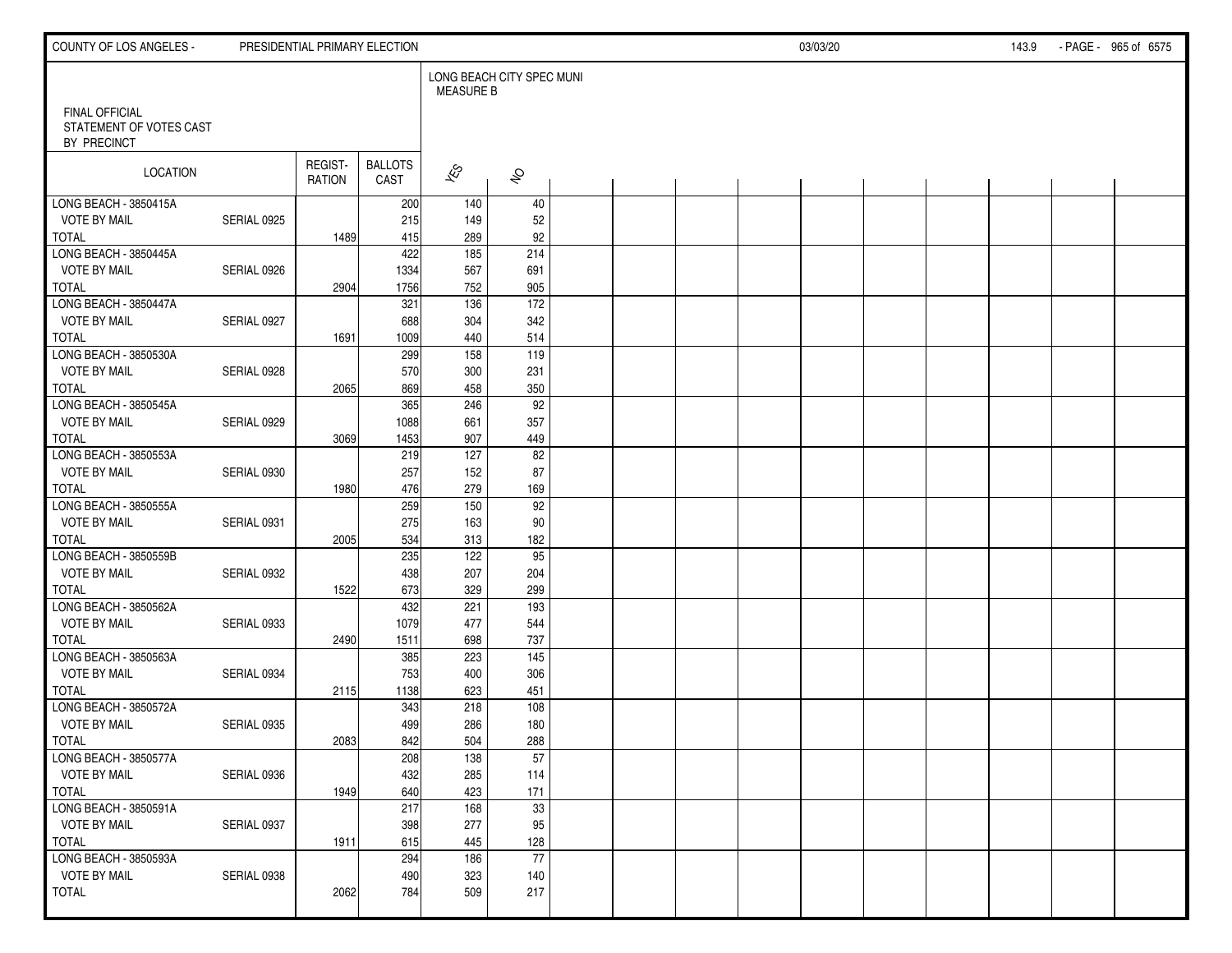| COUNTY OF LOS ANGELES -                                         |             |                          | PRESIDENTIAL PRIMARY ELECTION |                                               |                     |  | 03/03/20 |  | 143.9 | - PAGE - 965 of 6575 |  |  |
|-----------------------------------------------------------------|-------------|--------------------------|-------------------------------|-----------------------------------------------|---------------------|--|----------|--|-------|----------------------|--|--|
|                                                                 |             |                          |                               | LONG BEACH CITY SPEC MUNI<br><b>MEASURE B</b> |                     |  |          |  |       |                      |  |  |
| <b>FINAL OFFICIAL</b><br>STATEMENT OF VOTES CAST<br>BY PRECINCT |             |                          |                               |                                               |                     |  |          |  |       |                      |  |  |
| LOCATION                                                        |             | REGIST-<br><b>RATION</b> | <b>BALLOTS</b><br>CAST        | $\hat{\mathcal{K}}$                           | $\hat{\mathcal{S}}$ |  |          |  |       |                      |  |  |
| LONG BEACH - 3850415A                                           |             |                          | 200                           | 140                                           | 40                  |  |          |  |       |                      |  |  |
| <b>VOTE BY MAIL</b>                                             | SERIAL 0925 |                          | 215                           | 149                                           | 52                  |  |          |  |       |                      |  |  |
| <b>TOTAL</b><br>LONG BEACH - 3850445A                           |             | 1489                     | 415<br>422                    | 289<br>185                                    | 92<br>214           |  |          |  |       |                      |  |  |
| <b>VOTE BY MAIL</b>                                             | SERIAL 0926 |                          | 1334                          | 567                                           | 691                 |  |          |  |       |                      |  |  |
| <b>TOTAL</b>                                                    |             | 2904                     | 1756                          | 752                                           | 905                 |  |          |  |       |                      |  |  |
| LONG BEACH - 3850447A                                           |             |                          | 321                           | 136                                           | 172                 |  |          |  |       |                      |  |  |
| <b>VOTE BY MAIL</b>                                             | SERIAL 0927 |                          | 688                           | 304                                           | 342                 |  |          |  |       |                      |  |  |
| <b>TOTAL</b>                                                    |             | 1691                     | 1009                          | 440                                           | 514                 |  |          |  |       |                      |  |  |
| LONG BEACH - 3850530A                                           |             |                          | 299                           | 158                                           | 119                 |  |          |  |       |                      |  |  |
| <b>VOTE BY MAIL</b>                                             | SERIAL 0928 |                          | 570                           | 300                                           | 231                 |  |          |  |       |                      |  |  |
| <b>TOTAL</b>                                                    |             | 2065                     | 869                           | 458                                           | 350                 |  |          |  |       |                      |  |  |
| LONG BEACH - 3850545A                                           |             |                          | 365                           | 246                                           | 92                  |  |          |  |       |                      |  |  |
| <b>VOTE BY MAIL</b>                                             | SERIAL 0929 |                          | 1088                          | 661                                           | 357                 |  |          |  |       |                      |  |  |
| <b>TOTAL</b>                                                    |             | 3069                     | 1453                          | 907                                           | 449                 |  |          |  |       |                      |  |  |
| LONG BEACH - 3850553A                                           |             |                          | 219                           | 127                                           | 82                  |  |          |  |       |                      |  |  |
| <b>VOTE BY MAIL</b>                                             | SERIAL 0930 |                          | 257                           | 152                                           | 87                  |  |          |  |       |                      |  |  |
| <b>TOTAL</b>                                                    |             | 1980                     | 476                           | 279                                           | 169                 |  |          |  |       |                      |  |  |
| LONG BEACH - 3850555A                                           |             |                          | 259                           | 150                                           | 92                  |  |          |  |       |                      |  |  |
| <b>VOTE BY MAIL</b>                                             | SERIAL 0931 |                          | 275                           | 163                                           | 90                  |  |          |  |       |                      |  |  |
| <b>TOTAL</b>                                                    |             | 2005                     | 534                           | 313                                           | 182                 |  |          |  |       |                      |  |  |
| LONG BEACH - 3850559B                                           |             |                          | 235                           | 122                                           | $\overline{95}$     |  |          |  |       |                      |  |  |
| <b>VOTE BY MAIL</b>                                             | SERIAL 0932 |                          | 438                           | 207                                           | 204                 |  |          |  |       |                      |  |  |
| <b>TOTAL</b>                                                    |             | 1522                     | 673                           | 329                                           | 299                 |  |          |  |       |                      |  |  |
| LONG BEACH - 3850562A<br><b>VOTE BY MAIL</b>                    | SERIAL 0933 |                          | 432<br>1079                   | 221<br>477                                    | 193<br>544          |  |          |  |       |                      |  |  |
| <b>TOTAL</b>                                                    |             | 2490                     | 1511                          | 698                                           | 737                 |  |          |  |       |                      |  |  |
| LONG BEACH - 3850563A                                           |             |                          | 385                           | 223                                           | 145                 |  |          |  |       |                      |  |  |
| <b>VOTE BY MAIL</b>                                             | SERIAL 0934 |                          | 753                           | 400                                           | 306                 |  |          |  |       |                      |  |  |
| <b>TOTAL</b>                                                    |             | 2115                     | 1138                          | 623                                           | 451                 |  |          |  |       |                      |  |  |
| LONG BEACH - 3850572A                                           |             |                          | 343                           | 218                                           | 108                 |  |          |  |       |                      |  |  |
| <b>VOTE BY MAIL</b>                                             | SERIAL 0935 |                          | 499                           | 286                                           | 180                 |  |          |  |       |                      |  |  |
| TOTAL                                                           |             | 2083                     | 842                           | 504                                           | 288                 |  |          |  |       |                      |  |  |
| LONG BEACH - 3850577A                                           |             |                          | 208                           | $\overline{138}$                              | $\overline{57}$     |  |          |  |       |                      |  |  |
| <b>VOTE BY MAIL</b>                                             | SERIAL 0936 |                          | 432                           | 285                                           | 114                 |  |          |  |       |                      |  |  |
| TOTAL                                                           |             | 1949                     | 640                           | 423                                           | 171                 |  |          |  |       |                      |  |  |
| LONG BEACH - 3850591A                                           |             |                          | 217                           | 168                                           | 33                  |  |          |  |       |                      |  |  |
| <b>VOTE BY MAIL</b>                                             | SERIAL 0937 |                          | 398                           | 277                                           | 95                  |  |          |  |       |                      |  |  |
| TOTAL                                                           |             | 1911                     | 615                           | 445                                           | 128                 |  |          |  |       |                      |  |  |
| LONG BEACH - 3850593A                                           |             |                          | 294                           | 186                                           | $\overline{77}$     |  |          |  |       |                      |  |  |
| <b>VOTE BY MAIL</b>                                             | SERIAL 0938 |                          | 490                           | 323                                           | 140                 |  |          |  |       |                      |  |  |
| TOTAL                                                           |             | 2062                     | 784                           | 509                                           | 217                 |  |          |  |       |                      |  |  |
|                                                                 |             |                          |                               |                                               |                     |  |          |  |       |                      |  |  |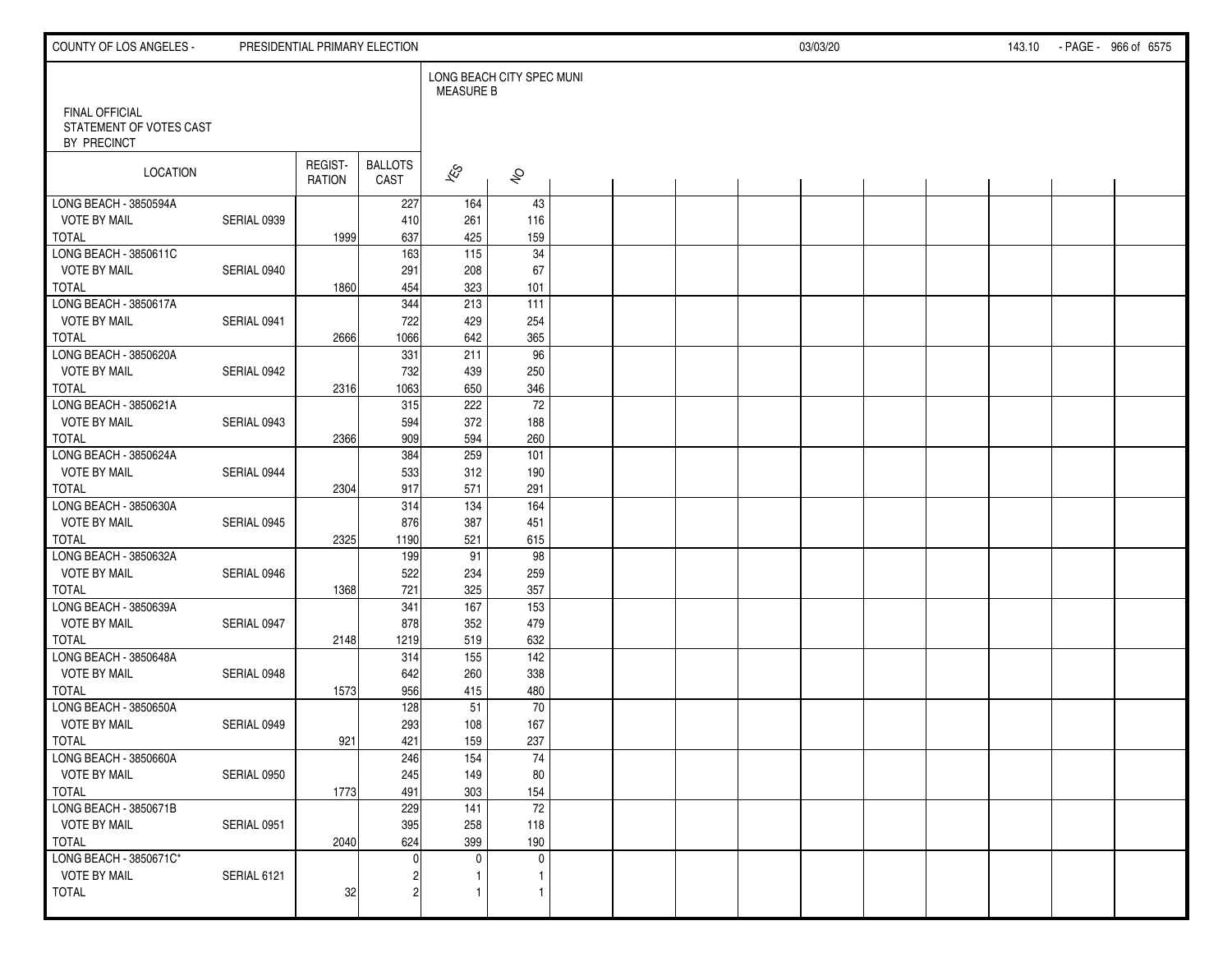| COUNTY OF LOS ANGELES -                                         |             |                          | PRESIDENTIAL PRIMARY ELECTION | 03/03/20<br>143.10 - PAGE - 966 of 6575 |                           |  |  |  |  |  |  |  |  |  |
|-----------------------------------------------------------------|-------------|--------------------------|-------------------------------|-----------------------------------------|---------------------------|--|--|--|--|--|--|--|--|--|
|                                                                 |             |                          |                               | <b>MEASURE B</b>                        | LONG BEACH CITY SPEC MUNI |  |  |  |  |  |  |  |  |  |
| <b>FINAL OFFICIAL</b><br>STATEMENT OF VOTES CAST<br>BY PRECINCT |             |                          |                               |                                         |                           |  |  |  |  |  |  |  |  |  |
| LOCATION                                                        |             | REGIST-<br><b>RATION</b> | <b>BALLOTS</b><br>CAST        | $\overline{\mathscr{E}}$                | $\hat{\mathcal{S}}$       |  |  |  |  |  |  |  |  |  |
| LONG BEACH - 3850594A                                           |             |                          | 227                           | 164                                     | 43                        |  |  |  |  |  |  |  |  |  |
| <b>VOTE BY MAIL</b>                                             | SERIAL 0939 |                          | 410                           | 261                                     | 116                       |  |  |  |  |  |  |  |  |  |
| <b>TOTAL</b><br>LONG BEACH - 3850611C                           |             | 1999                     | 637<br>163                    | 425<br>$\overline{115}$                 | 159<br>$\overline{34}$    |  |  |  |  |  |  |  |  |  |
| <b>VOTE BY MAIL</b>                                             | SERIAL 0940 |                          | 291                           | 208                                     | 67                        |  |  |  |  |  |  |  |  |  |
| <b>TOTAL</b>                                                    |             | 1860                     | 454                           | 323                                     | 101                       |  |  |  |  |  |  |  |  |  |
| LONG BEACH - 3850617A                                           |             |                          | 344                           | $\overline{213}$                        | 111                       |  |  |  |  |  |  |  |  |  |
| <b>VOTE BY MAIL</b>                                             | SERIAL 0941 |                          | 722                           | 429                                     | 254                       |  |  |  |  |  |  |  |  |  |
| <b>TOTAL</b>                                                    |             | 2666                     | 1066                          | 642                                     | 365                       |  |  |  |  |  |  |  |  |  |
| LONG BEACH - 3850620A                                           |             |                          | 331                           | 211                                     | 96                        |  |  |  |  |  |  |  |  |  |
| <b>VOTE BY MAIL</b>                                             | SERIAL 0942 |                          | 732                           | 439                                     | 250                       |  |  |  |  |  |  |  |  |  |
| <b>TOTAL</b>                                                    |             | 2316                     | 1063                          | 650                                     | 346                       |  |  |  |  |  |  |  |  |  |
| LONG BEACH - 3850621A                                           |             |                          | 315                           | 222                                     | 72                        |  |  |  |  |  |  |  |  |  |
| <b>VOTE BY MAIL</b>                                             | SERIAL 0943 |                          | 594                           | 372                                     | 188                       |  |  |  |  |  |  |  |  |  |
| <b>TOTAL</b>                                                    |             | 2366                     | 909                           | 594                                     | 260                       |  |  |  |  |  |  |  |  |  |
| LONG BEACH - 3850624A                                           |             |                          | 384                           | 259                                     | 101                       |  |  |  |  |  |  |  |  |  |
| <b>VOTE BY MAIL</b>                                             | SERIAL 0944 |                          | 533                           | 312                                     | 190                       |  |  |  |  |  |  |  |  |  |
| <b>TOTAL</b>                                                    |             | 2304                     | 917                           | 571                                     | 291                       |  |  |  |  |  |  |  |  |  |
| LONG BEACH - 3850630A                                           |             |                          | 314                           | 134                                     | 164                       |  |  |  |  |  |  |  |  |  |
| <b>VOTE BY MAIL</b>                                             | SERIAL 0945 |                          | 876                           | 387                                     | 451                       |  |  |  |  |  |  |  |  |  |
| <b>TOTAL</b>                                                    |             | 2325                     | 1190                          | 521                                     | 615                       |  |  |  |  |  |  |  |  |  |
| LONG BEACH - 3850632A                                           |             |                          | 199                           | 91                                      | $\overline{98}$           |  |  |  |  |  |  |  |  |  |
| <b>VOTE BY MAIL</b>                                             | SERIAL 0946 |                          | 522                           | 234                                     | 259                       |  |  |  |  |  |  |  |  |  |
| <b>TOTAL</b>                                                    |             | 1368                     | 721                           | 325                                     | 357                       |  |  |  |  |  |  |  |  |  |
| LONG BEACH - 3850639A                                           |             |                          | 341                           | 167                                     | 153                       |  |  |  |  |  |  |  |  |  |
| <b>VOTE BY MAIL</b>                                             | SERIAL 0947 |                          | 878                           | 352                                     | 479                       |  |  |  |  |  |  |  |  |  |
| <b>TOTAL</b>                                                    |             | 2148                     | 1219                          | 519                                     | 632                       |  |  |  |  |  |  |  |  |  |
| LONG BEACH - 3850648A                                           |             |                          | 314                           | 155                                     | 142                       |  |  |  |  |  |  |  |  |  |
| <b>VOTE BY MAIL</b>                                             | SERIAL 0948 |                          | 642                           | 260                                     | 338                       |  |  |  |  |  |  |  |  |  |
| <b>TOTAL</b>                                                    |             | 1573                     | 956                           | 415                                     | 480                       |  |  |  |  |  |  |  |  |  |
| LONG BEACH - 3850650A                                           |             |                          | 128                           | 51                                      | 70                        |  |  |  |  |  |  |  |  |  |
| <b>VOTE BY MAIL</b>                                             | SERIAL 0949 |                          | 293                           | 108                                     | 167                       |  |  |  |  |  |  |  |  |  |
| <b>TOTAL</b>                                                    |             | 921                      | 421                           | 159                                     | 237                       |  |  |  |  |  |  |  |  |  |
| LONG BEACH - 3850660A                                           |             |                          | 246                           | 154                                     | 74                        |  |  |  |  |  |  |  |  |  |
| <b>VOTE BY MAIL</b>                                             | SERIAL 0950 |                          | 245                           | 149                                     | 80                        |  |  |  |  |  |  |  |  |  |
| TOTAL                                                           |             | 1773                     | 491                           | 303                                     | 154                       |  |  |  |  |  |  |  |  |  |
| LONG BEACH - 3850671B                                           |             |                          | 229                           | 141                                     | $\overline{72}$           |  |  |  |  |  |  |  |  |  |
| <b>VOTE BY MAIL</b>                                             | SERIAL 0951 |                          | 395                           | 258                                     | 118                       |  |  |  |  |  |  |  |  |  |
| TOTAL                                                           |             | 2040                     | 624                           | 399                                     | 190                       |  |  |  |  |  |  |  |  |  |
| LONG BEACH - 3850671C*<br><b>VOTE BY MAIL</b>                   |             |                          | $\Omega$                      | $\mathbf 0$                             | $\mathbf 0$<br>1          |  |  |  |  |  |  |  |  |  |
| <b>TOTAL</b>                                                    | SERIAL 6121 | 32                       | 2                             | 1<br>$\mathbf{1}$                       | $\mathbf{1}$              |  |  |  |  |  |  |  |  |  |
|                                                                 |             |                          |                               |                                         |                           |  |  |  |  |  |  |  |  |  |
|                                                                 |             |                          |                               |                                         |                           |  |  |  |  |  |  |  |  |  |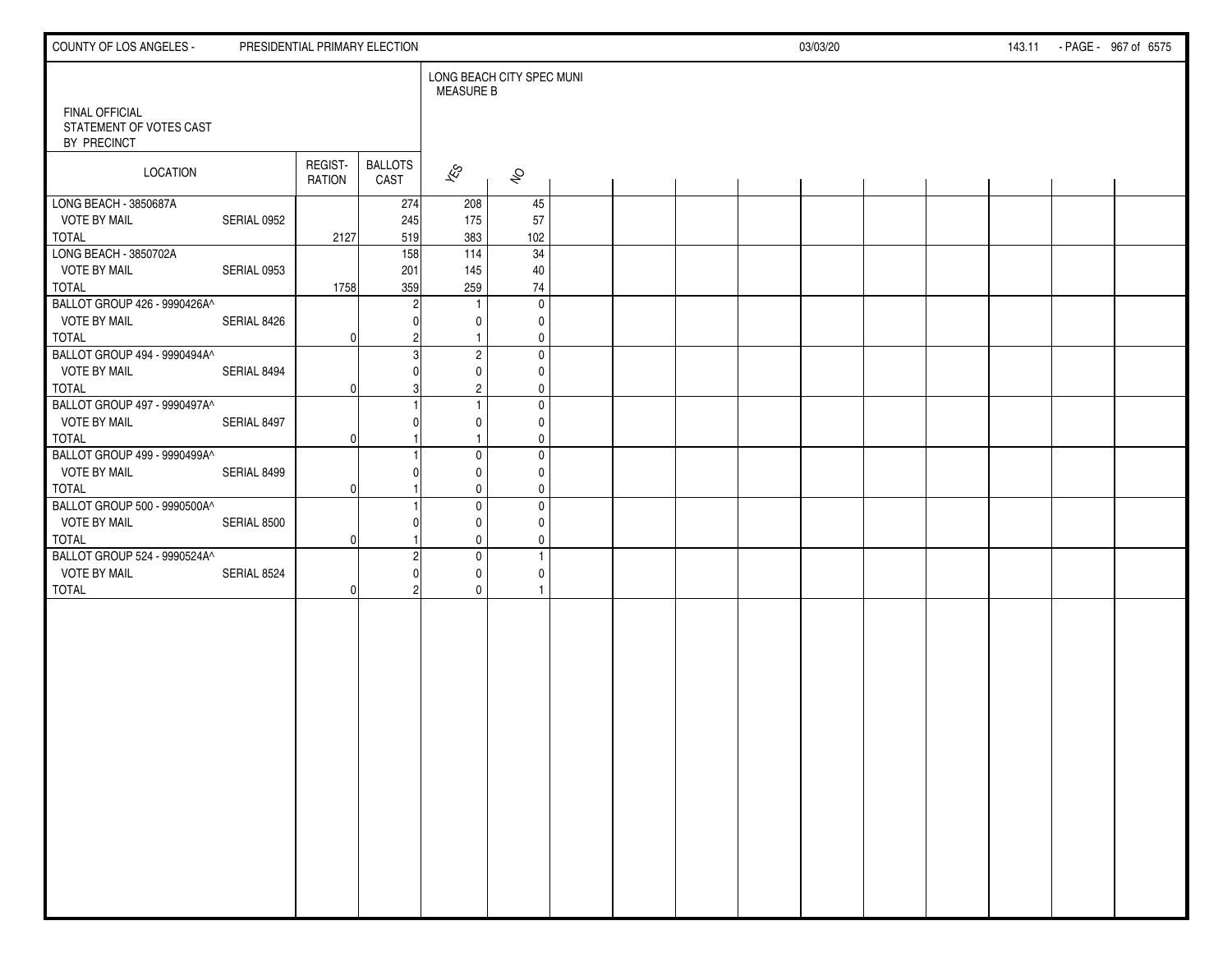| <b>COUNTY OF LOS ANGELES -</b>                                                      |             | PRESIDENTIAL PRIMARY ELECTION |                        | 03/03/20<br>143.11 - PAGE - 967 of 6575 |                                                 |  |  |  |  |  |  |  |  |  |  |
|-------------------------------------------------------------------------------------|-------------|-------------------------------|------------------------|-----------------------------------------|-------------------------------------------------|--|--|--|--|--|--|--|--|--|--|
|                                                                                     |             |                               |                        | <b>MEASURE B</b>                        | LONG BEACH CITY SPEC MUNI                       |  |  |  |  |  |  |  |  |  |  |
| <b>FINAL OFFICIAL</b><br>STATEMENT OF VOTES CAST<br>BY PRECINCT                     |             |                               |                        |                                         |                                                 |  |  |  |  |  |  |  |  |  |  |
| <b>LOCATION</b>                                                                     |             | REGIST-<br><b>RATION</b>      | <b>BALLOTS</b><br>CAST | $\mathscr{E}_{\mathcal{S}}$             | $\hat{\mathcal{S}}$                             |  |  |  |  |  |  |  |  |  |  |
| LONG BEACH - 3850687A<br><b>VOTE BY MAIL</b>                                        | SERIAL 0952 |                               | 274<br>245             | 208<br>175                              | 45<br>57                                        |  |  |  |  |  |  |  |  |  |  |
| <b>TOTAL</b><br>LONG BEACH - 3850702A<br><b>VOTE BY MAIL</b>                        | SERIAL 0953 | 2127                          | 519<br>158<br>201      | 383<br>114<br>145                       | 102<br>34<br>40                                 |  |  |  |  |  |  |  |  |  |  |
| <b>TOTAL</b><br>BALLOT GROUP 426 - 9990426A^                                        |             | 1758                          | 359                    | 259                                     | 74<br>$\mathbf 0$                               |  |  |  |  |  |  |  |  |  |  |
| <b>VOTE BY MAIL</b><br>TOTAL<br>BALLOT GROUP 494 - 9990494A^                        | SERIAL 8426 | 0                             |                        | 0<br>$\mathbf{1}$<br>$\overline{c}$     | 0<br>$\mathbf 0$<br>$\mathbf 0$                 |  |  |  |  |  |  |  |  |  |  |
| <b>VOTE BY MAIL</b><br><b>TOTAL</b>                                                 | SERIAL 8494 | O                             |                        | 0<br>$\overline{c}$                     | 0<br>0                                          |  |  |  |  |  |  |  |  |  |  |
| BALLOT GROUP 497 - 9990497A^<br><b>VOTE BY MAIL</b><br>TOTAL                        | SERIAL 8497 | O                             |                        | $\mathbf{1}$<br>0                       | 0<br>0<br>$\mathbf 0$                           |  |  |  |  |  |  |  |  |  |  |
| BALLOT GROUP 499 - 9990499A^<br><b>VOTE BY MAIL</b><br><b>TOTAL</b>                 | SERIAL 8499 | O                             |                        | $\mathbf 0$<br>0<br>0                   | $\pmb{0}$<br>0<br>0                             |  |  |  |  |  |  |  |  |  |  |
| BALLOT GROUP 500 - 9990500A^<br><b>VOTE BY MAIL</b>                                 | SERIAL 8500 | $\Omega$                      |                        | $\mathbf 0$<br>0                        | $\pmb{0}$<br>$\mathbf 0$                        |  |  |  |  |  |  |  |  |  |  |
| <b>TOTAL</b><br>BALLOT GROUP 524 - 9990524A^<br><b>VOTE BY MAIL</b><br><b>TOTAL</b> | SERIAL 8524 | 0                             |                        | 0<br>$\mathbf 0$<br>0<br>0              | $\mathbf 0$<br>$\mathbf{1}$<br>$\mathbf 0$<br>1 |  |  |  |  |  |  |  |  |  |  |
|                                                                                     |             |                               |                        |                                         |                                                 |  |  |  |  |  |  |  |  |  |  |
|                                                                                     |             |                               |                        |                                         |                                                 |  |  |  |  |  |  |  |  |  |  |
|                                                                                     |             |                               |                        |                                         |                                                 |  |  |  |  |  |  |  |  |  |  |
|                                                                                     |             |                               |                        |                                         |                                                 |  |  |  |  |  |  |  |  |  |  |
|                                                                                     |             |                               |                        |                                         |                                                 |  |  |  |  |  |  |  |  |  |  |
|                                                                                     |             |                               |                        |                                         |                                                 |  |  |  |  |  |  |  |  |  |  |
|                                                                                     |             |                               |                        |                                         |                                                 |  |  |  |  |  |  |  |  |  |  |
|                                                                                     |             |                               |                        |                                         |                                                 |  |  |  |  |  |  |  |  |  |  |